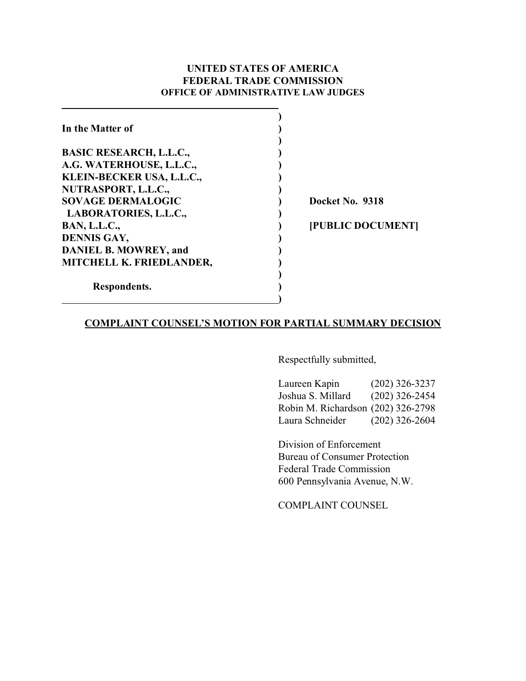### **UNITED STATES OF AMERICA FEDERAL TRADE COMMISSION OFFICE OF ADMINISTRATIVE LAW JUDGES**

| In the Matter of               |                   |
|--------------------------------|-------------------|
|                                |                   |
| <b>BASIC RESEARCH, L.L.C.,</b> |                   |
| A.G. WATERHOUSE, L.L.C.,       |                   |
| KLEIN-BECKER USA, L.L.C.,      |                   |
| NUTRASPORT, L.L.C.,            |                   |
| <b>SOVAGE DERMALOGIC</b>       | Docket No. 9318   |
| LABORATORIES, L.L.C.,          |                   |
| <b>BAN, L.L.C.,</b>            | [PUBLIC DOCUMENT] |
| <b>DENNIS GAY,</b>             |                   |
| <b>DANIEL B. MOWREY, and</b>   |                   |
| MITCHELL K. FRIEDLANDER,       |                   |
|                                |                   |
| Respondents.                   |                   |
|                                |                   |

### **COMPLAINT COUNSEL'S MOTION FOR PARTIAL SUMMARY DECISION**

Respectfully submitted,

Laureen Kapin (202) 326-3237 Joshua S. Millard (202) 326-2454 Robin M. Richardson (202) 326-2798 Laura Schneider (202) 326-2604

Division of Enforcement Bureau of Consumer Protection Federal Trade Commission 600 Pennsylvania Avenue, N.W.

COMPLAINT COUNSEL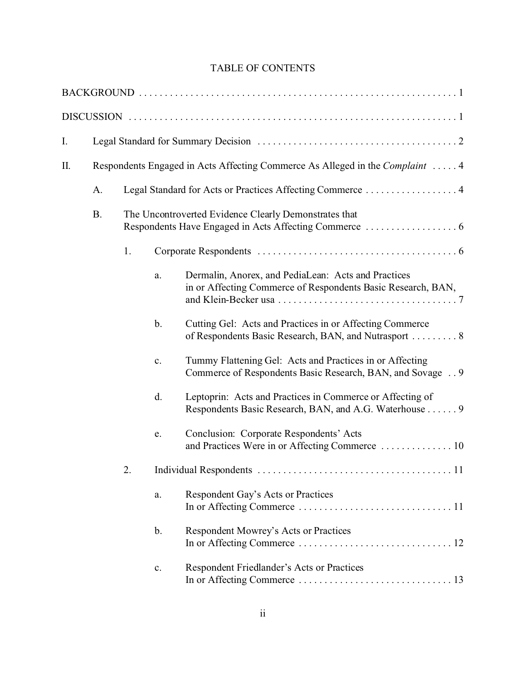# TABLE OF CONTENTS

| I. |           |                                                       |                |                                                                                                                        |  |  |
|----|-----------|-------------------------------------------------------|----------------|------------------------------------------------------------------------------------------------------------------------|--|--|
| П. |           |                                                       |                | Respondents Engaged in Acts Affecting Commerce As Alleged in the Complaint  4                                          |  |  |
|    | A.        |                                                       |                | Legal Standard for Acts or Practices Affecting Commerce  4                                                             |  |  |
|    | <b>B.</b> | The Uncontroverted Evidence Clearly Demonstrates that |                |                                                                                                                        |  |  |
|    |           | 1.                                                    |                |                                                                                                                        |  |  |
|    |           |                                                       | a.             | Dermalin, Anorex, and PediaLean: Acts and Practices<br>in or Affecting Commerce of Respondents Basic Research, BAN,    |  |  |
|    |           |                                                       | $\mathbf{b}$ . | Cutting Gel: Acts and Practices in or Affecting Commerce<br>of Respondents Basic Research, BAN, and Nutrasport  8      |  |  |
|    |           |                                                       | c.             | Tummy Flattening Gel: Acts and Practices in or Affecting<br>Commerce of Respondents Basic Research, BAN, and Sovage  9 |  |  |
|    |           |                                                       | d.             | Leptoprin: Acts and Practices in Commerce or Affecting of<br>Respondents Basic Research, BAN, and A.G. Waterhouse 9    |  |  |
|    |           |                                                       | e.             | Conclusion: Corporate Respondents' Acts<br>and Practices Were in or Affecting Commerce  10                             |  |  |
|    |           | 2.                                                    |                |                                                                                                                        |  |  |
|    |           |                                                       | a.             | Respondent Gay's Acts or Practices                                                                                     |  |  |
|    |           |                                                       | b.             | Respondent Mowrey's Acts or Practices                                                                                  |  |  |
|    |           |                                                       | c.             | Respondent Friedlander's Acts or Practices                                                                             |  |  |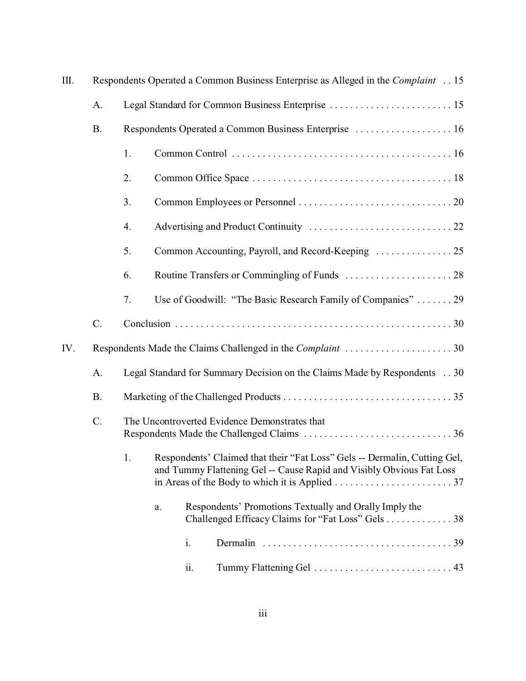| Ш.  | Respondents Operated a Common Business Enterprise as Alleged in the Complaint  15 |                                                                          |                                                                                                                                                                                                                                                    |     |                                                                                                             |  |
|-----|-----------------------------------------------------------------------------------|--------------------------------------------------------------------------|----------------------------------------------------------------------------------------------------------------------------------------------------------------------------------------------------------------------------------------------------|-----|-------------------------------------------------------------------------------------------------------------|--|
|     | A.                                                                                | Legal Standard for Common Business Enterprise  15                        |                                                                                                                                                                                                                                                    |     |                                                                                                             |  |
|     | <b>B.</b>                                                                         | Respondents Operated a Common Business Enterprise  16                    |                                                                                                                                                                                                                                                    |     |                                                                                                             |  |
|     |                                                                                   | 1.                                                                       |                                                                                                                                                                                                                                                    |     |                                                                                                             |  |
|     |                                                                                   | 2.                                                                       |                                                                                                                                                                                                                                                    |     |                                                                                                             |  |
|     |                                                                                   | 3.                                                                       |                                                                                                                                                                                                                                                    |     |                                                                                                             |  |
|     |                                                                                   | 4.                                                                       |                                                                                                                                                                                                                                                    |     |                                                                                                             |  |
|     |                                                                                   | 5.                                                                       |                                                                                                                                                                                                                                                    |     |                                                                                                             |  |
|     |                                                                                   | 6.                                                                       |                                                                                                                                                                                                                                                    |     |                                                                                                             |  |
|     |                                                                                   | 7.                                                                       |                                                                                                                                                                                                                                                    |     | Use of Goodwill: "The Basic Research Family of Companies"  29                                               |  |
|     | $C$ .                                                                             |                                                                          |                                                                                                                                                                                                                                                    |     |                                                                                                             |  |
| IV. |                                                                                   |                                                                          |                                                                                                                                                                                                                                                    |     |                                                                                                             |  |
|     | A.                                                                                | Legal Standard for Summary Decision on the Claims Made by Respondents 30 |                                                                                                                                                                                                                                                    |     |                                                                                                             |  |
|     | <b>B.</b>                                                                         |                                                                          |                                                                                                                                                                                                                                                    |     |                                                                                                             |  |
|     | $C$ .                                                                             | The Uncontroverted Evidence Demonstrates that                            |                                                                                                                                                                                                                                                    |     |                                                                                                             |  |
|     |                                                                                   |                                                                          | 1. Respondents' Claimed that their "Fat Loss" Gels -- Dermalin, Cutting Gel,<br>and Tummy Flattening Gel -- Cause Rapid and Visibly Obvious Fat Loss<br>in Areas of the Body to which it is Applied $\ldots \ldots \ldots \ldots \ldots \ldots$ 37 |     |                                                                                                             |  |
|     |                                                                                   |                                                                          | a.                                                                                                                                                                                                                                                 |     | Respondents' Promotions Textually and Orally Imply the<br>Challenged Efficacy Claims for "Fat Loss" Gels 38 |  |
|     |                                                                                   |                                                                          |                                                                                                                                                                                                                                                    | i.  |                                                                                                             |  |
|     |                                                                                   |                                                                          |                                                                                                                                                                                                                                                    | ii. |                                                                                                             |  |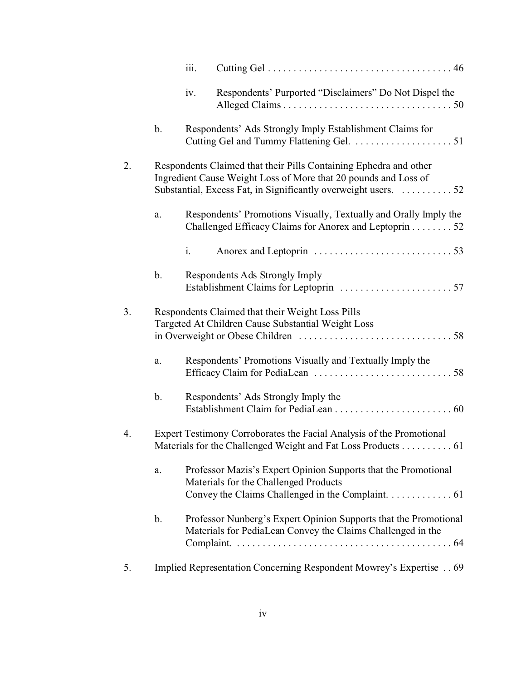|    |               | iii.                                                                                                                                                                                                   |  |  |  |  |  |
|----|---------------|--------------------------------------------------------------------------------------------------------------------------------------------------------------------------------------------------------|--|--|--|--|--|
|    |               | Respondents' Purported "Disclaimers" Do Not Dispel the<br>iv.                                                                                                                                          |  |  |  |  |  |
|    | b.            | Respondents' Ads Strongly Imply Establishment Claims for                                                                                                                                               |  |  |  |  |  |
| 2. |               | Respondents Claimed that their Pills Containing Ephedra and other<br>Ingredient Cause Weight Loss of More that 20 pounds and Loss of<br>Substantial, Excess Fat, in Significantly overweight users. 52 |  |  |  |  |  |
|    | a.            | Respondents' Promotions Visually, Textually and Orally Imply the<br>Challenged Efficacy Claims for Anorex and Leptoprin 52                                                                             |  |  |  |  |  |
|    |               | i.                                                                                                                                                                                                     |  |  |  |  |  |
|    | $\mathbf b$ . | Respondents Ads Strongly Imply                                                                                                                                                                         |  |  |  |  |  |
| 3. |               | Respondents Claimed that their Weight Loss Pills<br>Targeted At Children Cause Substantial Weight Loss                                                                                                 |  |  |  |  |  |
|    | a.            | Respondents' Promotions Visually and Textually Imply the                                                                                                                                               |  |  |  |  |  |
|    | b.            | Respondents' Ads Strongly Imply the                                                                                                                                                                    |  |  |  |  |  |
| 4. |               | Expert Testimony Corroborates the Facial Analysis of the Promotional<br>Materials for the Challenged Weight and Fat Loss Products 61                                                                   |  |  |  |  |  |
|    | a.            | Professor Mazis's Expert Opinion Supports that the Promotional<br>Materials for the Challenged Products<br>Convey the Claims Challenged in the Complaint. $\dots \dots \dots \dots$ 61                 |  |  |  |  |  |
|    | $\mathbf b$ . | Professor Nunberg's Expert Opinion Supports that the Promotional<br>Materials for PediaLean Convey the Claims Challenged in the                                                                        |  |  |  |  |  |
| 5. |               | Implied Representation Concerning Respondent Mowrey's Expertise 69                                                                                                                                     |  |  |  |  |  |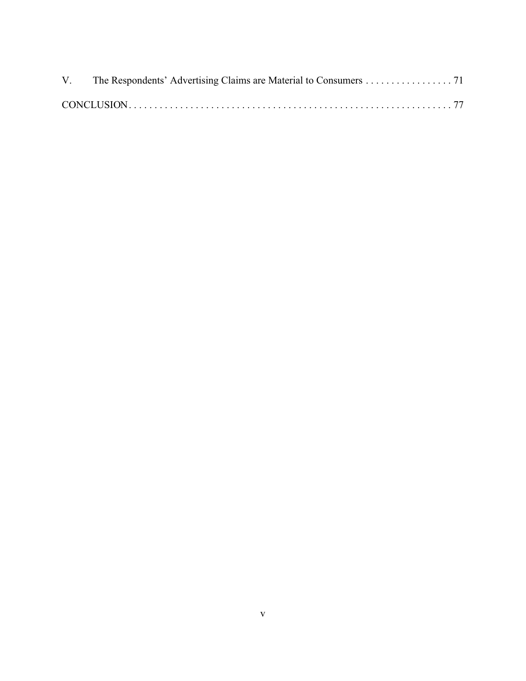| V. The Respondents' Advertising Claims are Material to Consumers 71 |  |
|---------------------------------------------------------------------|--|
|                                                                     |  |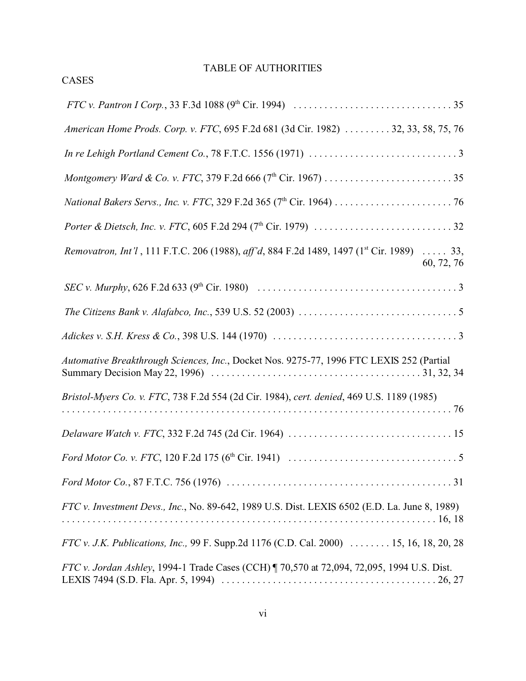# TABLE OF AUTHORITIES

CASES

| American Home Prods. Corp. v. FTC, 695 F.2d 681 (3d Cir. 1982)  32, 33, 58, 75, 76                                                                           |
|--------------------------------------------------------------------------------------------------------------------------------------------------------------|
|                                                                                                                                                              |
|                                                                                                                                                              |
|                                                                                                                                                              |
|                                                                                                                                                              |
| Removatron, Int'l, 111 F.T.C. 206 (1988), aff'd, 884 F.2d 1489, 1497 (1 <sup>st</sup> Cir. 1989)  33,<br>60, 72, 76                                          |
| <i>SEC v. Murphy</i> , 626 F.2d 633 (9 <sup>th</sup> Cir. 1980) $\ldots \ldots \ldots \ldots \ldots \ldots \ldots \ldots \ldots \ldots \ldots \ldots \ldots$ |
|                                                                                                                                                              |
| Adickes v. S.H. Kress & Co., 398 U.S. 144 (1970) $\ldots \ldots \ldots \ldots \ldots \ldots \ldots \ldots \ldots \ldots \ldots$                              |
| Automative Breakthrough Sciences, Inc., Docket Nos. 9275-77, 1996 FTC LEXIS 252 (Partial                                                                     |
| Bristol-Myers Co. v. FTC, 738 F.2d 554 (2d Cir. 1984), cert. denied, 469 U.S. 1189 (1985)                                                                    |
|                                                                                                                                                              |
|                                                                                                                                                              |
|                                                                                                                                                              |
| FTC v. Investment Devs., Inc., No. 89-642, 1989 U.S. Dist. LEXIS 6502 (E.D. La. June 8, 1989)                                                                |
| FTC v. J.K. Publications, Inc., 99 F. Supp.2d 1176 (C.D. Cal. 2000)  15, 16, 18, 20, 28                                                                      |
| FTC v. Jordan Ashley, 1994-1 Trade Cases (CCH)   70,570 at 72,094, 72,095, 1994 U.S. Dist.                                                                   |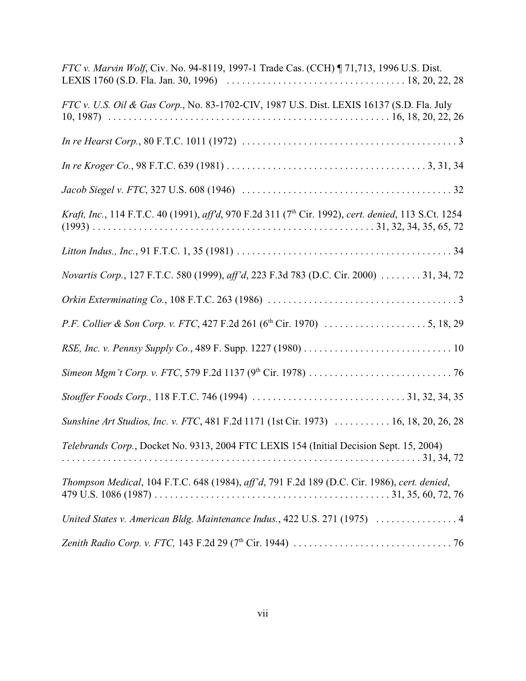| FTC v. Marvin Wolf, Civ. No. 94-8119, 1997-1 Trade Cas. (CCH) ¶ 71,713, 1996 U.S. Dist.                          |
|------------------------------------------------------------------------------------------------------------------|
| FTC v. U.S. Oil & Gas Corp., No. 83-1702-CIV, 1987 U.S. Dist. LEXIS 16137 (S.D. Fla. July                        |
|                                                                                                                  |
|                                                                                                                  |
|                                                                                                                  |
| Kraft, Inc., 114 F.T.C. 40 (1991), aff'd, 970 F.2d 311 (7 <sup>th</sup> Cir. 1992), cert. denied, 113 S.Ct. 1254 |
|                                                                                                                  |
| Novartis Corp., 127 F.T.C. 580 (1999), aff'd, 223 F.3d 783 (D.C. Cir. 2000)  31, 34, 72                          |
|                                                                                                                  |
|                                                                                                                  |
|                                                                                                                  |
|                                                                                                                  |
|                                                                                                                  |
| Sunshine Art Studios, Inc. v. FTC, 481 F.2d 1171 (1st Cir. 1973)  16, 18, 20, 26, 28                             |
| Telebrands Corp., Docket No. 9313, 2004 FTC LEXIS 154 (Initial Decision Sept. 15, 2004)                          |
| Thompson Medical, 104 F.T.C. 648 (1984), aff'd, 791 F.2d 189 (D.C. Cir. 1986), cert. denied,                     |
| United States v. American Bldg. Maintenance Indus., 422 U.S. 271 (1975)  4                                       |
|                                                                                                                  |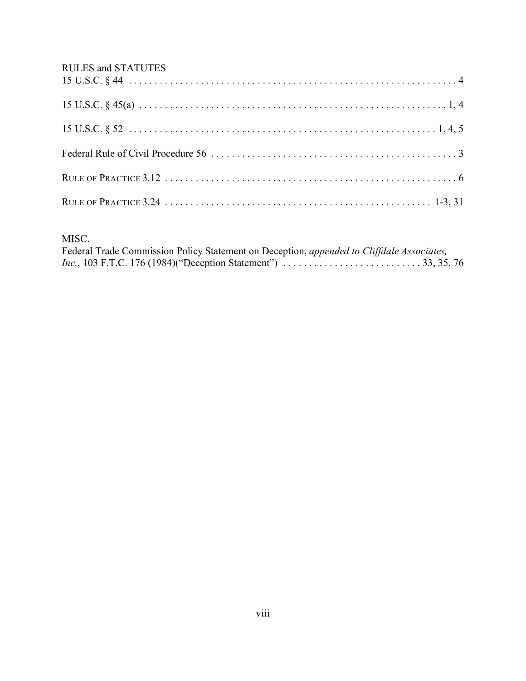# RULES and STATUTES

# MISC.

| Federal Trade Commission Policy Statement on Deception, appended to Cliffdale Associates,                                              |  |
|----------------------------------------------------------------------------------------------------------------------------------------|--|
| <i>Inc.</i> , 103 F.T.C. 176 (1984)("Deception Statement") $\ldots \ldots \ldots \ldots \ldots \ldots \ldots \ldots \ldots$ 33, 35, 76 |  |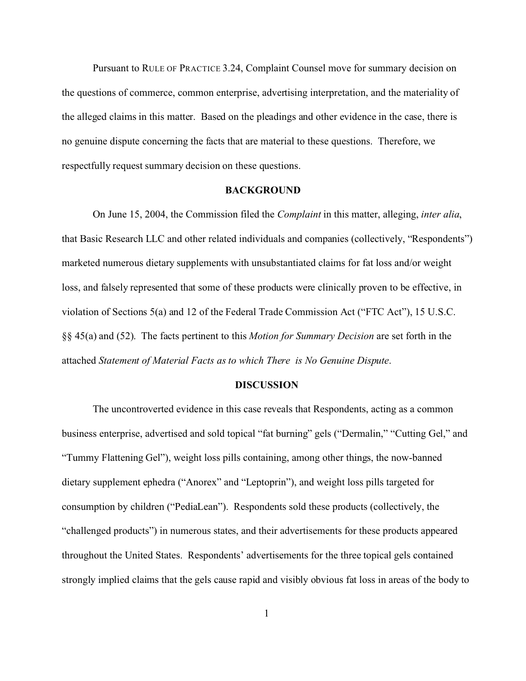Pursuant to RULE OF PRACTICE 3.24, Complaint Counsel move for summary decision on the questions of commerce, common enterprise, advertising interpretation, and the materiality of the alleged claims in this matter. Based on the pleadings and other evidence in the case, there is no genuine dispute concerning the facts that are material to these questions. Therefore, we respectfully request summary decision on these questions.

#### **BACKGROUND**

On June 15, 2004, the Commission filed the *Complaint* in this matter, alleging, *inter alia*, that Basic Research LLC and other related individuals and companies (collectively, "Respondents") marketed numerous dietary supplements with unsubstantiated claims for fat loss and/or weight loss, and falsely represented that some of these products were clinically proven to be effective, in violation of Sections 5(a) and 12 of the Federal Trade Commission Act ("FTC Act"), 15 U.S.C. §§ 45(a) and (52). The facts pertinent to this *Motion for Summary Decision* are set forth in the attached *Statement of Material Facts as to which There is No Genuine Dispute*.

#### **DISCUSSION**

The uncontroverted evidence in this case reveals that Respondents, acting as a common business enterprise, advertised and sold topical "fat burning" gels ("Dermalin," "Cutting Gel," and "Tummy Flattening Gel"), weight loss pills containing, among other things, the now-banned dietary supplement ephedra ("Anorex" and "Leptoprin"), and weight loss pills targeted for consumption by children ("PediaLean"). Respondents sold these products (collectively, the "challenged products") in numerous states, and their advertisements for these products appeared throughout the United States. Respondents' advertisements for the three topical gels contained strongly implied claims that the gels cause rapid and visibly obvious fat loss in areas of the body to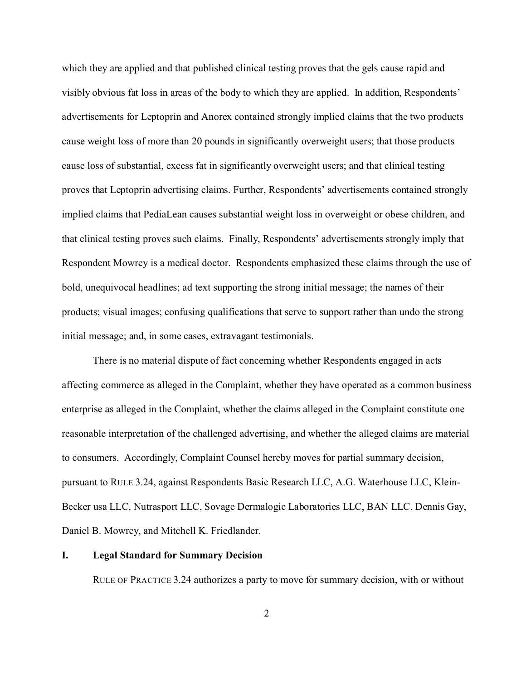which they are applied and that published clinical testing proves that the gels cause rapid and visibly obvious fat loss in areas of the body to which they are applied. In addition, Respondents' advertisements for Leptoprin and Anorex contained strongly implied claims that the two products cause weight loss of more than 20 pounds in significantly overweight users; that those products cause loss of substantial, excess fat in significantly overweight users; and that clinical testing proves that Leptoprin advertising claims. Further, Respondents' advertisements contained strongly implied claims that PediaLean causes substantial weight loss in overweight or obese children, and that clinical testing proves such claims. Finally, Respondents' advertisements strongly imply that Respondent Mowrey is a medical doctor. Respondents emphasized these claims through the use of bold, unequivocal headlines; ad text supporting the strong initial message; the names of their products; visual images; confusing qualifications that serve to support rather than undo the strong initial message; and, in some cases, extravagant testimonials.

There is no material dispute of fact concerning whether Respondents engaged in acts affecting commerce as alleged in the Complaint, whether they have operated as a common business enterprise as alleged in the Complaint, whether the claims alleged in the Complaint constitute one reasonable interpretation of the challenged advertising, and whether the alleged claims are material to consumers. Accordingly, Complaint Counsel hereby moves for partial summary decision, pursuant to RULE 3.24, against Respondents Basic Research LLC, A.G. Waterhouse LLC, Klein-Becker usa LLC, Nutrasport LLC, Sovage Dermalogic Laboratories LLC, BAN LLC, Dennis Gay, Daniel B. Mowrey, and Mitchell K. Friedlander.

#### **I. Legal Standard for Summary Decision**

RULE OF PRACTICE 3.24 authorizes a party to move for summary decision, with or without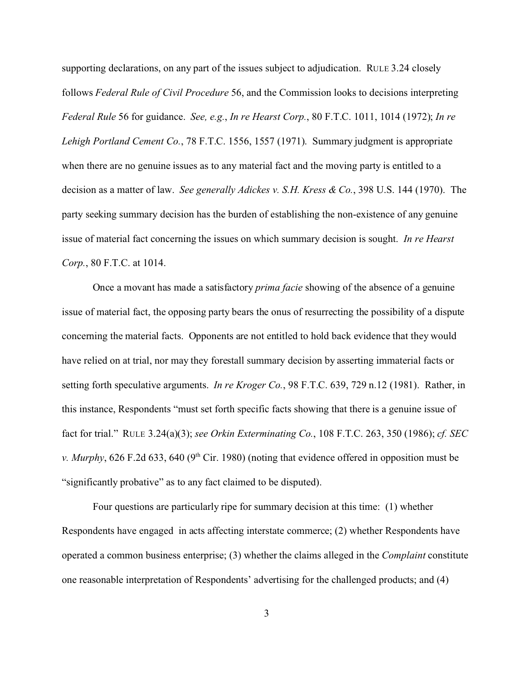supporting declarations, on any part of the issues subject to adjudication. RULE 3.24 closely follows *Federal Rule of Civil Procedure* 56, and the Commission looks to decisions interpreting *Federal Rule* 56 for guidance. *See, e.g.*, *In re Hearst Corp.*, 80 F.T.C. 1011, 1014 (1972); *In re Lehigh Portland Cement Co.*, 78 F.T.C. 1556, 1557 (1971). Summary judgment is appropriate when there are no genuine issues as to any material fact and the moving party is entitled to a decision as a matter of law. *See generally Adickes v. S.H. Kress & Co.*, 398 U.S. 144 (1970). The party seeking summary decision has the burden of establishing the non-existence of any genuine issue of material fact concerning the issues on which summary decision is sought. *In re Hearst Corp.*, 80 F.T.C. at 1014.

Once a movant has made a satisfactory *prima facie* showing of the absence of a genuine issue of material fact, the opposing party bears the onus of resurrecting the possibility of a dispute concerning the material facts. Opponents are not entitled to hold back evidence that they would have relied on at trial, nor may they forestall summary decision by asserting immaterial facts or setting forth speculative arguments. *In re Kroger Co.*, 98 F.T.C. 639, 729 n.12 (1981). Rather, in this instance, Respondents "must set forth specific facts showing that there is a genuine issue of fact for trial." RULE 3.24(a)(3); *see Orkin Exterminating Co.*, 108 F.T.C. 263, 350 (1986); *cf. SEC v. Murphy*, 626 F.2d 633, 640 (9<sup>th</sup> Cir. 1980) (noting that evidence offered in opposition must be "significantly probative" as to any fact claimed to be disputed).

Four questions are particularly ripe for summary decision at this time: (1) whether Respondents have engaged in acts affecting interstate commerce; (2) whether Respondents have operated a common business enterprise; (3) whether the claims alleged in the *Complaint* constitute one reasonable interpretation of Respondents' advertising for the challenged products; and (4)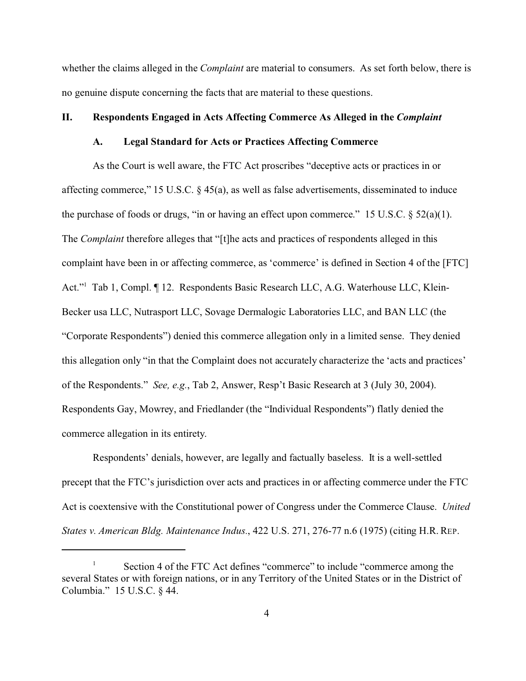whether the claims alleged in the *Complaint* are material to consumers. As set forth below, there is no genuine dispute concerning the facts that are material to these questions.

#### **II. Respondents Engaged in Acts Affecting Commerce As Alleged in the** *Complaint*

### **A. Legal Standard for Acts or Practices Affecting Commerce**

As the Court is well aware, the FTC Act proscribes "deceptive acts or practices in or affecting commerce," 15 U.S.C. § 45(a), as well as false advertisements, disseminated to induce the purchase of foods or drugs, "in or having an effect upon commerce." 15 U.S.C.  $\S$  52(a)(1). The *Complaint* therefore alleges that "[t]he acts and practices of respondents alleged in this complaint have been in or affecting commerce, as 'commerce' is defined in Section 4 of the [FTC] Act."<sup>1</sup> Tab 1, Compl. 12. Respondents Basic Research LLC, A.G. Waterhouse LLC, Klein-Becker usa LLC, Nutrasport LLC, Sovage Dermalogic Laboratories LLC, and BAN LLC (the "Corporate Respondents") denied this commerce allegation only in a limited sense. They denied this allegation only "in that the Complaint does not accurately characterize the 'acts and practices' of the Respondents." *See, e.g.*, Tab 2, Answer, Resp't Basic Research at 3 (July 30, 2004). Respondents Gay, Mowrey, and Friedlander (the "Individual Respondents") flatly denied the commerce allegation in its entirety.

Respondents' denials, however, are legally and factually baseless. It is a well-settled precept that the FTC's jurisdiction over acts and practices in or affecting commerce under the FTC Act is coextensive with the Constitutional power of Congress under the Commerce Clause. *United States v. American Bldg. Maintenance Indus.*, 422 U.S. 271, 276-77 n.6 (1975) (citing H.R. REP.

Section 4 of the FTC Act defines "commerce" to include "commerce among the several States or with foreign nations, or in any Territory of the United States or in the District of Columbia." 15 U.S.C. § 44.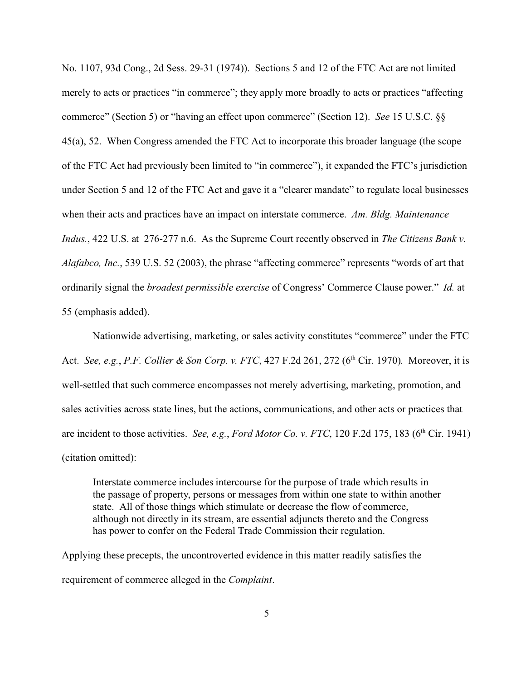No. 1107, 93d Cong., 2d Sess. 29-31 (1974)). Sections 5 and 12 of the FTC Act are not limited merely to acts or practices "in commerce"; they apply more broadly to acts or practices "affecting commerce" (Section 5) or "having an effect upon commerce" (Section 12). *See* 15 U.S.C. §§ 45(a), 52. When Congress amended the FTC Act to incorporate this broader language (the scope of the FTC Act had previously been limited to "in commerce"), it expanded the FTC's jurisdiction under Section 5 and 12 of the FTC Act and gave it a "clearer mandate" to regulate local businesses when their acts and practices have an impact on interstate commerce. *Am. Bldg. Maintenance Indus.*, 422 U.S. at 276-277 n.6. As the Supreme Court recently observed in *The Citizens Bank v. Alafabco, Inc.*, 539 U.S. 52 (2003), the phrase "affecting commerce" represents "words of art that ordinarily signal the *broadest permissible exercise* of Congress' Commerce Clause power." *Id.* at 55 (emphasis added).

Nationwide advertising, marketing, or sales activity constitutes "commerce" under the FTC Act. *See, e.g.*, *P.F. Collier & Son Corp. v. FTC*, 427 F.2d 261, 272 (6th Cir. 1970). Moreover, it is well-settled that such commerce encompasses not merely advertising, marketing, promotion, and sales activities across state lines, but the actions, communications, and other acts or practices that are incident to those activities. *See, e.g., Ford Motor Co. v. FTC*, 120 F.2d 175, 183 (6<sup>th</sup> Cir. 1941) (citation omitted):

Interstate commerce includes intercourse for the purpose of trade which results in the passage of property, persons or messages from within one state to within another state. All of those things which stimulate or decrease the flow of commerce, although not directly in its stream, are essential adjuncts thereto and the Congress has power to confer on the Federal Trade Commission their regulation.

Applying these precepts, the uncontroverted evidence in this matter readily satisfies the requirement of commerce alleged in the *Complaint*.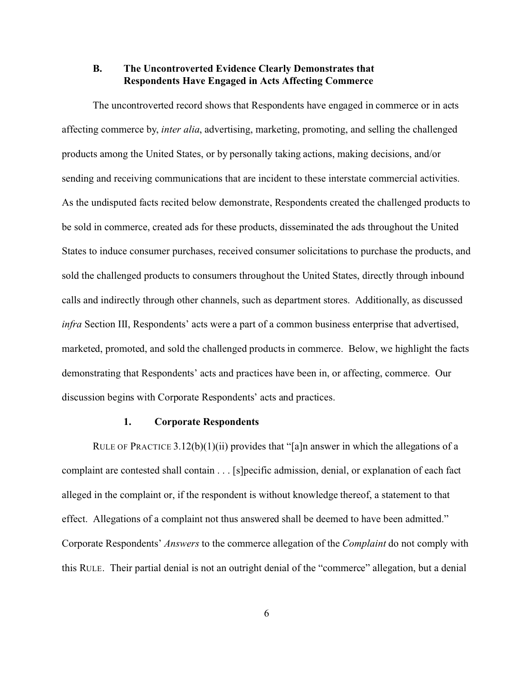### **B. The Uncontroverted Evidence Clearly Demonstrates that Respondents Have Engaged in Acts Affecting Commerce**

The uncontroverted record shows that Respondents have engaged in commerce or in acts affecting commerce by, *inter alia*, advertising, marketing, promoting, and selling the challenged products among the United States, or by personally taking actions, making decisions, and/or sending and receiving communications that are incident to these interstate commercial activities. As the undisputed facts recited below demonstrate, Respondents created the challenged products to be sold in commerce, created ads for these products, disseminated the ads throughout the United States to induce consumer purchases, received consumer solicitations to purchase the products, and sold the challenged products to consumers throughout the United States, directly through inbound calls and indirectly through other channels, such as department stores. Additionally, as discussed *infra* Section III, Respondents' acts were a part of a common business enterprise that advertised, marketed, promoted, and sold the challenged products in commerce. Below, we highlight the facts demonstrating that Respondents' acts and practices have been in, or affecting, commerce. Our discussion begins with Corporate Respondents' acts and practices.

#### **1. Corporate Respondents**

RULE OF PRACTICE 3.12(b)(1)(ii) provides that "[a]n answer in which the allegations of a complaint are contested shall contain . . . [s]pecific admission, denial, or explanation of each fact alleged in the complaint or, if the respondent is without knowledge thereof, a statement to that effect. Allegations of a complaint not thus answered shall be deemed to have been admitted." Corporate Respondents' *Answers* to the commerce allegation of the *Complaint* do not comply with this RULE. Their partial denial is not an outright denial of the "commerce" allegation, but a denial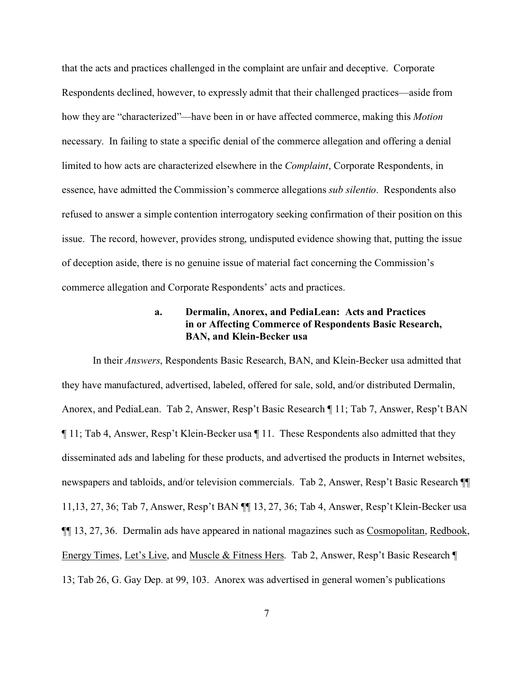that the acts and practices challenged in the complaint are unfair and deceptive. Corporate Respondents declined, however, to expressly admit that their challenged practices—aside from how they are "characterized"—have been in or have affected commerce, making this *Motion* necessary. In failing to state a specific denial of the commerce allegation and offering a denial limited to how acts are characterized elsewhere in the *Complaint*, Corporate Respondents, in essence, have admitted the Commission's commerce allegations *sub silentio*. Respondents also refused to answer a simple contention interrogatory seeking confirmation of their position on this issue. The record, however, provides strong, undisputed evidence showing that, putting the issue of deception aside, there is no genuine issue of material fact concerning the Commission's commerce allegation and Corporate Respondents' acts and practices.

### **a. Dermalin, Anorex, and PediaLean: Acts and Practices in or Affecting Commerce of Respondents Basic Research, BAN, and Klein-Becker usa**

In their *Answers*, Respondents Basic Research, BAN, and Klein-Becker usa admitted that they have manufactured, advertised, labeled, offered for sale, sold, and/or distributed Dermalin, Anorex, and PediaLean. Tab 2, Answer, Resp't Basic Research ¶ 11; Tab 7, Answer, Resp't BAN ¶ 11; Tab 4, Answer, Resp't Klein-Becker usa ¶ 11. These Respondents also admitted that they disseminated ads and labeling for these products, and advertised the products in Internet websites, newspapers and tabloids, and/or television commercials. Tab 2, Answer, Resp't Basic Research ¶¶ 11,13, 27, 36; Tab 7, Answer, Resp't BAN ¶¶ 13, 27, 36; Tab 4, Answer, Resp't Klein-Becker usa ¶¶ 13, 27, 36. Dermalin ads have appeared in national magazines such as Cosmopolitan, Redbook, Energy Times, Let's Live, and Muscle & Fitness Hers. Tab 2, Answer, Resp't Basic Research ¶ 13; Tab 26, G. Gay Dep. at 99, 103. Anorex was advertised in general women's publications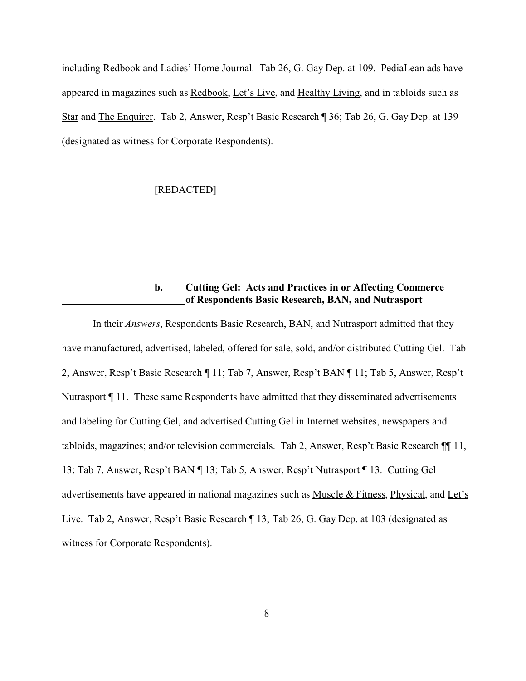including Redbook and Ladies' Home Journal. Tab 26, G. Gay Dep. at 109. PediaLean ads have appeared in magazines such as Redbook, Let's Live, and Healthy Living, and in tabloids such as Star and The Enquirer. Tab 2, Answer, Resp't Basic Research ¶ 36; Tab 26, G. Gay Dep. at 139 (designated as witness for Corporate Respondents).

### [REDACTED]

### **b. Cutting Gel: Acts and Practices in or Affecting Commerce of Respondents Basic Research, BAN, and Nutrasport**

In their *Answers*, Respondents Basic Research, BAN, and Nutrasport admitted that they have manufactured, advertised, labeled, offered for sale, sold, and/or distributed Cutting Gel. Tab 2, Answer, Resp't Basic Research ¶ 11; Tab 7, Answer, Resp't BAN ¶ 11; Tab 5, Answer, Resp't Nutrasport ¶ 11. These same Respondents have admitted that they disseminated advertisements and labeling for Cutting Gel, and advertised Cutting Gel in Internet websites, newspapers and tabloids, magazines; and/or television commercials. Tab 2, Answer, Resp't Basic Research ¶¶ 11, 13; Tab 7, Answer, Resp't BAN ¶ 13; Tab 5, Answer, Resp't Nutrasport ¶ 13. Cutting Gel advertisements have appeared in national magazines such as Muscle & Fitness, Physical, and Let's Live. Tab 2, Answer, Resp't Basic Research ¶ 13; Tab 26, G. Gay Dep. at 103 (designated as witness for Corporate Respondents).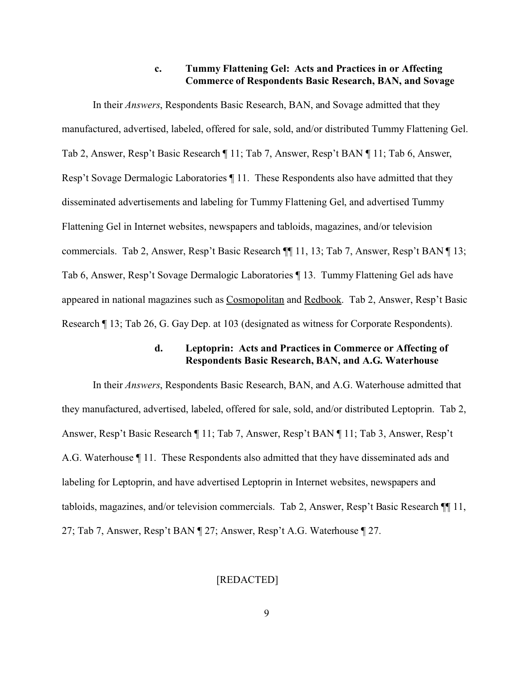### **c. Tummy Flattening Gel: Acts and Practices in or Affecting Commerce of Respondents Basic Research, BAN, and Sovage**

In their *Answers*, Respondents Basic Research, BAN, and Sovage admitted that they manufactured, advertised, labeled, offered for sale, sold, and/or distributed Tummy Flattening Gel. Tab 2, Answer, Resp't Basic Research ¶ 11; Tab 7, Answer, Resp't BAN ¶ 11; Tab 6, Answer, Resp't Sovage Dermalogic Laboratories ¶ 11. These Respondents also have admitted that they disseminated advertisements and labeling for Tummy Flattening Gel, and advertised Tummy Flattening Gel in Internet websites, newspapers and tabloids, magazines, and/or television commercials. Tab 2, Answer, Resp't Basic Research ¶¶ 11, 13; Tab 7, Answer, Resp't BAN ¶ 13; Tab 6, Answer, Resp't Sovage Dermalogic Laboratories ¶ 13. Tummy Flattening Gel ads have appeared in national magazines such as Cosmopolitan and Redbook. Tab 2, Answer, Resp't Basic Research ¶ 13; Tab 26, G. Gay Dep. at 103 (designated as witness for Corporate Respondents).

#### **d. Leptoprin: Acts and Practices in Commerce or Affecting of Respondents Basic Research, BAN, and A.G. Waterhouse**

In their *Answers*, Respondents Basic Research, BAN, and A.G. Waterhouse admitted that they manufactured, advertised, labeled, offered for sale, sold, and/or distributed Leptoprin. Tab 2, Answer, Resp't Basic Research ¶ 11; Tab 7, Answer, Resp't BAN ¶ 11; Tab 3, Answer, Resp't A.G. Waterhouse ¶ 11. These Respondents also admitted that they have disseminated ads and labeling for Leptoprin, and have advertised Leptoprin in Internet websites, newspapers and tabloids, magazines, and/or television commercials. Tab 2, Answer, Resp't Basic Research ¶¶ 11, 27; Tab 7, Answer, Resp't BAN ¶ 27; Answer, Resp't A.G. Waterhouse ¶ 27.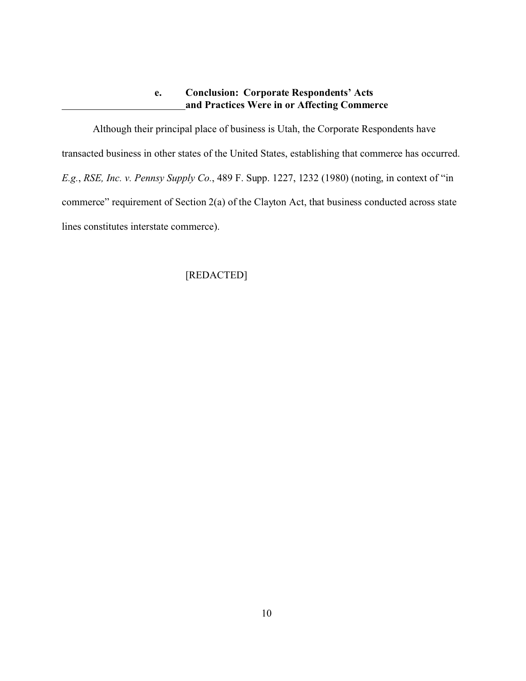### **e. Conclusion: Corporate Respondents' Acts and Practices Were in or Affecting Commerce**

Although their principal place of business is Utah, the Corporate Respondents have transacted business in other states of the United States, establishing that commerce has occurred. *E.g.*, *RSE, Inc. v. Pennsy Supply Co.*, 489 F. Supp. 1227, 1232 (1980) (noting, in context of "in commerce" requirement of Section 2(a) of the Clayton Act, that business conducted across state lines constitutes interstate commerce).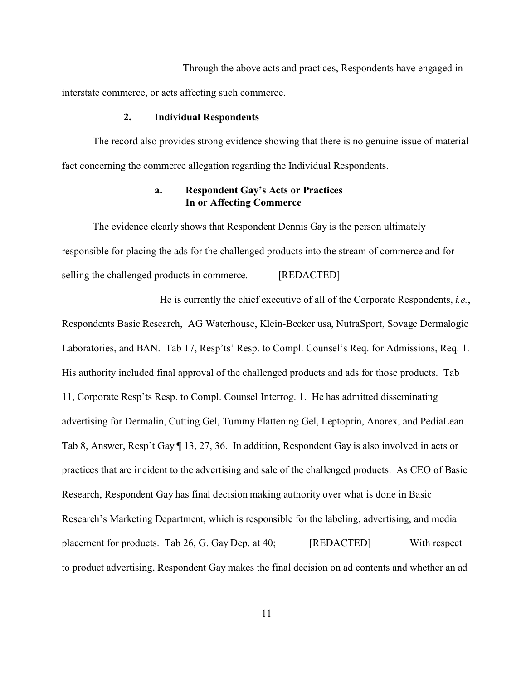Through the above acts and practices, Respondents have engaged in interstate commerce, or acts affecting such commerce.

#### **2. Individual Respondents**

The record also provides strong evidence showing that there is no genuine issue of material fact concerning the commerce allegation regarding the Individual Respondents.

### **a. Respondent Gay's Acts or Practices In or Affecting Commerce**

The evidence clearly shows that Respondent Dennis Gay is the person ultimately responsible for placing the ads for the challenged products into the stream of commerce and for selling the challenged products in commerce. [REDACTED]

 He is currently the chief executive of all of the Corporate Respondents, *i.e.*, Respondents Basic Research, AG Waterhouse, Klein-Becker usa, NutraSport, Sovage Dermalogic Laboratories, and BAN. Tab 17, Resp'ts' Resp. to Compl. Counsel's Req. for Admissions, Req. 1. His authority included final approval of the challenged products and ads for those products. Tab 11, Corporate Resp'ts Resp. to Compl. Counsel Interrog. 1. He has admitted disseminating advertising for Dermalin, Cutting Gel, Tummy Flattening Gel, Leptoprin, Anorex, and PediaLean. Tab 8, Answer, Resp't Gay ¶ 13, 27, 36. In addition, Respondent Gay is also involved in acts or practices that are incident to the advertising and sale of the challenged products. As CEO of Basic Research, Respondent Gay has final decision making authority over what is done in Basic Research's Marketing Department, which is responsible for the labeling, advertising, and media placement for products. Tab 26, G. Gay Dep. at 40; [REDACTED] With respect to product advertising, Respondent Gay makes the final decision on ad contents and whether an ad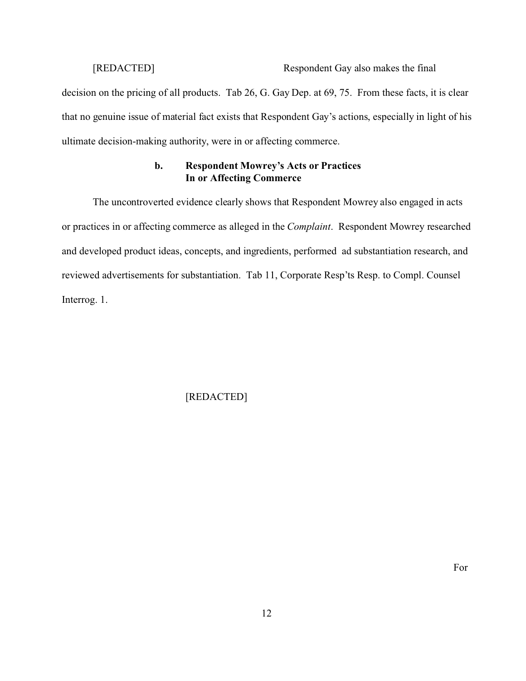# [REDACTED] Respondent Gay also makes the final

decision on the pricing of all products. Tab 26, G. Gay Dep. at 69, 75. From these facts, it is clear that no genuine issue of material fact exists that Respondent Gay's actions, especially in light of his ultimate decision-making authority, were in or affecting commerce.

### **b. Respondent Mowrey's Acts or Practices In or Affecting Commerce**

The uncontroverted evidence clearly shows that Respondent Mowrey also engaged in acts or practices in or affecting commerce as alleged in the *Complaint*. Respondent Mowrey researched and developed product ideas, concepts, and ingredients, performed ad substantiation research, and reviewed advertisements for substantiation. Tab 11, Corporate Resp'ts Resp. to Compl. Counsel Interrog. 1.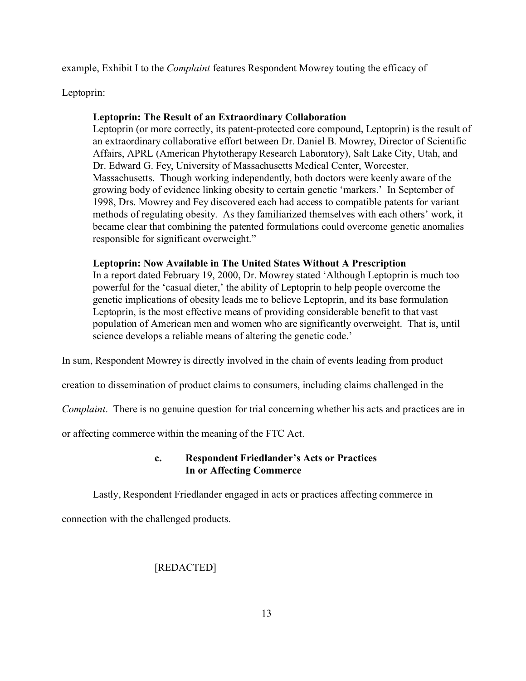example, Exhibit I to the *Complaint* features Respondent Mowrey touting the efficacy of

Leptoprin:

### **Leptoprin: The Result of an Extraordinary Collaboration**

Leptoprin (or more correctly, its patent-protected core compound, Leptoprin) is the result of an extraordinary collaborative effort between Dr. Daniel B. Mowrey, Director of Scientific Affairs, APRL (American Phytotherapy Research Laboratory), Salt Lake City, Utah, and Dr. Edward G. Fey, University of Massachusetts Medical Center, Worcester, Massachusetts. Though working independently, both doctors were keenly aware of the growing body of evidence linking obesity to certain genetic 'markers.' In September of 1998, Drs. Mowrey and Fey discovered each had access to compatible patents for variant methods of regulating obesity. As they familiarized themselves with each others' work, it became clear that combining the patented formulations could overcome genetic anomalies responsible for significant overweight."

### **Leptoprin: Now Available in The United States Without A Prescription**

In a report dated February 19, 2000, Dr. Mowrey stated 'Although Leptoprin is much too powerful for the 'casual dieter,' the ability of Leptoprin to help people overcome the genetic implications of obesity leads me to believe Leptoprin, and its base formulation Leptoprin, is the most effective means of providing considerable benefit to that vast population of American men and women who are significantly overweight. That is, until science develops a reliable means of altering the genetic code.'

In sum, Respondent Mowrey is directly involved in the chain of events leading from product

creation to dissemination of product claims to consumers, including claims challenged in the

*Complaint*. There is no genuine question for trial concerning whether his acts and practices are in

or affecting commerce within the meaning of the FTC Act.

### **c. Respondent Friedlander's Acts or Practices In or Affecting Commerce**

Lastly, Respondent Friedlander engaged in acts or practices affecting commerce in

connection with the challenged products.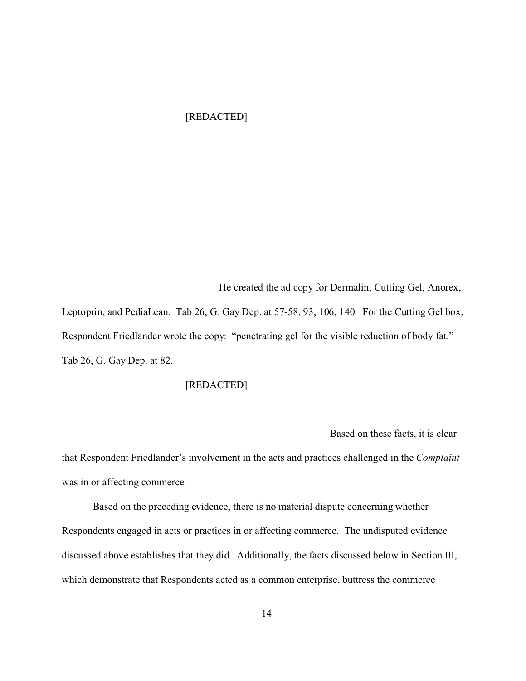### [REDACTED]

 He created the ad copy for Dermalin, Cutting Gel, Anorex, Leptoprin, and PediaLean. Tab 26, G. Gay Dep. at 57-58, 93, 106, 140. For the Cutting Gel box, Respondent Friedlander wrote the copy: "penetrating gel for the visible reduction of body fat." Tab 26, G. Gay Dep. at 82.

### [REDACTED]

Based on these facts, it is clear

that Respondent Friedlander's involvement in the acts and practices challenged in the *Complaint* was in or affecting commerce.

Based on the preceding evidence, there is no material dispute concerning whether Respondents engaged in acts or practices in or affecting commerce. The undisputed evidence discussed above establishes that they did. Additionally, the facts discussed below in Section III, which demonstrate that Respondents acted as a common enterprise, buttress the commerce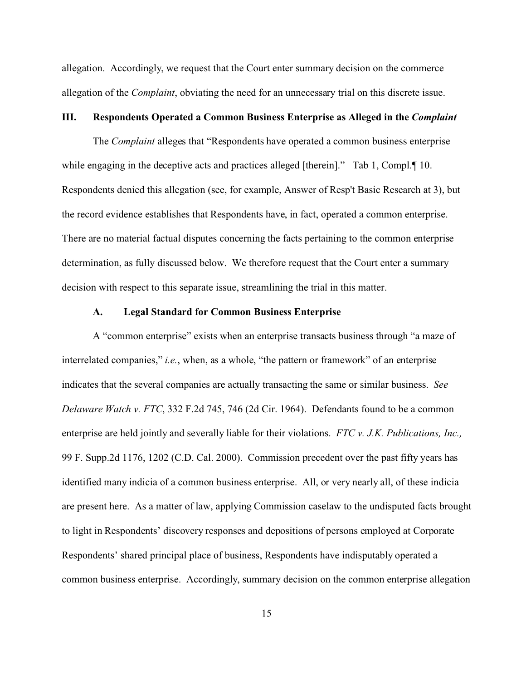allegation. Accordingly, we request that the Court enter summary decision on the commerce allegation of the *Complaint*, obviating the need for an unnecessary trial on this discrete issue.

#### **III. Respondents Operated a Common Business Enterprise as Alleged in the** *Complaint*

The *Complaint* alleges that "Respondents have operated a common business enterprise while engaging in the deceptive acts and practices alleged [therein]." Tab 1, Compl. [10. Respondents denied this allegation (see, for example, Answer of Resp't Basic Research at 3), but the record evidence establishes that Respondents have, in fact, operated a common enterprise. There are no material factual disputes concerning the facts pertaining to the common enterprise determination, as fully discussed below. We therefore request that the Court enter a summary decision with respect to this separate issue, streamlining the trial in this matter.

### **A. Legal Standard for Common Business Enterprise**

A "common enterprise" exists when an enterprise transacts business through "a maze of interrelated companies," *i.e.*, when, as a whole, "the pattern or framework" of an enterprise indicates that the several companies are actually transacting the same or similar business. *See Delaware Watch v. FTC*, 332 F.2d 745, 746 (2d Cir. 1964). Defendants found to be a common enterprise are held jointly and severally liable for their violations. *FTC v. J.K. Publications, Inc.,* 99 F. Supp.2d 1176, 1202 (C.D. Cal. 2000). Commission precedent over the past fifty years has identified many indicia of a common business enterprise. All, or very nearly all, of these indicia are present here. As a matter of law, applying Commission caselaw to the undisputed facts brought to light in Respondents' discovery responses and depositions of persons employed at Corporate Respondents' shared principal place of business, Respondents have indisputably operated a common business enterprise. Accordingly, summary decision on the common enterprise allegation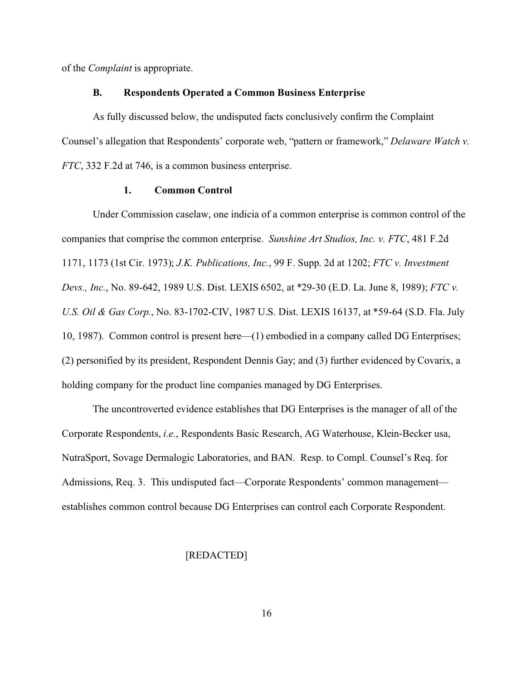of the *Complaint* is appropriate.

#### **B. Respondents Operated a Common Business Enterprise**

As fully discussed below, the undisputed facts conclusively confirm the Complaint Counsel's allegation that Respondents' corporate web, "pattern or framework," *Delaware Watch v. FTC*, 332 F.2d at 746, is a common business enterprise.

#### **1. Common Control**

Under Commission caselaw, one indicia of a common enterprise is common control of the companies that comprise the common enterprise. *Sunshine Art Studios, Inc. v. FTC*, 481 F.2d 1171, 1173 (1st Cir. 1973); *J.K. Publications, Inc.*, 99 F. Supp. 2d at 1202; *FTC v. Investment Devs., Inc.*, No. 89-642, 1989 U.S. Dist. LEXIS 6502, at \*29-30 (E.D. La. June 8, 1989); *FTC v. U.S. Oil & Gas Corp.*, No. 83-1702-CIV, 1987 U.S. Dist. LEXIS 16137, at \*59-64 (S.D. Fla. July 10, 1987). Common control is present here—(1) embodied in a company called DG Enterprises; (2) personified by its president, Respondent Dennis Gay; and (3) further evidenced by Covarix, a holding company for the product line companies managed by DG Enterprises.

The uncontroverted evidence establishes that DG Enterprises is the manager of all of the Corporate Respondents, *i.e.*, Respondents Basic Research, AG Waterhouse, Klein-Becker usa, NutraSport, Sovage Dermalogic Laboratories, and BAN. Resp. to Compl. Counsel's Req. for Admissions, Req. 3. This undisputed fact—Corporate Respondents' common management establishes common control because DG Enterprises can control each Corporate Respondent.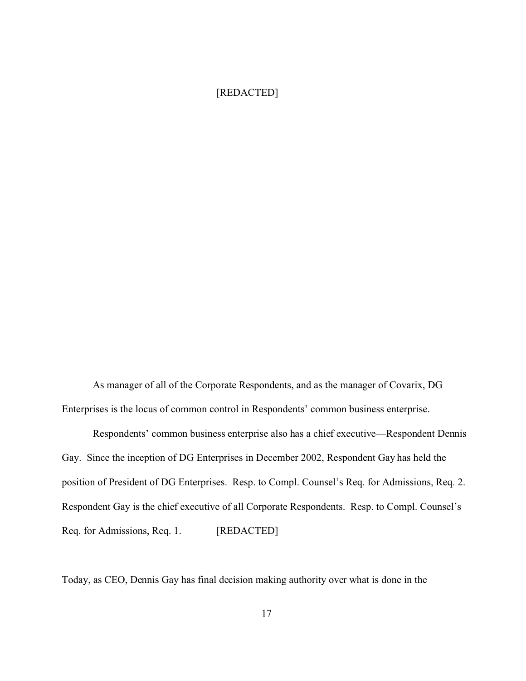### [REDACTED]

As manager of all of the Corporate Respondents, and as the manager of Covarix, DG Enterprises is the locus of common control in Respondents' common business enterprise.

Respondents' common business enterprise also has a chief executive—Respondent Dennis Gay. Since the inception of DG Enterprises in December 2002, Respondent Gay has held the position of President of DG Enterprises. Resp. to Compl. Counsel's Req. for Admissions, Req. 2. Respondent Gay is the chief executive of all Corporate Respondents. Resp. to Compl. Counsel's Req. for Admissions, Req. 1. [REDACTED]

Today, as CEO, Dennis Gay has final decision making authority over what is done in the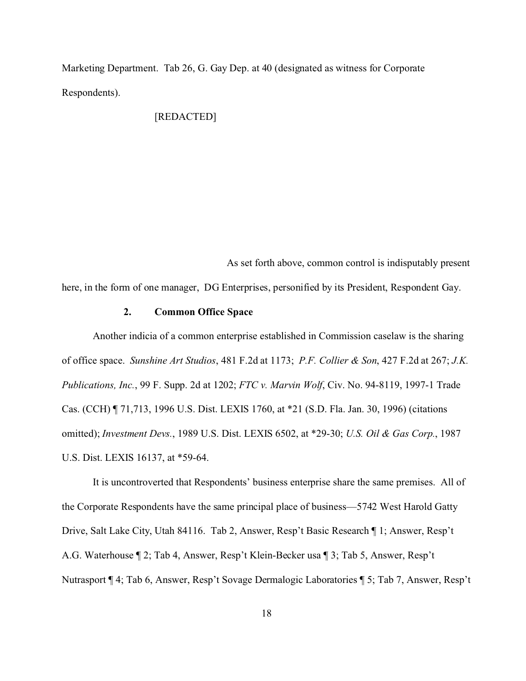Marketing Department. Tab 26, G. Gay Dep. at 40 (designated as witness for Corporate Respondents).

### [REDACTED]

 As set forth above, common control is indisputably present here, in the form of one manager, DG Enterprises, personified by its President, Respondent Gay.

### **2. Common Office Space**

Another indicia of a common enterprise established in Commission caselaw is the sharing of office space. *Sunshine Art Studios*, 481 F.2d at 1173; *P.F. Collier & Son*, 427 F.2d at 267; *J.K. Publications, Inc.*, 99 F. Supp. 2d at 1202; *FTC v. Marvin Wolf*, Civ. No. 94-8119, 1997-1 Trade Cas. (CCH) ¶ 71,713, 1996 U.S. Dist. LEXIS 1760, at \*21 (S.D. Fla. Jan. 30, 1996) (citations omitted); *Investment Devs.*, 1989 U.S. Dist. LEXIS 6502, at \*29-30; *U.S. Oil & Gas Corp.*, 1987 U.S. Dist. LEXIS 16137, at \*59-64.

It is uncontroverted that Respondents' business enterprise share the same premises. All of the Corporate Respondents have the same principal place of business—5742 West Harold Gatty Drive, Salt Lake City, Utah 84116. Tab 2, Answer, Resp't Basic Research ¶ 1; Answer, Resp't A.G. Waterhouse ¶ 2; Tab 4, Answer, Resp't Klein-Becker usa ¶ 3; Tab 5, Answer, Resp't Nutrasport ¶ 4; Tab 6, Answer, Resp't Sovage Dermalogic Laboratories ¶ 5; Tab 7, Answer, Resp't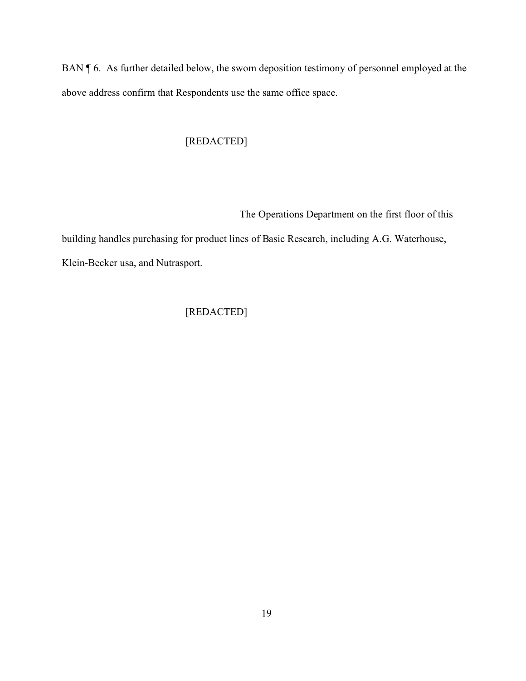BAN ¶ 6. As further detailed below, the sworn deposition testimony of personnel employed at the above address confirm that Respondents use the same office space.

## [REDACTED]

The Operations Department on the first floor of this

building handles purchasing for product lines of Basic Research, including A.G. Waterhouse, Klein-Becker usa, and Nutrasport.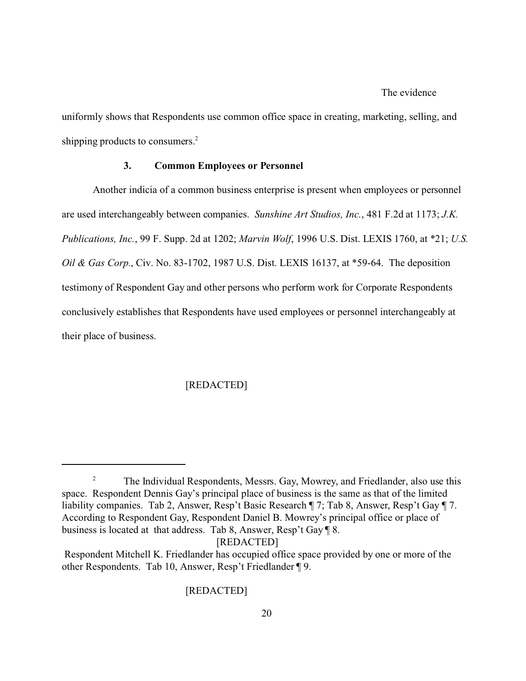#### The evidence

uniformly shows that Respondents use common office space in creating, marketing, selling, and shipping products to consumers.<sup>2</sup>

#### **3. Common Employees or Personnel**

Another indicia of a common business enterprise is present when employees or personnel are used interchangeably between companies. *Sunshine Art Studios, Inc.*, 481 F.2d at 1173; *J.K. Publications, Inc.*, 99 F. Supp. 2d at 1202; *Marvin Wolf*, 1996 U.S. Dist. LEXIS 1760, at \*21; *U.S. Oil & Gas Corp.*, Civ. No. 83-1702, 1987 U.S. Dist. LEXIS 16137, at \*59-64. The deposition testimony of Respondent Gay and other persons who perform work for Corporate Respondents conclusively establishes that Respondents have used employees or personnel interchangeably at their place of business.

### [REDACTED]

[REDACTED]

<sup>&</sup>lt;sup>2</sup> The Individual Respondents, Messrs. Gay, Mowrey, and Friedlander, also use this space. Respondent Dennis Gay's principal place of business is the same as that of the limited liability companies. Tab 2, Answer, Resp't Basic Research ¶ 7; Tab 8, Answer, Resp't Gay ¶ 7. According to Respondent Gay, Respondent Daniel B. Mowrey's principal office or place of business is located at that address. Tab 8, Answer, Resp't Gay ¶ 8.

Respondent Mitchell K. Friedlander has occupied office space provided by one or more of the other Respondents. Tab 10, Answer, Resp't Friedlander ¶ 9.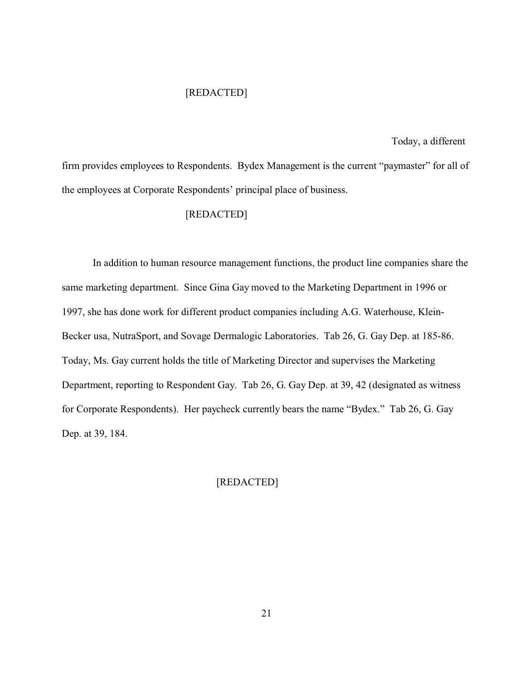### [REDACTED]

#### Today, a different

firm provides employees to Respondents. Bydex Management is the current "paymaster" for all of the employees at Corporate Respondents' principal place of business.

### [REDACTED]

In addition to human resource management functions, the product line companies share the same marketing department. Since Gina Gay moved to the Marketing Department in 1996 or 1997, she has done work for different product companies including A.G. Waterhouse, Klein-Becker usa, NutraSport, and Sovage Dermalogic Laboratories. Tab 26, G. Gay Dep. at 185-86. Today, Ms. Gay current holds the title of Marketing Director and supervises the Marketing Department, reporting to Respondent Gay. Tab 26, G. Gay Dep. at 39, 42 (designated as witness for Corporate Respondents). Her paycheck currently bears the name "Bydex." Tab 26, G. Gay Dep. at 39, 184.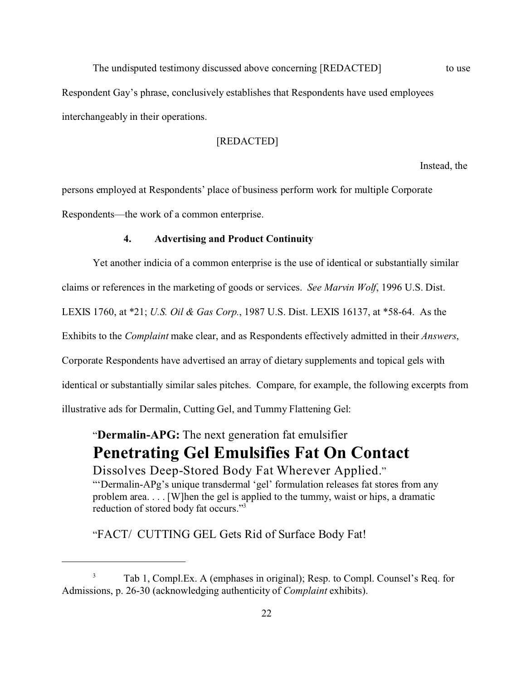The undisputed testimony discussed above concerning [REDACTED] to use Respondent Gay's phrase, conclusively establishes that Respondents have used employees interchangeably in their operations.

### [REDACTED]

Instead, the

persons employed at Respondents' place of business perform work for multiple Corporate Respondents—the work of a common enterprise.

#### **4. Advertising and Product Continuity**

Yet another indicia of a common enterprise is the use of identical or substantially similar

claims or references in the marketing of goods or services. *See Marvin Wolf*, 1996 U.S. Dist.

LEXIS 1760, at \*21; *U.S. Oil & Gas Corp.*, 1987 U.S. Dist. LEXIS 16137, at \*58-64. As the

Exhibits to the *Complaint* make clear, and as Respondents effectively admitted in their *Answers*,

Corporate Respondents have advertised an array of dietary supplements and topical gels with

identical or substantially similar sales pitches. Compare, for example, the following excerpts from

illustrative ads for Dermalin, Cutting Gel, and Tummy Flattening Gel:

"**Dermalin-APG:** The next generation fat emulsifier **Penetrating Gel Emulsifies Fat On Contact**

Dissolves Deep-Stored Body Fat Wherever Applied." "'Dermalin-APg's unique transdermal 'gel' formulation releases fat stores from any problem area. . . . [W]hen the gel is applied to the tummy, waist or hips, a dramatic reduction of stored body fat occurs."<sup>3</sup>

"FACT/ CUTTING GEL Gets Rid of Surface Body Fat!

<sup>3</sup> Tab 1, Compl.Ex. A (emphases in original); Resp. to Compl. Counsel's Req. for Admissions, p. 26-30 (acknowledging authenticity of *Complaint* exhibits).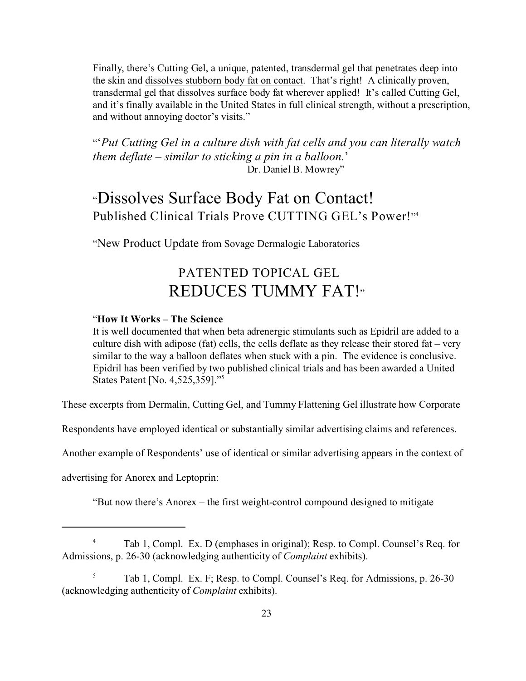Finally, there's Cutting Gel, a unique, patented, transdermal gel that penetrates deep into the skin and dissolves stubborn body fat on contact. That's right! A clinically proven, transdermal gel that dissolves surface body fat wherever applied! It's called Cutting Gel, and it's finally available in the United States in full clinical strength, without a prescription, and without annoying doctor's visits."

"'*Put Cutting Gel in a culture dish with fat cells and you can literally watch them deflate – similar to sticking a pin in a balloon.*' Dr. Daniel B. Mowrey"

# "Dissolves Surface Body Fat on Contact! Published Clinical Trials Prove CUTTING GEL's Power!" 4

"New Product Update from Sovage Dermalogic Laboratories

# PATENTED TOPICAL GEL REDUCES TUMMY FAT!"

### "**How It Works – The Science**

It is well documented that when beta adrenergic stimulants such as Epidril are added to a culture dish with adipose (fat) cells, the cells deflate as they release their stored fat – very similar to the way a balloon deflates when stuck with a pin. The evidence is conclusive. Epidril has been verified by two published clinical trials and has been awarded a United States Patent [No. 4,525,359]."<sup>5</sup>

These excerpts from Dermalin, Cutting Gel, and Tummy Flattening Gel illustrate how Corporate

Respondents have employed identical or substantially similar advertising claims and references.

Another example of Respondents' use of identical or similar advertising appears in the context of

advertising for Anorex and Leptoprin:

"But now there's Anorex – the first weight-control compound designed to mitigate

<sup>4</sup> Tab 1, Compl. Ex. D (emphases in original); Resp. to Compl. Counsel's Req. for Admissions, p. 26-30 (acknowledging authenticity of *Complaint* exhibits).

<sup>5</sup> Tab 1, Compl. Ex. F; Resp. to Compl. Counsel's Req. for Admissions, p. 26-30 (acknowledging authenticity of *Complaint* exhibits).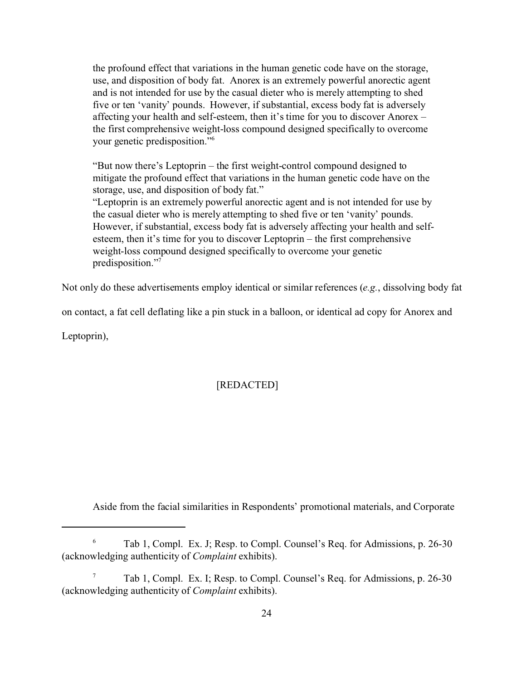the profound effect that variations in the human genetic code have on the storage, use, and disposition of body fat. Anorex is an extremely powerful anorectic agent and is not intended for use by the casual dieter who is merely attempting to shed five or ten 'vanity' pounds. However, if substantial, excess body fat is adversely affecting your health and self-esteem, then it's time for you to discover Anorex – the first comprehensive weight-loss compound designed specifically to overcome your genetic predisposition."<sup>6</sup>

"But now there's Leptoprin – the first weight-control compound designed to mitigate the profound effect that variations in the human genetic code have on the storage, use, and disposition of body fat."

"Leptoprin is an extremely powerful anorectic agent and is not intended for use by the casual dieter who is merely attempting to shed five or ten 'vanity' pounds. However, if substantial, excess body fat is adversely affecting your health and selfesteem, then it's time for you to discover Leptoprin – the first comprehensive weight-loss compound designed specifically to overcome your genetic predisposition."<sup>7</sup>

Not only do these advertisements employ identical or similar references (*e.g.*, dissolving body fat

on contact, a fat cell deflating like a pin stuck in a balloon, or identical ad copy for Anorex and

Leptoprin),

### [REDACTED]

Aside from the facial similarities in Respondents' promotional materials, and Corporate

 $6$  Tab 1, Compl. Ex. J; Resp. to Compl. Counsel's Req. for Admissions, p. 26-30 (acknowledging authenticity of *Complaint* exhibits).

<sup>7</sup> Tab 1, Compl. Ex. I; Resp. to Compl. Counsel's Req. for Admissions, p. 26-30 (acknowledging authenticity of *Complaint* exhibits).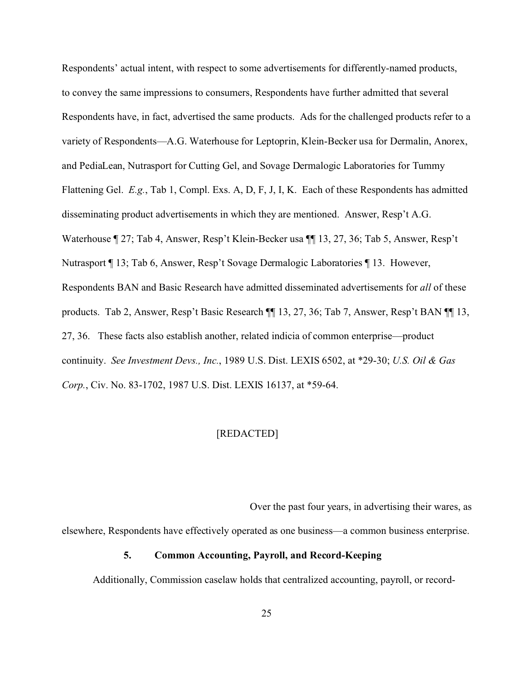Respondents' actual intent, with respect to some advertisements for differently-named products, to convey the same impressions to consumers, Respondents have further admitted that several Respondents have, in fact, advertised the same products. Ads for the challenged products refer to a variety of Respondents—A.G. Waterhouse for Leptoprin, Klein-Becker usa for Dermalin, Anorex, and PediaLean, Nutrasport for Cutting Gel, and Sovage Dermalogic Laboratories for Tummy Flattening Gel. *E.g.*, Tab 1, Compl. Exs. A, D, F, J, I, K. Each of these Respondents has admitted disseminating product advertisements in which they are mentioned. Answer, Resp't A.G. Waterhouse ¶ 27; Tab 4, Answer, Resp't Klein-Becker usa ¶¶ 13, 27, 36; Tab 5, Answer, Resp't Nutrasport ¶ 13; Tab 6, Answer, Resp't Sovage Dermalogic Laboratories ¶ 13. However, Respondents BAN and Basic Research have admitted disseminated advertisements for *all* of these products. Tab 2, Answer, Resp't Basic Research ¶¶ 13, 27, 36; Tab 7, Answer, Resp't BAN ¶¶ 13, 27, 36. These facts also establish another, related indicia of common enterprise—product continuity. *See Investment Devs., Inc.*, 1989 U.S. Dist. LEXIS 6502, at \*29-30; *U.S. Oil & Gas Corp.*, Civ. No. 83-1702, 1987 U.S. Dist. LEXIS 16137, at \*59-64.

#### [REDACTED]

Over the past four years, in advertising their wares, as

elsewhere, Respondents have effectively operated as one business—a common business enterprise.

#### **5. Common Accounting, Payroll, and Record-Keeping**

Additionally, Commission caselaw holds that centralized accounting, payroll, or record-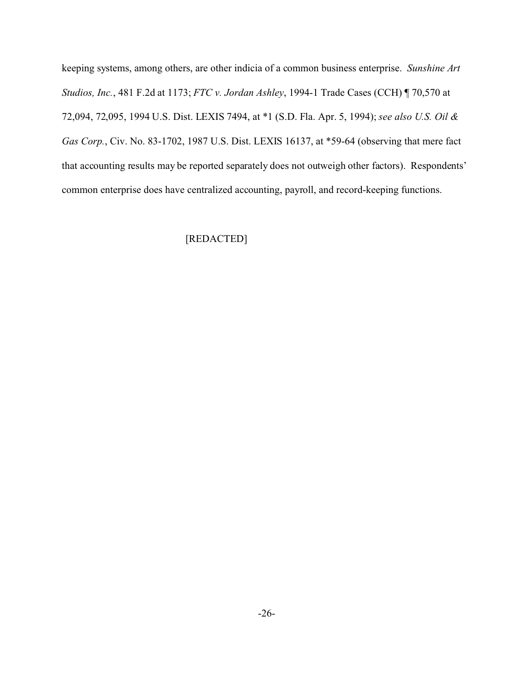keeping systems, among others, are other indicia of a common business enterprise. *Sunshine Art Studios, Inc.*, 481 F.2d at 1173; *FTC v. Jordan Ashley*, 1994-1 Trade Cases (CCH) ¶ 70,570 at 72,094, 72,095, 1994 U.S. Dist. LEXIS 7494, at \*1 (S.D. Fla. Apr. 5, 1994); *see also U.S. Oil & Gas Corp.*, Civ. No. 83-1702, 1987 U.S. Dist. LEXIS 16137, at \*59-64 (observing that mere fact that accounting results may be reported separately does not outweigh other factors). Respondents' common enterprise does have centralized accounting, payroll, and record-keeping functions.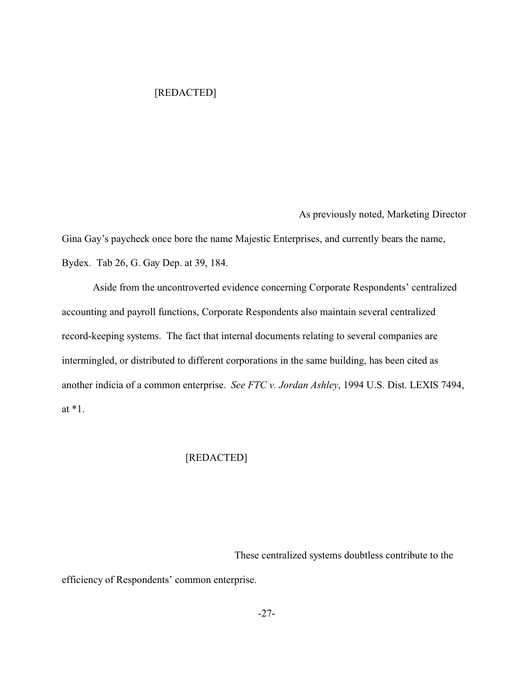### [REDACTED]

As previously noted, Marketing Director

Gina Gay's paycheck once bore the name Majestic Enterprises, and currently bears the name, Bydex. Tab 26, G. Gay Dep. at 39, 184.

Aside from the uncontroverted evidence concerning Corporate Respondents' centralized accounting and payroll functions, Corporate Respondents also maintain several centralized record-keeping systems. The fact that internal documents relating to several companies are intermingled, or distributed to different corporations in the same building, has been cited as another indicia of a common enterprise. *See FTC v. Jordan Ashley*, 1994 U.S. Dist. LEXIS 7494, at \*1.

### [REDACTED]

 These centralized systems doubtless contribute to the efficiency of Respondents' common enterprise.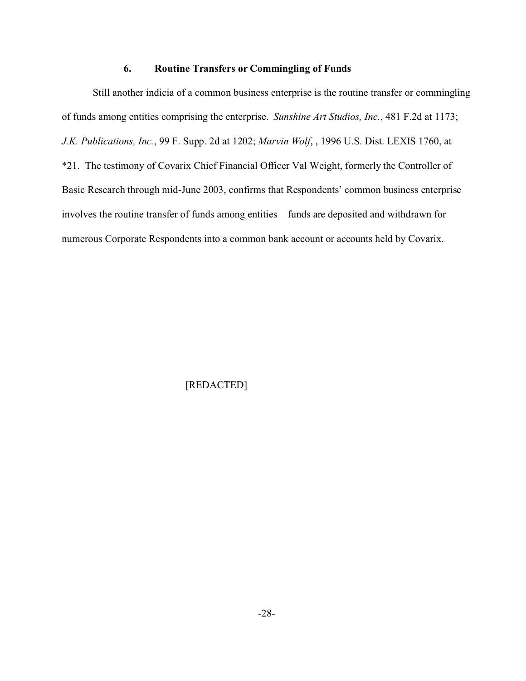#### **6. Routine Transfers or Commingling of Funds**

Still another indicia of a common business enterprise is the routine transfer or commingling of funds among entities comprising the enterprise. *Sunshine Art Studios, Inc.*, 481 F.2d at 1173; *J.K. Publications, Inc.*, 99 F. Supp. 2d at 1202; *Marvin Wolf*, , 1996 U.S. Dist. LEXIS 1760, at \*21. The testimony of Covarix Chief Financial Officer Val Weight, formerly the Controller of Basic Research through mid-June 2003, confirms that Respondents' common business enterprise involves the routine transfer of funds among entities—funds are deposited and withdrawn for numerous Corporate Respondents into a common bank account or accounts held by Covarix.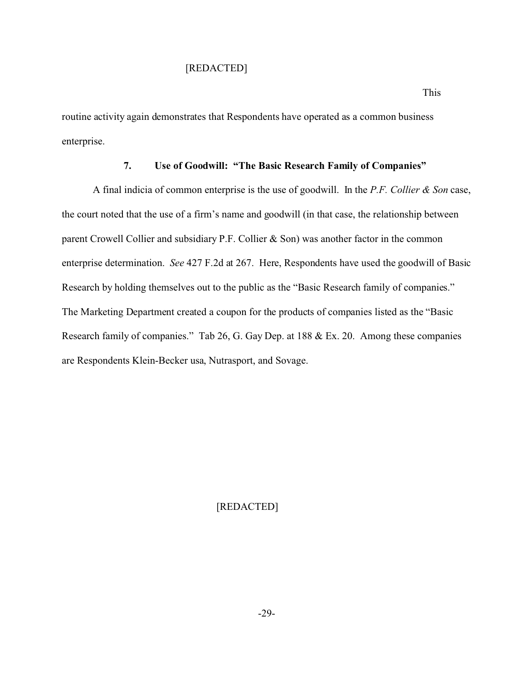#### [REDACTED]

routine activity again demonstrates that Respondents have operated as a common business enterprise.

#### **7. Use of Goodwill: "The Basic Research Family of Companies"**

A final indicia of common enterprise is the use of goodwill. In the *P.F. Collier & Son* case, the court noted that the use of a firm's name and goodwill (in that case, the relationship between parent Crowell Collier and subsidiary P.F. Collier & Son) was another factor in the common enterprise determination. *See* 427 F.2d at 267. Here, Respondents have used the goodwill of Basic Research by holding themselves out to the public as the "Basic Research family of companies." The Marketing Department created a coupon for the products of companies listed as the "Basic Research family of companies." Tab 26, G. Gay Dep. at 188 & Ex. 20. Among these companies are Respondents Klein-Becker usa, Nutrasport, and Sovage.

# [REDACTED]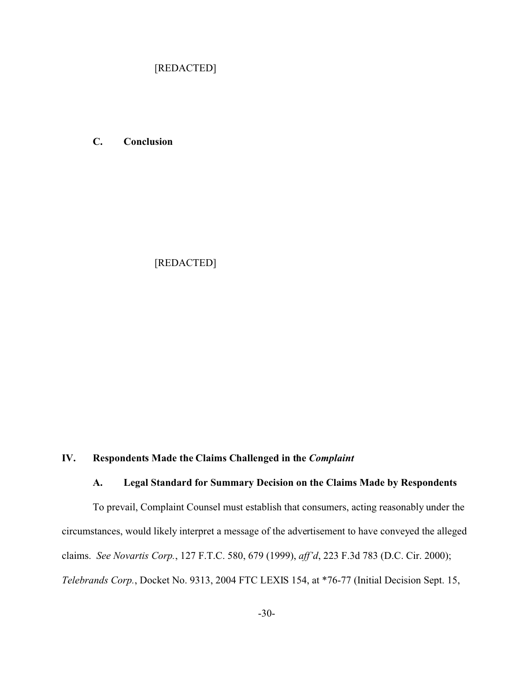[REDACTED]

**C. Conclusion**

[REDACTED]

# **IV. Respondents Made the Claims Challenged in the** *Complaint*

## **A. Legal Standard for Summary Decision on the Claims Made by Respondents**

To prevail, Complaint Counsel must establish that consumers, acting reasonably under the circumstances, would likely interpret a message of the advertisement to have conveyed the alleged claims. *See Novartis Corp.*, 127 F.T.C. 580, 679 (1999), *aff'd*, 223 F.3d 783 (D.C. Cir. 2000); *Telebrands Corp.*, Docket No. 9313, 2004 FTC LEXIS 154, at \*76-77 (Initial Decision Sept. 15,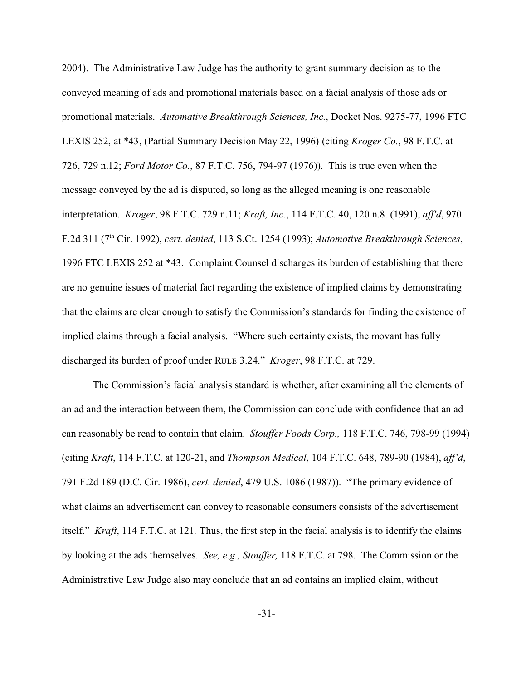2004). The Administrative Law Judge has the authority to grant summary decision as to the conveyed meaning of ads and promotional materials based on a facial analysis of those ads or promotional materials. *Automative Breakthrough Sciences, Inc.*, Docket Nos. 9275-77, 1996 FTC LEXIS 252, at \*43, (Partial Summary Decision May 22, 1996) (citing *Kroger Co.*, 98 F.T.C. at 726, 729 n.12; *Ford Motor Co.*, 87 F.T.C. 756, 794-97 (1976)). This is true even when the message conveyed by the ad is disputed, so long as the alleged meaning is one reasonable interpretation. *Kroger*, 98 F.T.C. 729 n.11; *Kraft, Inc.*, 114 F.T.C. 40, 120 n.8. (1991), *aff'd*, 970 F.2d 311 (7th Cir. 1992), *cert. denied*, 113 S.Ct. 1254 (1993); *Automotive Breakthrough Sciences*, 1996 FTC LEXIS 252 at \*43. Complaint Counsel discharges its burden of establishing that there are no genuine issues of material fact regarding the existence of implied claims by demonstrating that the claims are clear enough to satisfy the Commission's standards for finding the existence of implied claims through a facial analysis. "Where such certainty exists, the movant has fully discharged its burden of proof under RULE 3.24." *Kroger*, 98 F.T.C. at 729.

The Commission's facial analysis standard is whether, after examining all the elements of an ad and the interaction between them, the Commission can conclude with confidence that an ad can reasonably be read to contain that claim. *Stouffer Foods Corp.,* 118 F.T.C. 746, 798-99 (1994) (citing *Kraft*, 114 F.T.C. at 120-21, and *Thompson Medical*, 104 F.T.C. 648, 789-90 (1984), *aff'd*, 791 F.2d 189 (D.C. Cir. 1986), *cert. denied*, 479 U.S. 1086 (1987)). "The primary evidence of what claims an advertisement can convey to reasonable consumers consists of the advertisement itself." *Kraft*, 114 F.T.C. at 121*.* Thus, the first step in the facial analysis is to identify the claims by looking at the ads themselves. *See, e.g., Stouffer,* 118 F.T.C. at 798. The Commission or the Administrative Law Judge also may conclude that an ad contains an implied claim, without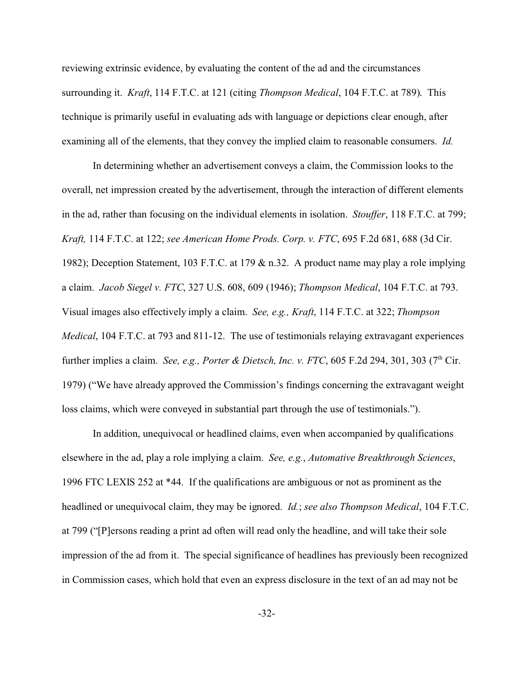reviewing extrinsic evidence, by evaluating the content of the ad and the circumstances surrounding it. *Kraft*, 114 F.T.C. at 121 (citing *Thompson Medical*, 104 F.T.C. at 789). This technique is primarily useful in evaluating ads with language or depictions clear enough, after examining all of the elements, that they convey the implied claim to reasonable consumers. *Id.* 

In determining whether an advertisement conveys a claim, the Commission looks to the overall, net impression created by the advertisement, through the interaction of different elements in the ad, rather than focusing on the individual elements in isolation. *Stouffer*, 118 F.T.C. at 799; *Kraft,* 114 F.T.C. at 122; *see American Home Prods. Corp. v. FTC*, 695 F.2d 681, 688 (3d Cir. 1982); Deception Statement, 103 F.T.C. at 179 & n.32. A product name may play a role implying a claim. *Jacob Siegel v. FTC*, 327 U.S. 608, 609 (1946); *Thompson Medical*, 104 F.T.C. at 793. Visual images also effectively imply a claim. *See, e.g., Kraft*, 114 F.T.C. at 322; *Thompson Medical*, 104 F.T.C. at 793 and 811-12. The use of testimonials relaying extravagant experiences further implies a claim. *See, e.g., Porter & Dietsch, Inc. v. FTC*, 605 F.2d 294, 301, 303 (7<sup>th</sup> Cir. 1979) ("We have already approved the Commission's findings concerning the extravagant weight loss claims, which were conveyed in substantial part through the use of testimonials.").

In addition, unequivocal or headlined claims, even when accompanied by qualifications elsewhere in the ad, play a role implying a claim. *See, e.g.*, *Automative Breakthrough Sciences*, 1996 FTC LEXIS 252 at \*44. If the qualifications are ambiguous or not as prominent as the headlined or unequivocal claim, they may be ignored. *Id.*; *see also Thompson Medical*, 104 F.T.C. at 799 ("[P]ersons reading a print ad often will read only the headline, and will take their sole impression of the ad from it. The special significance of headlines has previously been recognized in Commission cases, which hold that even an express disclosure in the text of an ad may not be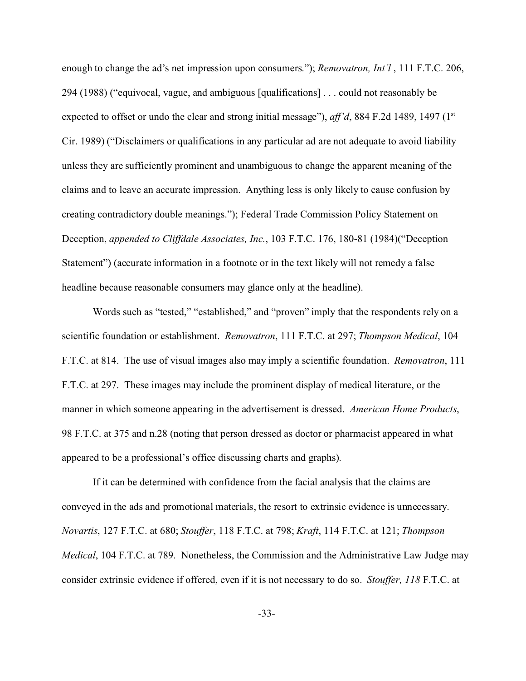enough to change the ad's net impression upon consumers."); *Removatron, Int'l* , 111 F.T.C. 206, 294 (1988) ("equivocal, vague, and ambiguous [qualifications] . . . could not reasonably be expected to offset or undo the clear and strong initial message"), *aff'd*, 884 F.2d 1489, 1497 (1<sup>st</sup>) Cir. 1989) ("Disclaimers or qualifications in any particular ad are not adequate to avoid liability unless they are sufficiently prominent and unambiguous to change the apparent meaning of the claims and to leave an accurate impression. Anything less is only likely to cause confusion by creating contradictory double meanings."); Federal Trade Commission Policy Statement on Deception, *appended to Cliffdale Associates, Inc.*, 103 F.T.C. 176, 180-81 (1984)("Deception Statement") (accurate information in a footnote or in the text likely will not remedy a false headline because reasonable consumers may glance only at the headline).

Words such as "tested," "established," and "proven" imply that the respondents rely on a scientific foundation or establishment. *Removatron*, 111 F.T.C. at 297; *Thompson Medical*, 104 F.T.C. at 814. The use of visual images also may imply a scientific foundation. *Removatron*, 111 F.T.C. at 297. These images may include the prominent display of medical literature, or the manner in which someone appearing in the advertisement is dressed. *American Home Products*, 98 F.T.C. at 375 and n.28 (noting that person dressed as doctor or pharmacist appeared in what appeared to be a professional's office discussing charts and graphs).

If it can be determined with confidence from the facial analysis that the claims are conveyed in the ads and promotional materials, the resort to extrinsic evidence is unnecessary. *Novartis*, 127 F.T.C. at 680; *Stouffer*, 118 F.T.C. at 798; *Kraft*, 114 F.T.C. at 121; *Thompson Medical*, 104 F.T.C. at 789. Nonetheless, the Commission and the Administrative Law Judge may consider extrinsic evidence if offered, even if it is not necessary to do so. *Stouffer, 118* F.T.C. at

-33-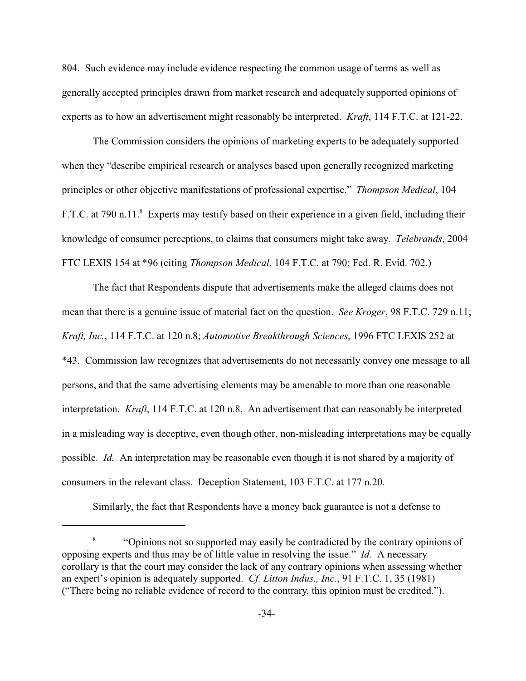804. Such evidence may include evidence respecting the common usage of terms as well as generally accepted principles drawn from market research and adequately supported opinions of experts as to how an advertisement might reasonably be interpreted. *Kraft*, 114 F.T.C. at 121-22.

The Commission considers the opinions of marketing experts to be adequately supported when they "describe empirical research or analyses based upon generally recognized marketing principles or other objective manifestations of professional expertise." *Thompson Medical*, 104 F.T.C. at 790 n.11.<sup>8</sup> Experts may testify based on their experience in a given field, including their knowledge of consumer perceptions, to claims that consumers might take away. *Telebrands*, 2004 FTC LEXIS 154 at \*96 (citing *Thompson Medical*, 104 F.T.C. at 790; Fed. R. Evid. 702.)

The fact that Respondents dispute that advertisements make the alleged claims does not mean that there is a genuine issue of material fact on the question. *See Kroger*, 98 F.T.C. 729 n.11; *Kraft, Inc.*, 114 F.T.C. at 120 n.8; *Automotive Breakthrough Sciences*, 1996 FTC LEXIS 252 at \*43. Commission law recognizes that advertisements do not necessarily convey one message to all persons, and that the same advertising elements may be amenable to more than one reasonable interpretation. *Kraft*, 114 F.T.C. at 120 n.8. An advertisement that can reasonably be interpreted in a misleading way is deceptive, even though other, non-misleading interpretations may be equally possible. *Id.* An interpretation may be reasonable even though it is not shared by a majority of consumers in the relevant class. Deception Statement, 103 F.T.C. at 177 n.20.

Similarly, the fact that Respondents have a money back guarantee is not a defense to

<sup>8</sup> "Opinions not so supported may easily be contradicted by the contrary opinions of opposing experts and thus may be of little value in resolving the issue." *Id.* A necessary corollary is that the court may consider the lack of any contrary opinions when assessing whether an expert's opinion is adequately supported. *Cf. Litton Indus., Inc.*, 91 F.T.C. 1, 35 (1981) ("There being no reliable evidence of record to the contrary, this opinion must be credited.").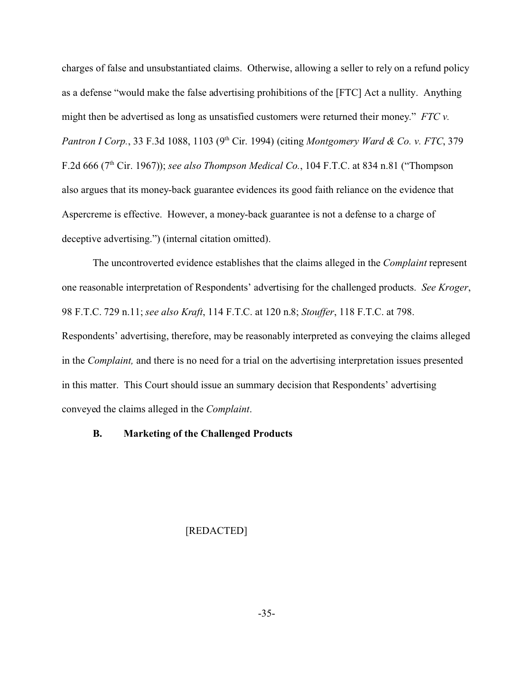charges of false and unsubstantiated claims. Otherwise, allowing a seller to rely on a refund policy as a defense "would make the false advertising prohibitions of the [FTC] Act a nullity. Anything might then be advertised as long as unsatisfied customers were returned their money." *FTC v. Pantron I Corp.*, 33 F.3d 1088, 1103 (9<sup>th</sup> Cir. 1994) (citing *Montgomery Ward & Co. v. FTC*, 379 F.2d 666 (7th Cir. 1967)); *see also Thompson Medical Co.*, 104 F.T.C. at 834 n.81 ("Thompson also argues that its money-back guarantee evidences its good faith reliance on the evidence that Aspercreme is effective. However, a money-back guarantee is not a defense to a charge of deceptive advertising.") (internal citation omitted).

The uncontroverted evidence establishes that the claims alleged in the *Complaint* represent one reasonable interpretation of Respondents' advertising for the challenged products. *See Kroger*, 98 F.T.C. 729 n.11; *see also Kraft*, 114 F.T.C. at 120 n.8; *Stouffer*, 118 F.T.C. at 798. Respondents' advertising, therefore, may be reasonably interpreted as conveying the claims alleged in the *Complaint,* and there is no need for a trial on the advertising interpretation issues presented in this matter. This Court should issue an summary decision that Respondents' advertising conveyed the claims alleged in the *Complaint*.

#### **B. Marketing of the Challenged Products**

# [REDACTED]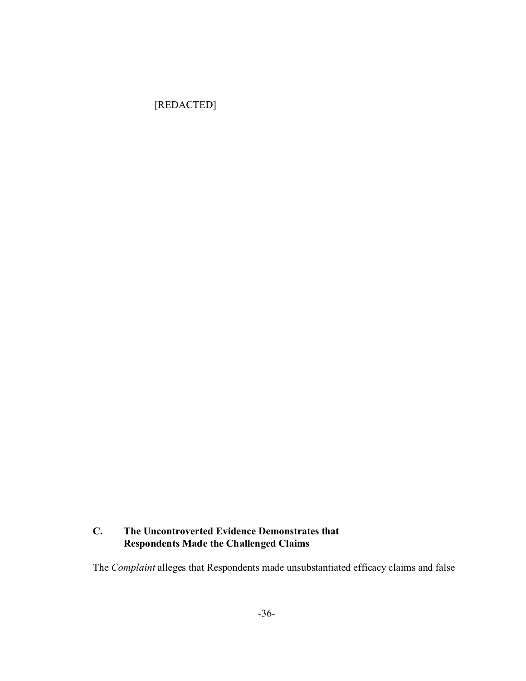[REDACTED]

# **C. The Uncontroverted Evidence Demonstrates that Respondents Made the Challenged Claims**

The *Complaint* alleges that Respondents made unsubstantiated efficacy claims and false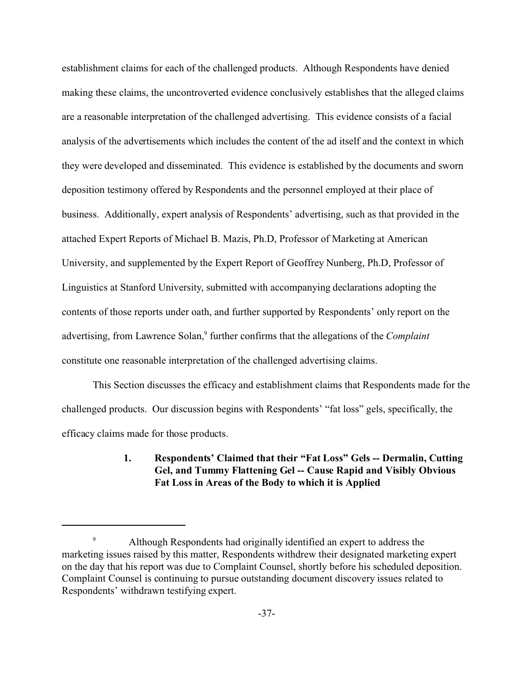establishment claims for each of the challenged products. Although Respondents have denied making these claims, the uncontroverted evidence conclusively establishes that the alleged claims are a reasonable interpretation of the challenged advertising. This evidence consists of a facial analysis of the advertisements which includes the content of the ad itself and the context in which they were developed and disseminated. This evidence is established by the documents and sworn deposition testimony offered by Respondents and the personnel employed at their place of business. Additionally, expert analysis of Respondents' advertising, such as that provided in the attached Expert Reports of Michael B. Mazis, Ph.D, Professor of Marketing at American University, and supplemented by the Expert Report of Geoffrey Nunberg, Ph.D, Professor of Linguistics at Stanford University, submitted with accompanying declarations adopting the contents of those reports under oath, and further supported by Respondents' only report on the advertising, from Lawrence Solan,<sup>9</sup> further confirms that the allegations of the *Complaint* constitute one reasonable interpretation of the challenged advertising claims.

This Section discusses the efficacy and establishment claims that Respondents made for the challenged products. Our discussion begins with Respondents' "fat loss" gels, specifically, the efficacy claims made for those products.

# **1. Respondents' Claimed that their "Fat Loss" Gels -- Dermalin, Cutting Gel, and Tummy Flattening Gel -- Cause Rapid and Visibly Obvious Fat Loss in Areas of the Body to which it is Applied**

<sup>9</sup> Although Respondents had originally identified an expert to address the marketing issues raised by this matter, Respondents withdrew their designated marketing expert on the day that his report was due to Complaint Counsel, shortly before his scheduled deposition. Complaint Counsel is continuing to pursue outstanding document discovery issues related to Respondents' withdrawn testifying expert.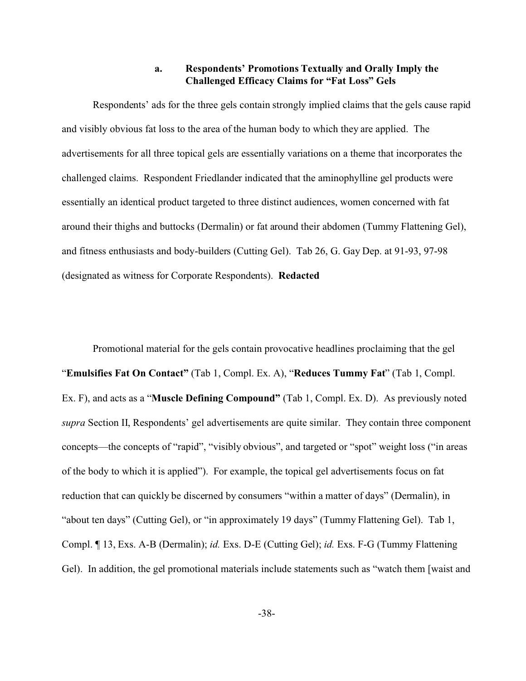#### **a. Respondents' Promotions Textually and Orally Imply the Challenged Efficacy Claims for "Fat Loss" Gels**

Respondents' ads for the three gels contain strongly implied claims that the gels cause rapid and visibly obvious fat loss to the area of the human body to which they are applied. The advertisements for all three topical gels are essentially variations on a theme that incorporates the challenged claims. Respondent Friedlander indicated that the aminophylline gel products were essentially an identical product targeted to three distinct audiences, women concerned with fat around their thighs and buttocks (Dermalin) or fat around their abdomen (Tummy Flattening Gel), and fitness enthusiasts and body-builders (Cutting Gel). Tab 26, G. Gay Dep. at 91-93, 97-98 (designated as witness for Corporate Respondents). **Redacted**

Promotional material for the gels contain provocative headlines proclaiming that the gel "**Emulsifies Fat On Contact"** (Tab 1, Compl. Ex. A), "**Reduces Tummy Fat**" (Tab 1, Compl. Ex. F), and acts as a "**Muscle Defining Compound"** (Tab 1, Compl. Ex. D). As previously noted *supra* Section II, Respondents' gel advertisements are quite similar. They contain three component concepts—the concepts of "rapid", "visibly obvious", and targeted or "spot" weight loss ("in areas of the body to which it is applied"). For example, the topical gel advertisements focus on fat reduction that can quickly be discerned by consumers "within a matter of days" (Dermalin), in "about ten days" (Cutting Gel), or "in approximately 19 days" (Tummy Flattening Gel). Tab 1, Compl. ¶ 13, Exs. A-B (Dermalin); *id.* Exs. D-E (Cutting Gel); *id.* Exs. F-G (Tummy Flattening Gel). In addition, the gel promotional materials include statements such as "watch them [waist and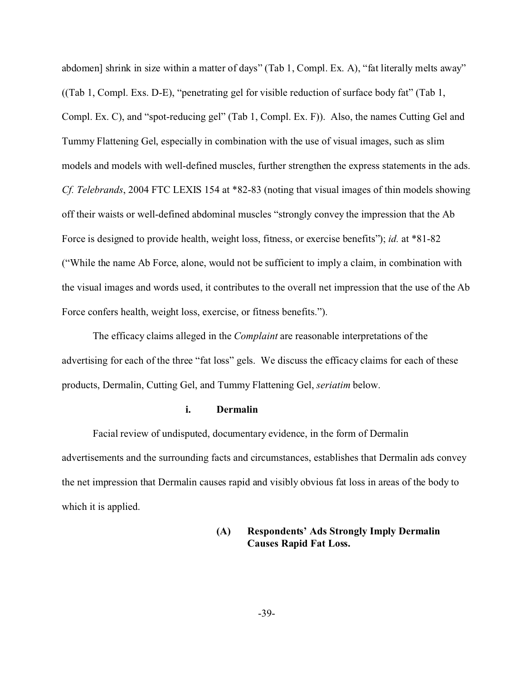abdomen] shrink in size within a matter of days" (Tab 1, Compl. Ex. A), "fat literally melts away" ((Tab 1, Compl. Exs. D-E), "penetrating gel for visible reduction of surface body fat" (Tab 1, Compl. Ex. C), and "spot-reducing gel" (Tab 1, Compl. Ex. F)). Also, the names Cutting Gel and Tummy Flattening Gel, especially in combination with the use of visual images, such as slim models and models with well-defined muscles, further strengthen the express statements in the ads. *Cf. Telebrands*, 2004 FTC LEXIS 154 at \*82-83 (noting that visual images of thin models showing off their waists or well-defined abdominal muscles "strongly convey the impression that the Ab Force is designed to provide health, weight loss, fitness, or exercise benefits"); *id.* at \*81-82 ("While the name Ab Force, alone, would not be sufficient to imply a claim, in combination with the visual images and words used, it contributes to the overall net impression that the use of the Ab Force confers health, weight loss, exercise, or fitness benefits.").

 The efficacy claims alleged in the *Complaint* are reasonable interpretations of the advertising for each of the three "fat loss" gels. We discuss the efficacy claims for each of these products, Dermalin, Cutting Gel, and Tummy Flattening Gel, *seriatim* below.

#### **i. Dermalin**

Facial review of undisputed, documentary evidence, in the form of Dermalin advertisements and the surrounding facts and circumstances, establishes that Dermalin ads convey the net impression that Dermalin causes rapid and visibly obvious fat loss in areas of the body to which it is applied.

## **(A) Respondents' Ads Strongly Imply Dermalin Causes Rapid Fat Loss.**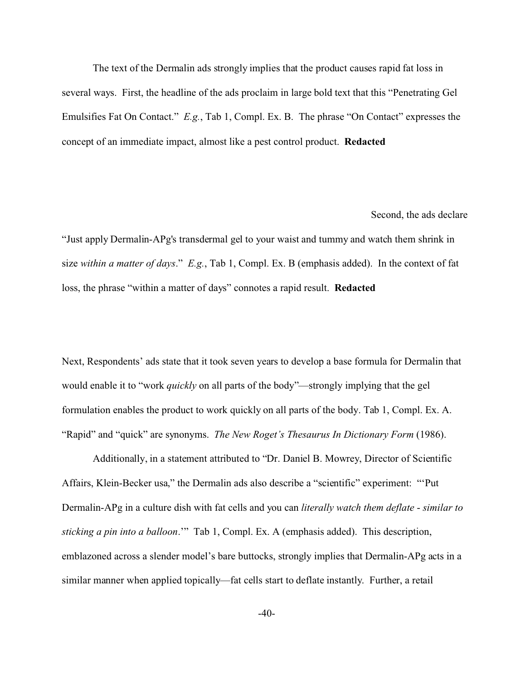The text of the Dermalin ads strongly implies that the product causes rapid fat loss in several ways. First, the headline of the ads proclaim in large bold text that this "Penetrating Gel Emulsifies Fat On Contact." *E.g.*, Tab 1, Compl. Ex. B. The phrase "On Contact" expresses the concept of an immediate impact, almost like a pest control product. **Redacted**

Second, the ads declare

"Just apply Dermalin-APg's transdermal gel to your waist and tummy and watch them shrink in size *within a matter of days*." *E.g.*, Tab 1, Compl. Ex. B (emphasis added). In the context of fat loss, the phrase "within a matter of days" connotes a rapid result. **Redacted**

Next, Respondents' ads state that it took seven years to develop a base formula for Dermalin that would enable it to "work *quickly* on all parts of the body"—strongly implying that the gel formulation enables the product to work quickly on all parts of the body. Tab 1, Compl. Ex. A. "Rapid" and "quick" are synonyms. *The New Roget's Thesaurus In Dictionary Form* (1986).

Additionally, in a statement attributed to "Dr. Daniel B. Mowrey, Director of Scientific Affairs, Klein-Becker usa," the Dermalin ads also describe a "scientific" experiment: "'Put Dermalin-APg in a culture dish with fat cells and you can *literally watch them deflate* - *similar to sticking a pin into a balloon*.'" Tab 1, Compl. Ex. A (emphasis added). This description, emblazoned across a slender model's bare buttocks, strongly implies that Dermalin-APg acts in a similar manner when applied topically—fat cells start to deflate instantly. Further, a retail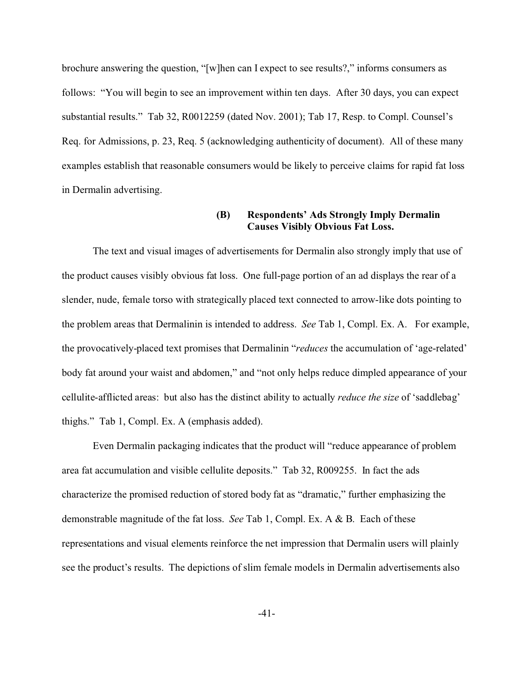brochure answering the question, "[w]hen can I expect to see results?," informs consumers as follows: "You will begin to see an improvement within ten days. After 30 days, you can expect substantial results." Tab 32, R0012259 (dated Nov. 2001); Tab 17, Resp. to Compl. Counsel's Req. for Admissions, p. 23, Req. 5 (acknowledging authenticity of document). All of these many examples establish that reasonable consumers would be likely to perceive claims for rapid fat loss in Dermalin advertising.

# **(B) Respondents' Ads Strongly Imply Dermalin Causes Visibly Obvious Fat Loss.**

The text and visual images of advertisements for Dermalin also strongly imply that use of the product causes visibly obvious fat loss. One full-page portion of an ad displays the rear of a slender, nude, female torso with strategically placed text connected to arrow-like dots pointing to the problem areas that Dermalinin is intended to address. *See* Tab 1, Compl. Ex. A. For example, the provocatively-placed text promises that Dermalinin "*reduces* the accumulation of 'age-related' body fat around your waist and abdomen," and "not only helps reduce dimpled appearance of your cellulite-afflicted areas: but also has the distinct ability to actually *reduce the size* of 'saddlebag' thighs." Tab 1, Compl. Ex. A (emphasis added).

Even Dermalin packaging indicates that the product will "reduce appearance of problem area fat accumulation and visible cellulite deposits." Tab 32, R009255. In fact the ads characterize the promised reduction of stored body fat as "dramatic," further emphasizing the demonstrable magnitude of the fat loss. *See* Tab 1, Compl. Ex. A & B. Each of these representations and visual elements reinforce the net impression that Dermalin users will plainly see the product's results. The depictions of slim female models in Dermalin advertisements also

-41-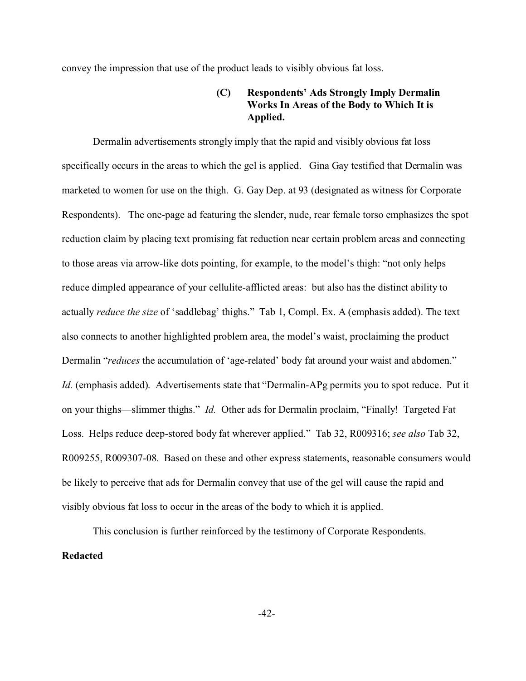convey the impression that use of the product leads to visibly obvious fat loss.

# **(C) Respondents' Ads Strongly Imply Dermalin Works In Areas of the Body to Which It is Applied.**

Dermalin advertisements strongly imply that the rapid and visibly obvious fat loss specifically occurs in the areas to which the gel is applied. Gina Gay testified that Dermalin was marketed to women for use on the thigh. G. Gay Dep. at 93 (designated as witness for Corporate Respondents). The one-page ad featuring the slender, nude, rear female torso emphasizes the spot reduction claim by placing text promising fat reduction near certain problem areas and connecting to those areas via arrow-like dots pointing, for example, to the model's thigh: "not only helps reduce dimpled appearance of your cellulite-afflicted areas: but also has the distinct ability to actually *reduce the size* of 'saddlebag' thighs." Tab 1, Compl. Ex. A (emphasis added). The text also connects to another highlighted problem area, the model's waist, proclaiming the product Dermalin "*reduces* the accumulation of 'age-related' body fat around your waist and abdomen." *Id.* (emphasis added). Advertisements state that "Dermalin-APg permits you to spot reduce. Put it on your thighs—slimmer thighs." *Id.* Other ads for Dermalin proclaim, "Finally! Targeted Fat Loss. Helps reduce deep-stored body fat wherever applied." Tab 32, R009316; *see also* Tab 32, R009255, R009307-08. Based on these and other express statements, reasonable consumers would be likely to perceive that ads for Dermalin convey that use of the gel will cause the rapid and visibly obvious fat loss to occur in the areas of the body to which it is applied.

This conclusion is further reinforced by the testimony of Corporate Respondents. **Redacted**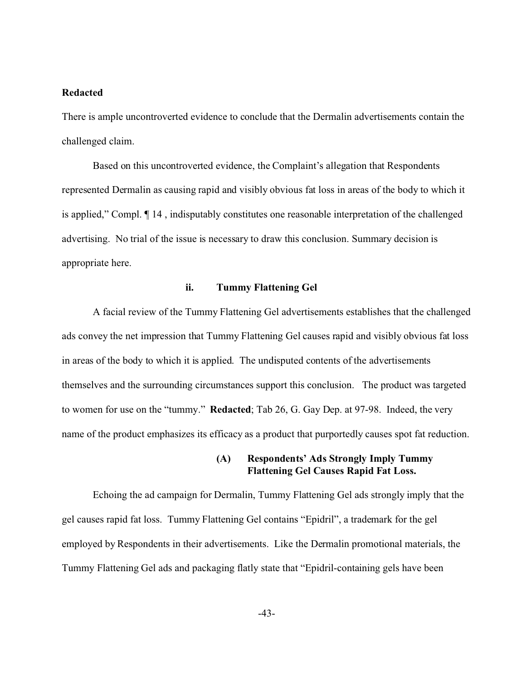#### **Redacted**

There is ample uncontroverted evidence to conclude that the Dermalin advertisements contain the challenged claim.

Based on this uncontroverted evidence, the Complaint's allegation that Respondents represented Dermalin as causing rapid and visibly obvious fat loss in areas of the body to which it is applied," Compl. ¶ 14 , indisputably constitutes one reasonable interpretation of the challenged advertising. No trial of the issue is necessary to draw this conclusion. Summary decision is appropriate here.

#### **ii. Tummy Flattening Gel**

A facial review of the Tummy Flattening Gel advertisements establishes that the challenged ads convey the net impression that Tummy Flattening Gel causes rapid and visibly obvious fat loss in areas of the body to which it is applied. The undisputed contents of the advertisements themselves and the surrounding circumstances support this conclusion. The product was targeted to women for use on the "tummy." **Redacted**; Tab 26, G. Gay Dep. at 97-98. Indeed, the very name of the product emphasizes its efficacy as a product that purportedly causes spot fat reduction.

#### **(A) Respondents' Ads Strongly Imply Tummy Flattening Gel Causes Rapid Fat Loss.**

Echoing the ad campaign for Dermalin, Tummy Flattening Gel ads strongly imply that the gel causes rapid fat loss. Tummy Flattening Gel contains "Epidril", a trademark for the gel employed by Respondents in their advertisements. Like the Dermalin promotional materials, the Tummy Flattening Gel ads and packaging flatly state that "Epidril-containing gels have been

-43-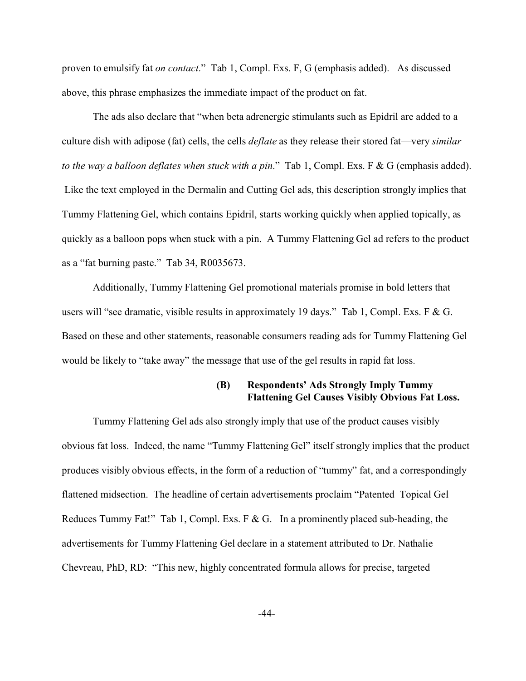proven to emulsify fat *on contact*." Tab 1, Compl. Exs. F, G (emphasis added). As discussed above, this phrase emphasizes the immediate impact of the product on fat.

The ads also declare that "when beta adrenergic stimulants such as Epidril are added to a culture dish with adipose (fat) cells, the cells *deflate* as they release their stored fat—very *similar to the way a balloon deflates when stuck with a pin*." Tab 1, Compl. Exs. F & G (emphasis added). Like the text employed in the Dermalin and Cutting Gel ads, this description strongly implies that Tummy Flattening Gel, which contains Epidril, starts working quickly when applied topically, as quickly as a balloon pops when stuck with a pin. A Tummy Flattening Gel ad refers to the product as a "fat burning paste." Tab 34, R0035673.

Additionally, Tummy Flattening Gel promotional materials promise in bold letters that users will "see dramatic, visible results in approximately 19 days." Tab 1, Compl. Exs. F & G. Based on these and other statements, reasonable consumers reading ads for Tummy Flattening Gel would be likely to "take away" the message that use of the gel results in rapid fat loss.

# **(B) Respondents' Ads Strongly Imply Tummy Flattening Gel Causes Visibly Obvious Fat Loss.**

Tummy Flattening Gel ads also strongly imply that use of the product causes visibly obvious fat loss. Indeed, the name "Tummy Flattening Gel" itself strongly implies that the product produces visibly obvious effects, in the form of a reduction of "tummy" fat, and a correspondingly flattened midsection. The headline of certain advertisements proclaim "Patented Topical Gel Reduces Tummy Fat!" Tab 1, Compl. Exs. F & G. In a prominently placed sub-heading, the advertisements for Tummy Flattening Gel declare in a statement attributed to Dr. Nathalie Chevreau, PhD, RD: "This new, highly concentrated formula allows for precise, targeted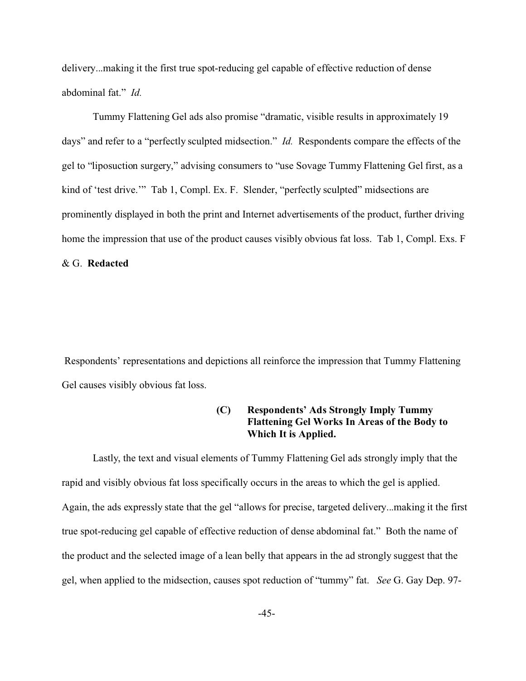delivery...making it the first true spot-reducing gel capable of effective reduction of dense abdominal fat." *Id.*

Tummy Flattening Gel ads also promise "dramatic, visible results in approximately 19 days" and refer to a "perfectly sculpted midsection." *Id.* Respondents compare the effects of the gel to "liposuction surgery," advising consumers to "use Sovage Tummy Flattening Gel first, as a kind of 'test drive.'" Tab 1, Compl. Ex. F. Slender, "perfectly sculpted" midsections are prominently displayed in both the print and Internet advertisements of the product, further driving home the impression that use of the product causes visibly obvious fat loss. Tab 1, Compl. Exs. F & G. **Redacted**

 Respondents' representations and depictions all reinforce the impression that Tummy Flattening Gel causes visibly obvious fat loss.

## **(C) Respondents' Ads Strongly Imply Tummy Flattening Gel Works In Areas of the Body to Which It is Applied.**

Lastly, the text and visual elements of Tummy Flattening Gel ads strongly imply that the rapid and visibly obvious fat loss specifically occurs in the areas to which the gel is applied. Again, the ads expressly state that the gel "allows for precise, targeted delivery...making it the first true spot-reducing gel capable of effective reduction of dense abdominal fat." Both the name of the product and the selected image of a lean belly that appears in the ad strongly suggest that the gel, when applied to the midsection, causes spot reduction of "tummy" fat. *See* G. Gay Dep. 97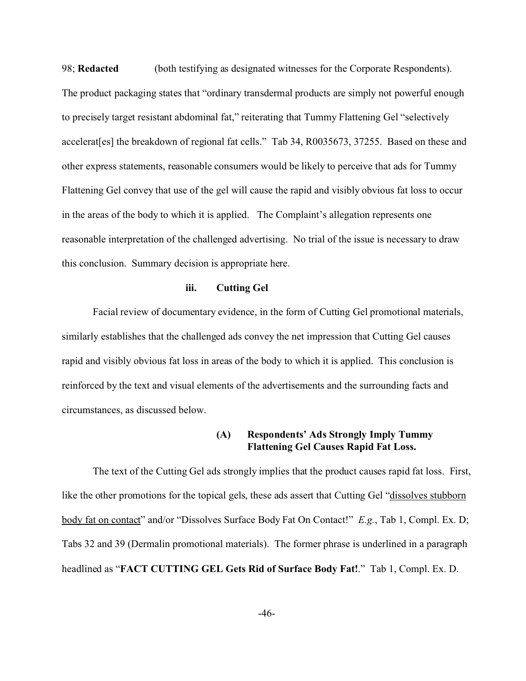98; **Redacted** (both testifying as designated witnesses for the Corporate Respondents). The product packaging states that "ordinary transdermal products are simply not powerful enough to precisely target resistant abdominal fat," reiterating that Tummy Flattening Gel "selectively accelerat[es] the breakdown of regional fat cells." Tab 34, R0035673, 37255. Based on these and other express statements, reasonable consumers would be likely to perceive that ads for Tummy Flattening Gel convey that use of the gel will cause the rapid and visibly obvious fat loss to occur in the areas of the body to which it is applied. The Complaint's allegation represents one reasonable interpretation of the challenged advertising. No trial of the issue is necessary to draw this conclusion. Summary decision is appropriate here.

#### **iii. Cutting Gel**

Facial review of documentary evidence, in the form of Cutting Gel promotional materials, similarly establishes that the challenged ads convey the net impression that Cutting Gel causes rapid and visibly obvious fat loss in areas of the body to which it is applied.This conclusion is reinforced by the text and visual elements of the advertisements and the surrounding facts and circumstances, as discussed below.

#### **(A) Respondents' Ads Strongly Imply Tummy Flattening Gel Causes Rapid Fat Loss.**

The text of the Cutting Gel ads strongly implies that the product causes rapid fat loss. First, like the other promotions for the topical gels, these ads assert that Cutting Gel "dissolves stubborn body fat on contact" and/or "Dissolves Surface Body Fat On Contact!" *E.g.*, Tab 1, Compl. Ex. D; Tabs 32 and 39 (Dermalin promotional materials). The former phrase is underlined in a paragraph headlined as "**FACT CUTTING GEL Gets Rid of Surface Body Fat!**." Tab 1, Compl. Ex. D.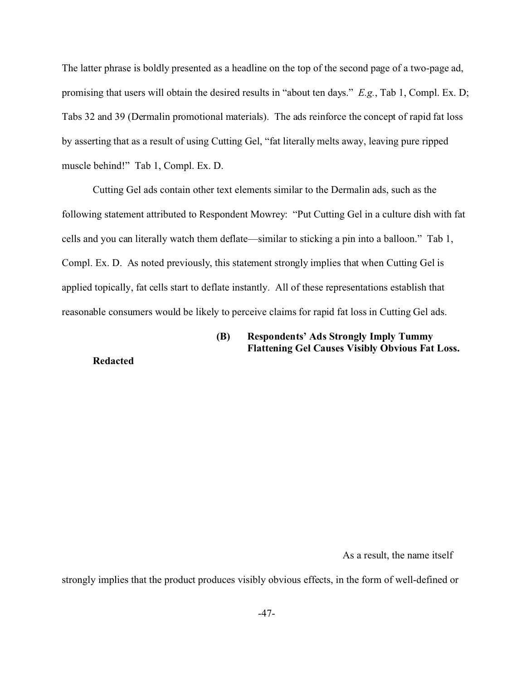The latter phrase is boldly presented as a headline on the top of the second page of a two-page ad, promising that users will obtain the desired results in "about ten days." *E.g.*, Tab 1, Compl. Ex. D; Tabs 32 and 39 (Dermalin promotional materials). The ads reinforce the concept of rapid fat loss by asserting that as a result of using Cutting Gel, "fat literally melts away, leaving pure ripped muscle behind!" Tab 1, Compl. Ex. D.

Cutting Gel ads contain other text elements similar to the Dermalin ads, such as the following statement attributed to Respondent Mowrey: "Put Cutting Gel in a culture dish with fat cells and you can literally watch them deflate—similar to sticking a pin into a balloon." Tab 1, Compl. Ex. D. As noted previously, this statement strongly implies that when Cutting Gel is applied topically, fat cells start to deflate instantly. All of these representations establish that reasonable consumers would be likely to perceive claims for rapid fat loss in Cutting Gel ads.

# **(B) Respondents' Ads Strongly Imply Tummy Flattening Gel Causes Visibly Obvious Fat Loss.**

**Redacted**

As a result, the name itself

strongly implies that the product produces visibly obvious effects, in the form of well-defined or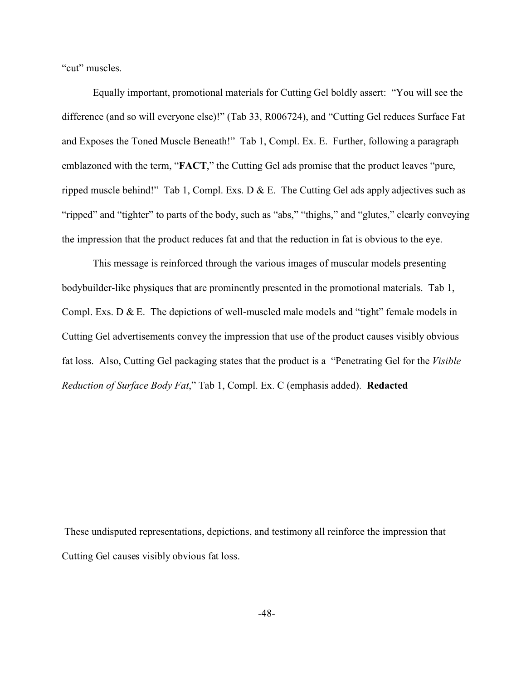"cut" muscles.

Equally important, promotional materials for Cutting Gel boldly assert: "You will see the difference (and so will everyone else)!" (Tab 33, R006724), and "Cutting Gel reduces Surface Fat and Exposes the Toned Muscle Beneath!" Tab 1, Compl. Ex. E. Further, following a paragraph emblazoned with the term, "**FACT**," the Cutting Gel ads promise that the product leaves "pure, ripped muscle behind!" Tab 1, Compl. Exs. D & E. The Cutting Gel ads apply adjectives such as "ripped" and "tighter" to parts of the body, such as "abs," "thighs," and "glutes," clearly conveying the impression that the product reduces fat and that the reduction in fat is obvious to the eye.

This message is reinforced through the various images of muscular models presenting bodybuilder-like physiques that are prominently presented in the promotional materials. Tab 1, Compl. Exs. D & E. The depictions of well-muscled male models and "tight" female models in Cutting Gel advertisements convey the impression that use of the product causes visibly obvious fat loss. Also, Cutting Gel packaging states that the product is a "Penetrating Gel for the *Visible Reduction of Surface Body Fat*," Tab 1, Compl. Ex. C (emphasis added). **Redacted**

 These undisputed representations, depictions, and testimony all reinforce the impression that Cutting Gel causes visibly obvious fat loss.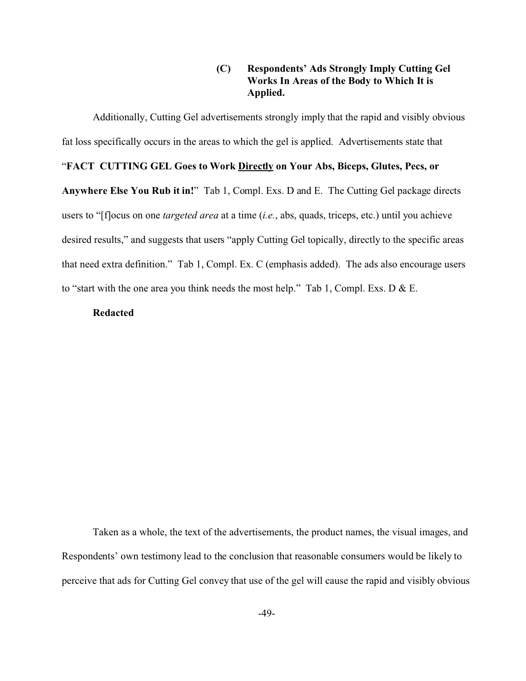# **(C) Respondents' Ads Strongly Imply Cutting Gel Works In Areas of the Body to Which It is Applied.**

Additionally, Cutting Gel advertisements strongly imply that the rapid and visibly obvious

fat loss specifically occurs in the areas to which the gel is applied. Advertisements state that

### "**FACT CUTTING GEL Goes to Work Directly on Your Abs, Biceps, Glutes, Pecs, or**

**Anywhere Else You Rub it in!**" Tab 1, Compl. Exs. D and E. The Cutting Gel package directs users to "[f]ocus on one *targeted area* at a time (*i.e.*, abs, quads, triceps, etc.) until you achieve desired results," and suggests that users "apply Cutting Gel topically, directly to the specific areas that need extra definition." Tab 1, Compl. Ex. C (emphasis added). The ads also encourage users to "start with the one area you think needs the most help." Tab 1, Compl. Exs. D & E.

#### **Redacted**

Taken as a whole, the text of the advertisements, the product names, the visual images, and Respondents' own testimony lead to the conclusion that reasonable consumers would be likely to perceive that ads for Cutting Gel convey that use of the gel will cause the rapid and visibly obvious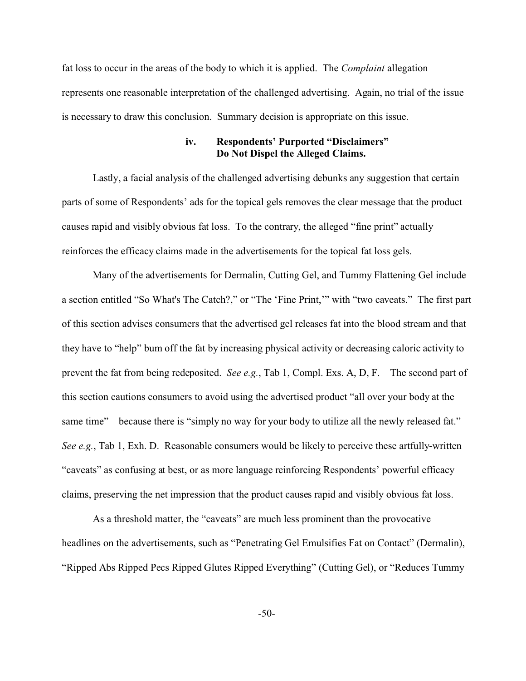fat loss to occur in the areas of the body to which it is applied. The *Complaint* allegation represents one reasonable interpretation of the challenged advertising. Again, no trial of the issue is necessary to draw this conclusion. Summary decision is appropriate on this issue.

# **iv. Respondents' Purported "Disclaimers" Do Not Dispel the Alleged Claims.**

Lastly, a facial analysis of the challenged advertising debunks any suggestion that certain parts of some of Respondents' ads for the topical gels removes the clear message that the product causes rapid and visibly obvious fat loss. To the contrary, the alleged "fine print" actually reinforces the efficacy claims made in the advertisements for the topical fat loss gels.

Many of the advertisements for Dermalin, Cutting Gel, and Tummy Flattening Gel include a section entitled "So What's The Catch?," or "The 'Fine Print,'" with "two caveats." The first part of this section advises consumers that the advertised gel releases fat into the blood stream and that they have to "help" bum off the fat by increasing physical activity or decreasing caloric activity to prevent the fat from being redeposited. *See e.g.*, Tab 1, Compl. Exs. A, D, F. The second part of this section cautions consumers to avoid using the advertised product "all over your body at the same time"—because there is "simply no way for your body to utilize all the newly released fat." *See e.g.*, Tab 1, Exh. D. Reasonable consumers would be likely to perceive these artfully-written "caveats" as confusing at best, or as more language reinforcing Respondents' powerful efficacy claims, preserving the net impression that the product causes rapid and visibly obvious fat loss.

As a threshold matter, the "caveats" are much less prominent than the provocative headlines on the advertisements, such as "Penetrating Gel Emulsifies Fat on Contact" (Dermalin), "Ripped Abs Ripped Pecs Ripped Glutes Ripped Everything" (Cutting Gel), or "Reduces Tummy

-50-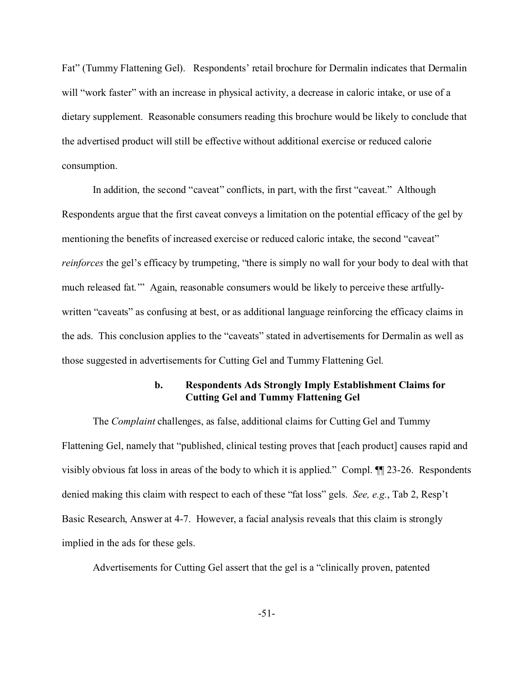Fat" (Tummy Flattening Gel). Respondents' retail brochure for Dermalin indicates that Dermalin will "work faster" with an increase in physical activity, a decrease in caloric intake, or use of a dietary supplement. Reasonable consumers reading this brochure would be likely to conclude that the advertised product will still be effective without additional exercise or reduced calorie consumption.

In addition, the second "caveat" conflicts, in part, with the first "caveat." Although Respondents argue that the first caveat conveys a limitation on the potential efficacy of the gel by mentioning the benefits of increased exercise or reduced caloric intake, the second "caveat" *reinforces* the gel's efficacy by trumpeting, "there is simply no wall for your body to deal with that much released fat.'" Again, reasonable consumers would be likely to perceive these artfullywritten "caveats" as confusing at best, or as additional language reinforcing the efficacy claims in the ads. This conclusion applies to the "caveats" stated in advertisements for Dermalin as well as those suggested in advertisements for Cutting Gel and Tummy Flattening Gel.

# **b. Respondents Ads Strongly Imply Establishment Claims for Cutting Gel and Tummy Flattening Gel**

The *Complaint* challenges, as false, additional claims for Cutting Gel and Tummy Flattening Gel, namely that "published, clinical testing proves that [each product] causes rapid and visibly obvious fat loss in areas of the body to which it is applied." Compl. ¶¶ 23-26. Respondents denied making this claim with respect to each of these "fat loss" gels. *See, e.g.*, Tab 2, Resp't Basic Research, Answer at 4-7. However, a facial analysis reveals that this claim is strongly implied in the ads for these gels.

Advertisements for Cutting Gel assert that the gel is a "clinically proven, patented

-51-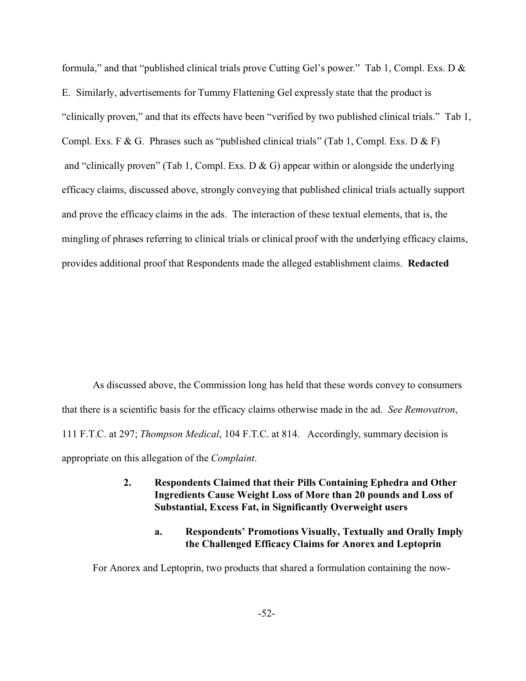formula," and that "published clinical trials prove Cutting Gel's power." Tab 1, Compl. Exs. D & E. Similarly, advertisements for Tummy Flattening Gel expressly state that the product is "clinically proven," and that its effects have been "verified by two published clinical trials." Tab 1, Compl. Exs. F & G. Phrases such as "published clinical trials" (Tab 1, Compl. Exs. D & F) and "clinically proven" (Tab 1, Compl. Exs. D & G) appear within or alongside the underlying efficacy claims, discussed above, strongly conveying that published clinical trials actually support and prove the efficacy claims in the ads. The interaction of these textual elements, that is, the mingling of phrases referring to clinical trials or clinical proof with the underlying efficacy claims, provides additional proof that Respondents made the alleged establishment claims. **Redacted**

As discussed above, the Commission long has held that these words convey to consumers that there is a scientific basis for the efficacy claims otherwise made in the ad. *See Removatron*, 111 F.T.C. at 297; *Thompson Medical*, 104 F.T.C. at 814. Accordingly, summary decision is appropriate on this allegation of the *Complaint*.

- **2. Respondents Claimed that their Pills Containing Ephedra and Other Ingredients Cause Weight Loss of More than 20 pounds and Loss of Substantial, Excess Fat, in Significantly Overweight users**
	- **a. Respondents' Promotions Visually, Textually and Orally Imply the Challenged Efficacy Claims for Anorex and Leptoprin**

For Anorex and Leptoprin, two products that shared a formulation containing the now-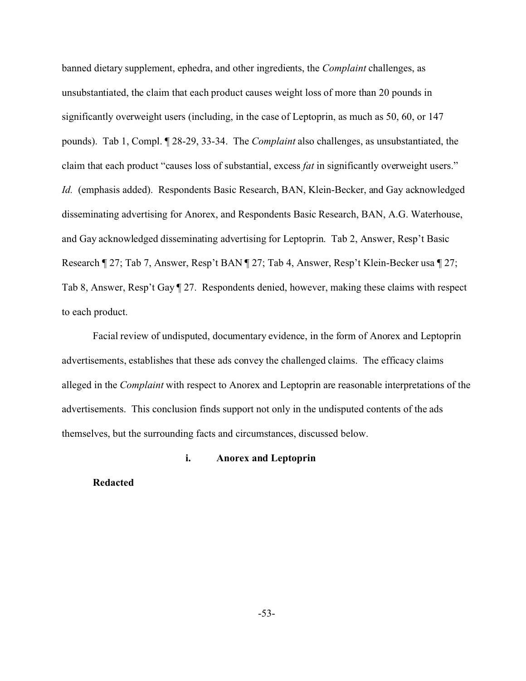banned dietary supplement, ephedra, and other ingredients, the *Complaint* challenges, as unsubstantiated, the claim that each product causes weight loss of more than 20 pounds in significantly overweight users (including, in the case of Leptoprin, as much as 50, 60, or 147 pounds). Tab 1, Compl. ¶ 28-29, 33-34. The *Complaint* also challenges, as unsubstantiated, the claim that each product "causes loss of substantial, excess *fat* in significantly overweight users." *Id.* (emphasis added). Respondents Basic Research, BAN, Klein-Becker, and Gay acknowledged disseminating advertising for Anorex, and Respondents Basic Research, BAN, A.G. Waterhouse, and Gay acknowledged disseminating advertising for Leptoprin. Tab 2, Answer, Resp't Basic Research ¶ 27; Tab 7, Answer, Resp't BAN ¶ 27; Tab 4, Answer, Resp't Klein-Becker usa ¶ 27; Tab 8, Answer, Resp't Gay ¶ 27. Respondents denied, however, making these claims with respect to each product.

Facial review of undisputed, documentary evidence, in the form of Anorex and Leptoprin advertisements, establishes that these ads convey the challenged claims. The efficacy claims alleged in the *Complaint* with respect to Anorex and Leptoprin are reasonable interpretations of the advertisements. This conclusion finds support not only in the undisputed contents of the ads themselves, but the surrounding facts and circumstances, discussed below.

#### **i. Anorex and Leptoprin**

#### **Redacted**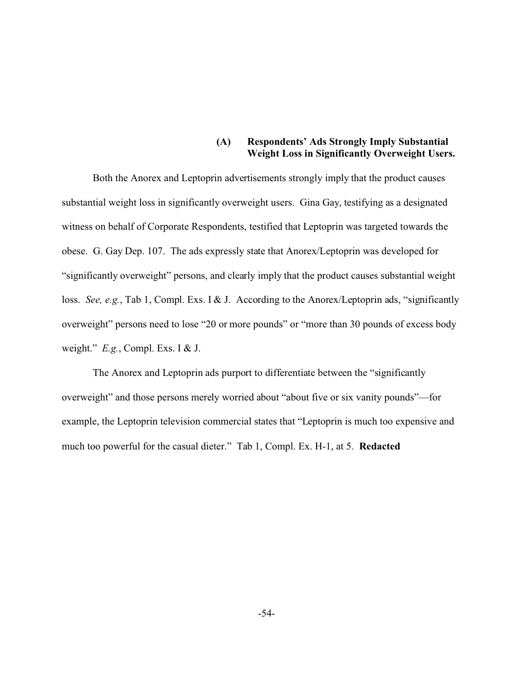## **(A) Respondents' Ads Strongly Imply Substantial Weight Loss in Significantly Overweight Users.**

Both the Anorex and Leptoprin advertisements strongly imply that the product causes substantial weight loss in significantly overweight users. Gina Gay, testifying as a designated witness on behalf of Corporate Respondents, testified that Leptoprin was targeted towards the obese. G. Gay Dep. 107. The ads expressly state that Anorex/Leptoprin was developed for "significantly overweight" persons, and clearly imply that the product causes substantial weight loss. *See, e.g.*, Tab 1, Compl. Exs. I & J. According to the Anorex/Leptoprin ads, "significantly overweight" persons need to lose "20 or more pounds" or "more than 30 pounds of excess body weight." *E.g.*, Compl. Exs. I & J.

The Anorex and Leptoprin ads purport to differentiate between the "significantly overweight" and those persons merely worried about "about five or six vanity pounds"—for example, the Leptoprin television commercial states that "Leptoprin is much too expensive and much too powerful for the casual dieter." Tab 1, Compl. Ex. H-1, at 5. **Redacted**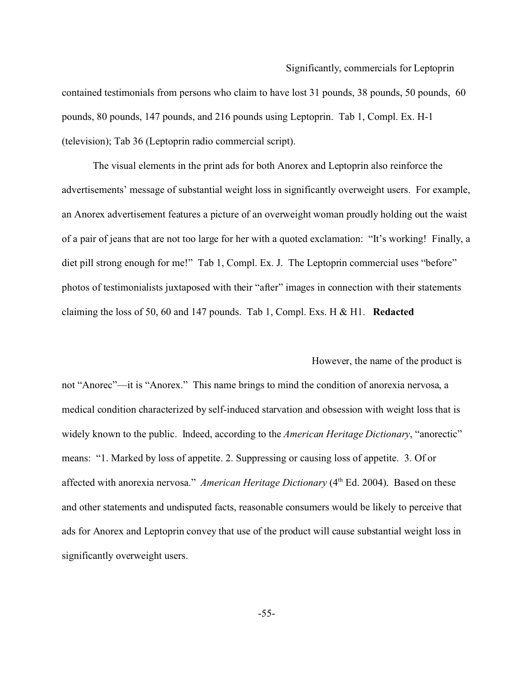#### Significantly, commercials for Leptoprin

contained testimonials from persons who claim to have lost 31 pounds, 38 pounds, 50 pounds, 60 pounds, 80 pounds, 147 pounds, and 216 pounds using Leptoprin. Tab 1, Compl. Ex. H-1 (television); Tab 36 (Leptoprin radio commercial script).

The visual elements in the print ads for both Anorex and Leptoprin also reinforce the advertisements' message of substantial weight loss in significantly overweight users. For example, an Anorex advertisement features a picture of an overweight woman proudly holding out the waist of a pair of jeans that are not too large for her with a quoted exclamation: "It's working! Finally, a diet pill strong enough for me!" Tab 1, Compl. Ex. J. The Leptoprin commercial uses "before" photos of testimonialists juxtaposed with their "after" images in connection with their statements claiming the loss of 50, 60 and 147 pounds. Tab 1, Compl. Exs. H & H1. **Redacted**

#### However, the name of the product is

not "Anorec"—it is "Anorex." This name brings to mind the condition of anorexia nervosa, a medical condition characterized by self-induced starvation and obsession with weight loss that is widely known to the public. Indeed, according to the *American Heritage Dictionary*, "anorectic" means: "1. Marked by loss of appetite. 2. Suppressing or causing loss of appetite. 3. Of or affected with anorexia nervosa." *American Heritage Dictionary* (4<sup>th</sup> Ed. 2004). Based on these and other statements and undisputed facts, reasonable consumers would be likely to perceive that ads for Anorex and Leptoprin convey that use of the product will cause substantial weight loss in significantly overweight users.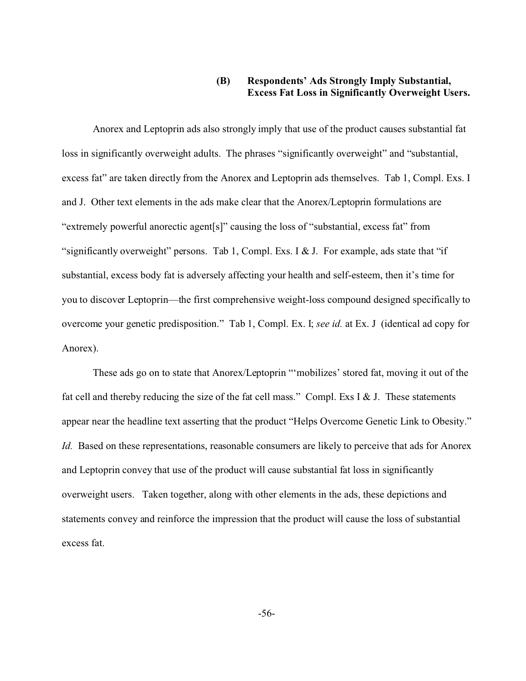## **(B) Respondents' Ads Strongly Imply Substantial, Excess Fat Loss in Significantly Overweight Users.**

Anorex and Leptoprin ads also strongly imply that use of the product causes substantial fat loss in significantly overweight adults. The phrases "significantly overweight" and "substantial, excess fat" are taken directly from the Anorex and Leptoprin ads themselves. Tab 1, Compl. Exs. I and J. Other text elements in the ads make clear that the Anorex/Leptoprin formulations are "extremely powerful anorectic agent[s]" causing the loss of "substantial, excess fat" from "significantly overweight" persons. Tab 1, Compl. Exs. I & J. For example, ads state that "if" substantial, excess body fat is adversely affecting your health and self-esteem, then it's time for you to discover Leptoprin—the first comprehensive weight-loss compound designed specifically to overcome your genetic predisposition." Tab 1, Compl. Ex. I; *see id.* at Ex. J (identical ad copy for Anorex).

These ads go on to state that Anorex/Leptoprin "'mobilizes' stored fat, moving it out of the fat cell and thereby reducing the size of the fat cell mass." Compl. Exs I & J. These statements appear near the headline text asserting that the product "Helps Overcome Genetic Link to Obesity." *Id.* Based on these representations, reasonable consumers are likely to perceive that ads for Anorex and Leptoprin convey that use of the product will cause substantial fat loss in significantly overweight users. Taken together, along with other elements in the ads, these depictions and statements convey and reinforce the impression that the product will cause the loss of substantial excess fat.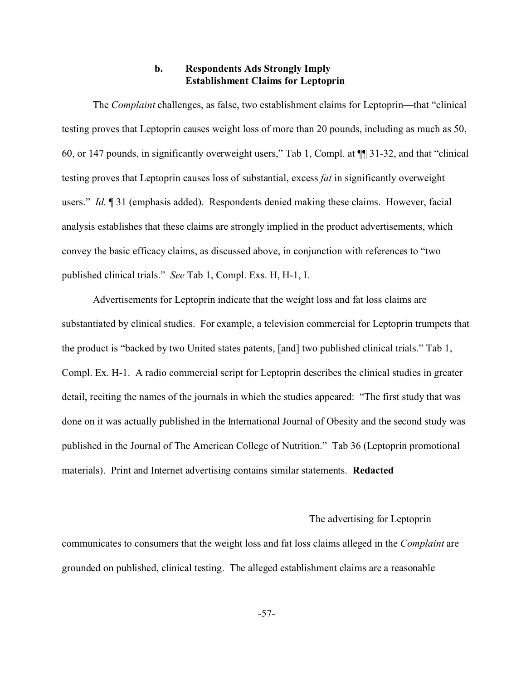### **b. Respondents Ads Strongly Imply Establishment Claims for Leptoprin**

The *Complaint* challenges, as false, two establishment claims for Leptoprin—that "clinical testing proves that Leptoprin causes weight loss of more than 20 pounds, including as much as 50, 60, or 147 pounds, in significantly overweight users," Tab 1, Compl. at ¶¶ 31-32, and that "clinical testing proves that Leptoprin causes loss of substantial, excess *fat* in significantly overweight users." *Id.* ¶ 31 (emphasis added). Respondents denied making these claims. However, facial analysis establishes that these claims are strongly implied in the product advertisements, which convey the basic efficacy claims, as discussed above, in conjunction with references to "two published clinical trials." *See* Tab 1, Compl. Exs. H, H-1, I.

Advertisements for Leptoprin indicate that the weight loss and fat loss claims are substantiated by clinical studies. For example, a television commercial for Leptoprin trumpets that the product is "backed by two United states patents, [and] two published clinical trials." Tab 1, Compl. Ex. H-1. A radio commercial script for Leptoprin describes the clinical studies in greater detail, reciting the names of the journals in which the studies appeared: "The first study that was done on it was actually published in the International Journal of Obesity and the second study was published in the Journal of The American College of Nutrition." Tab 36 (Leptoprin promotional materials). Print and Internet advertising contains similar statements. **Redacted**

#### The advertising for Leptoprin

communicates to consumers that the weight loss and fat loss claims alleged in the *Complaint* are grounded on published, clinical testing. The alleged establishment claims are a reasonable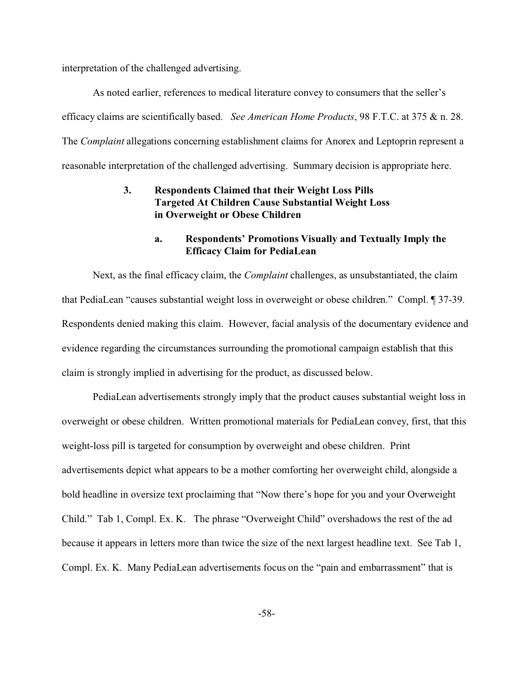interpretation of the challenged advertising.

As noted earlier, references to medical literature convey to consumers that the seller's efficacy claims are scientifically based. *See American Home Products*, 98 F.T.C. at 375 & n. 28. The *Complaint* allegations concerning establishment claims for Anorex and Leptoprin represent a reasonable interpretation of the challenged advertising. Summary decision is appropriate here.

# **3. Respondents Claimed that their Weight Loss Pills Targeted At Children Cause Substantial Weight Loss in Overweight or Obese Children**

### **a. Respondents' Promotions Visually and Textually Imply the Efficacy Claim for PediaLean**

Next, as the final efficacy claim, the *Complaint* challenges, as unsubstantiated, the claim that PediaLean "causes substantial weight loss in overweight or obese children." Compl. ¶ 37-39. Respondents denied making this claim. However, facial analysis of the documentary evidence and evidence regarding the circumstances surrounding the promotional campaign establish that this claim is strongly implied in advertising for the product, as discussed below.

PediaLean advertisements strongly imply that the product causes substantial weight loss in overweight or obese children. Written promotional materials for PediaLean convey, first, that this weight-loss pill is targeted for consumption by overweight and obese children. Print advertisements depict what appears to be a mother comforting her overweight child, alongside a bold headline in oversize text proclaiming that "Now there's hope for you and your Overweight Child." Tab 1, Compl. Ex. K. The phrase "Overweight Child" overshadows the rest of the ad because it appears in letters more than twice the size of the next largest headline text. See Tab 1, Compl. Ex. K. Many PediaLean advertisements focus on the "pain and embarrassment" that is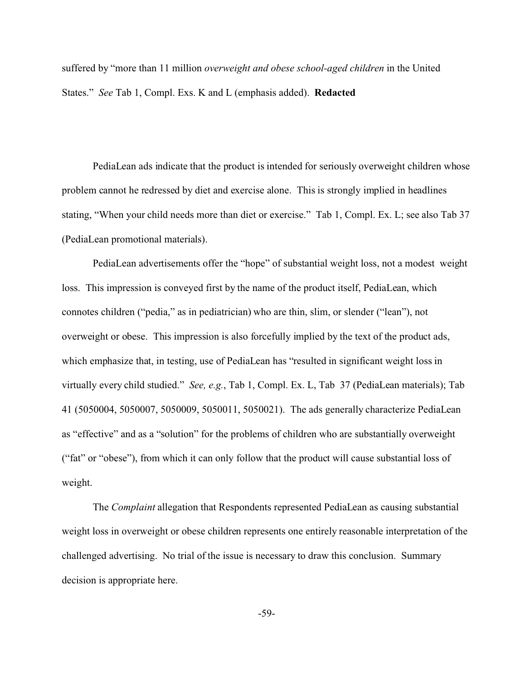suffered by "more than 11 million *overweight and obese school-aged children* in the United States." *See* Tab 1, Compl. Exs. K and L (emphasis added). **Redacted**

PediaLean ads indicate that the product is intended for seriously overweight children whose problem cannot he redressed by diet and exercise alone. This is strongly implied in headlines stating, "When your child needs more than diet or exercise." Tab 1, Compl. Ex. L; see also Tab 37 (PediaLean promotional materials).

PediaLean advertisements offer the "hope" of substantial weight loss, not a modest weight loss. This impression is conveyed first by the name of the product itself, PediaLean, which connotes children ("pedia," as in pediatrician) who are thin, slim, or slender ("lean"), not overweight or obese. This impression is also forcefully implied by the text of the product ads, which emphasize that, in testing, use of PediaLean has "resulted in significant weight loss in virtually every child studied." *See, e.g.*, Tab 1, Compl. Ex. L, Tab 37 (PediaLean materials); Tab 41 (5050004, 5050007, 5050009, 5050011, 5050021). The ads generally characterize PediaLean as "effective" and as a "solution" for the problems of children who are substantially overweight ("fat" or "obese"), from which it can only follow that the product will cause substantial loss of weight.

The *Complaint* allegation that Respondents represented PediaLean as causing substantial weight loss in overweight or obese children represents one entirely reasonable interpretation of the challenged advertising. No trial of the issue is necessary to draw this conclusion. Summary decision is appropriate here.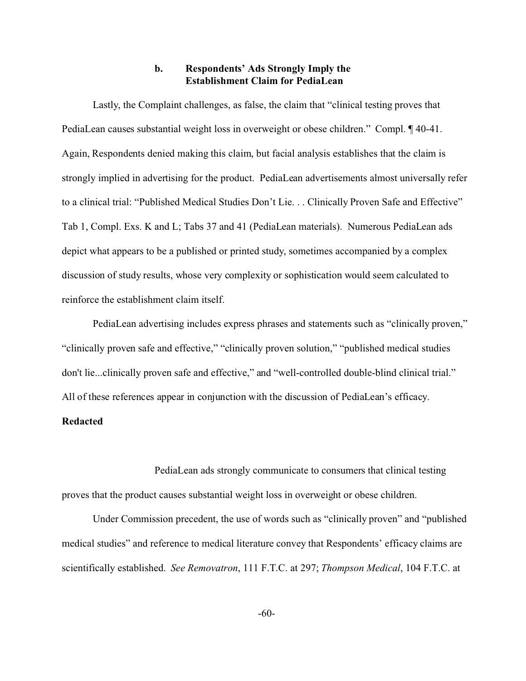### **b. Respondents' Ads Strongly Imply the Establishment Claim for PediaLean**

Lastly, the Complaint challenges, as false, the claim that "clinical testing proves that PediaLean causes substantial weight loss in overweight or obese children." Compl. ¶ 40-41. Again, Respondents denied making this claim, but facial analysis establishes that the claim is strongly implied in advertising for the product. PediaLean advertisements almost universally refer to a clinical trial: "Published Medical Studies Don't Lie. . . Clinically Proven Safe and Effective" Tab 1, Compl. Exs. K and L; Tabs 37 and 41 (PediaLean materials). Numerous PediaLean ads depict what appears to be a published or printed study, sometimes accompanied by a complex discussion of study results, whose very complexity or sophistication would seem calculated to reinforce the establishment claim itself.

PediaLean advertising includes express phrases and statements such as "clinically proven," "clinically proven safe and effective," "clinically proven solution," "published medical studies don't lie...clinically proven safe and effective," and "well-controlled double-blind clinical trial." All of these references appear in conjunction with the discussion of PediaLean's efficacy.

# **Redacted**

PediaLean ads strongly communicate to consumers that clinical testing proves that the product causes substantial weight loss in overweight or obese children.

Under Commission precedent, the use of words such as "clinically proven" and "published medical studies" and reference to medical literature convey that Respondents' efficacy claims are scientifically established. *See Removatron*, 111 F.T.C. at 297; *Thompson Medical*, 104 F.T.C. at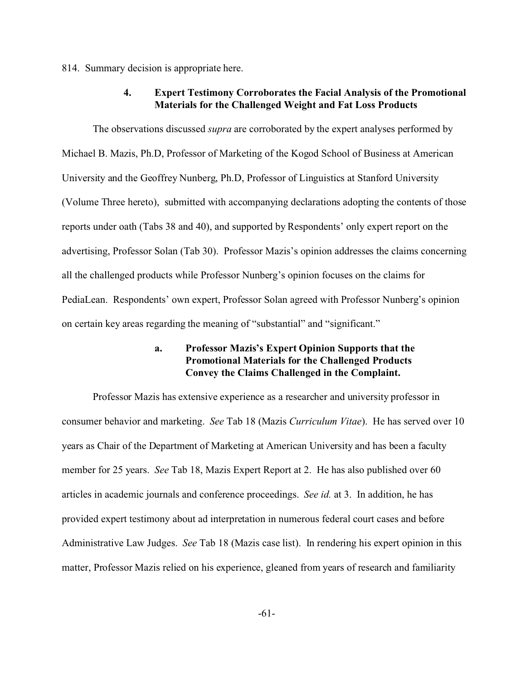814. Summary decision is appropriate here.

#### **4. Expert Testimony Corroborates the Facial Analysis of the Promotional Materials for the Challenged Weight and Fat Loss Products**

The observations discussed *supra* are corroborated by the expert analyses performed by Michael B. Mazis, Ph.D, Professor of Marketing of the Kogod School of Business at American University and the Geoffrey Nunberg, Ph.D, Professor of Linguistics at Stanford University (Volume Three hereto), submitted with accompanying declarations adopting the contents of those reports under oath (Tabs 38 and 40), and supported by Respondents' only expert report on the advertising, Professor Solan (Tab 30). Professor Mazis's opinion addresses the claims concerning all the challenged products while Professor Nunberg's opinion focuses on the claims for PediaLean. Respondents' own expert, Professor Solan agreed with Professor Nunberg's opinion on certain key areas regarding the meaning of "substantial" and "significant."

#### **a. Professor Mazis's Expert Opinion Supports that the Promotional Materials for the Challenged Products Convey the Claims Challenged in the Complaint.**

Professor Mazis has extensive experience as a researcher and university professor in consumer behavior and marketing. *See* Tab 18 (Mazis *Curriculum Vitae*). He has served over 10 years as Chair of the Department of Marketing at American University and has been a faculty member for 25 years. *See* Tab 18, Mazis Expert Report at 2. He has also published over 60 articles in academic journals and conference proceedings. *See id.* at 3. In addition, he has provided expert testimony about ad interpretation in numerous federal court cases and before Administrative Law Judges. *See* Tab 18 (Mazis case list). In rendering his expert opinion in this matter, Professor Mazis relied on his experience, gleaned from years of research and familiarity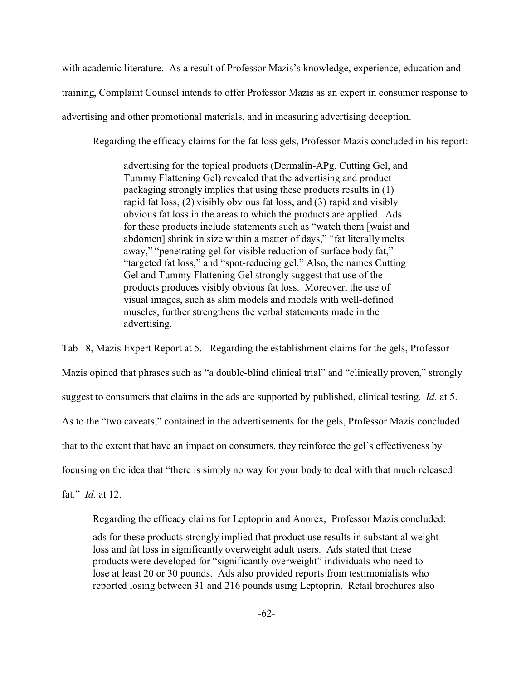with academic literature. As a result of Professor Mazis's knowledge, experience, education and training, Complaint Counsel intends to offer Professor Mazis as an expert in consumer response to advertising and other promotional materials, and in measuring advertising deception.

Regarding the efficacy claims for the fat loss gels, Professor Mazis concluded in his report:

advertising for the topical products (Dermalin-APg, Cutting Gel, and Tummy Flattening Gel) revealed that the advertising and product packaging strongly implies that using these products results in (1) rapid fat loss, (2) visibly obvious fat loss, and (3) rapid and visibly obvious fat loss in the areas to which the products are applied. Ads for these products include statements such as "watch them [waist and abdomen] shrink in size within a matter of days," "fat literally melts away," "penetrating gel for visible reduction of surface body fat," "targeted fat loss," and "spot-reducing gel." Also, the names Cutting Gel and Tummy Flattening Gel strongly suggest that use of the products produces visibly obvious fat loss. Moreover, the use of visual images, such as slim models and models with well-defined muscles, further strengthens the verbal statements made in the advertising.

Tab 18, Mazis Expert Report at 5. Regarding the establishment claims for the gels, Professor Mazis opined that phrases such as "a double-blind clinical trial" and "clinically proven," strongly suggest to consumers that claims in the ads are supported by published, clinical testing. *Id.* at 5. As to the "two caveats," contained in the advertisements for the gels, Professor Mazis concluded that to the extent that have an impact on consumers, they reinforce the gel's effectiveness by focusing on the idea that "there is simply no way for your body to deal with that much released

fat." *Id.* at 12.

Regarding the efficacy claims for Leptoprin and Anorex, Professor Mazis concluded:

ads for these products strongly implied that product use results in substantial weight loss and fat loss in significantly overweight adult users. Ads stated that these products were developed for "significantly overweight" individuals who need to lose at least 20 or 30 pounds. Ads also provided reports from testimonialists who reported losing between 31 and 216 pounds using Leptoprin. Retail brochures also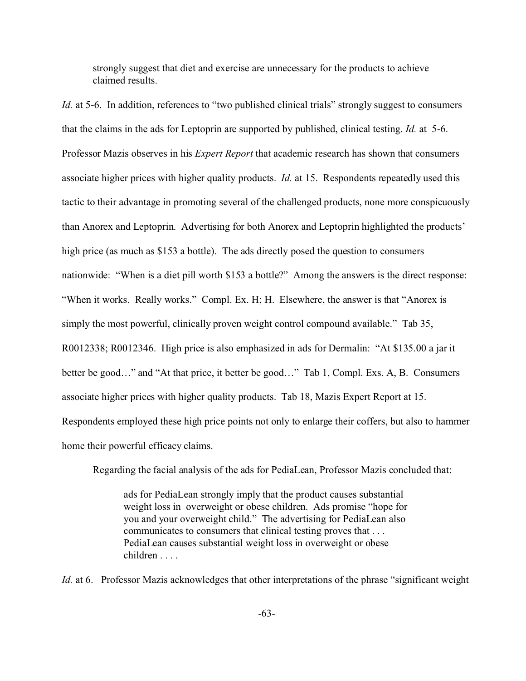strongly suggest that diet and exercise are unnecessary for the products to achieve claimed results.

*Id.* at 5-6. In addition, references to "two published clinical trials" strongly suggest to consumers that the claims in the ads for Leptoprin are supported by published, clinical testing. *Id.* at 5-6. Professor Mazis observes in his *Expert Report* that academic research has shown that consumers associate higher prices with higher quality products. *Id.* at 15. Respondents repeatedly used this tactic to their advantage in promoting several of the challenged products, none more conspicuously than Anorex and Leptoprin. Advertising for both Anorex and Leptoprin highlighted the products' high price (as much as \$153 a bottle). The ads directly posed the question to consumers nationwide: "When is a diet pill worth \$153 a bottle?" Among the answers is the direct response: "When it works. Really works." Compl. Ex. H; H. Elsewhere, the answer is that "Anorex is simply the most powerful, clinically proven weight control compound available." Tab 35, R0012338; R0012346. High price is also emphasized in ads for Dermalin: "At \$135.00 a jar it better be good…" and "At that price, it better be good…" Tab 1, Compl. Exs. A, B. Consumers associate higher prices with higher quality products. Tab 18, Mazis Expert Report at 15. Respondents employed these high price points not only to enlarge their coffers, but also to hammer home their powerful efficacy claims.

Regarding the facial analysis of the ads for PediaLean, Professor Mazis concluded that:

ads for PediaLean strongly imply that the product causes substantial weight loss in overweight or obese children. Ads promise "hope for you and your overweight child." The advertising for PediaLean also communicates to consumers that clinical testing proves that . . . PediaLean causes substantial weight loss in overweight or obese children . . . .

*Id.* at 6. Professor Mazis acknowledges that other interpretations of the phrase "significant weight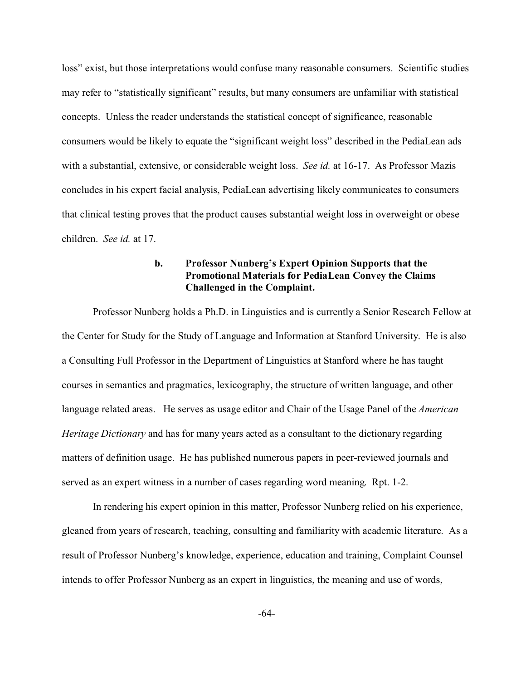loss" exist, but those interpretations would confuse many reasonable consumers. Scientific studies may refer to "statistically significant" results, but many consumers are unfamiliar with statistical concepts. Unless the reader understands the statistical concept of significance, reasonable consumers would be likely to equate the "significant weight loss" described in the PediaLean ads with a substantial, extensive, or considerable weight loss. *See id.* at 16-17. As Professor Mazis concludes in his expert facial analysis, PediaLean advertising likely communicates to consumers that clinical testing proves that the product causes substantial weight loss in overweight or obese children. *See id.* at 17.

### **b. Professor Nunberg's Expert Opinion Supports that the Promotional Materials for PediaLean Convey the Claims Challenged in the Complaint.**

Professor Nunberg holds a Ph.D. in Linguistics and is currently a Senior Research Fellow at the Center for Study for the Study of Language and Information at Stanford University. He is also a Consulting Full Professor in the Department of Linguistics at Stanford where he has taught courses in semantics and pragmatics, lexicography, the structure of written language, and other language related areas. He serves as usage editor and Chair of the Usage Panel of the *American Heritage Dictionary* and has for many years acted as a consultant to the dictionary regarding matters of definition usage. He has published numerous papers in peer-reviewed journals and served as an expert witness in a number of cases regarding word meaning. Rpt. 1-2.

In rendering his expert opinion in this matter, Professor Nunberg relied on his experience, gleaned from years of research, teaching, consulting and familiarity with academic literature. As a result of Professor Nunberg's knowledge, experience, education and training, Complaint Counsel intends to offer Professor Nunberg as an expert in linguistics, the meaning and use of words,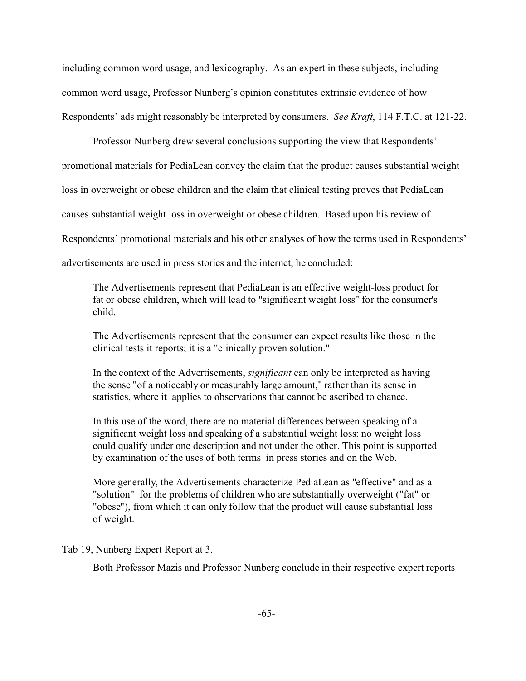including common word usage, and lexicography. As an expert in these subjects, including common word usage, Professor Nunberg's opinion constitutes extrinsic evidence of how Respondents' ads might reasonably be interpreted by consumers. *See Kraft*, 114 F.T.C. at 121-22.

Professor Nunberg drew several conclusions supporting the view that Respondents' promotional materials for PediaLean convey the claim that the product causes substantial weight loss in overweight or obese children and the claim that clinical testing proves that PediaLean causes substantial weight loss in overweight or obese children. Based upon his review of Respondents' promotional materials and his other analyses of how the terms used in Respondents' advertisements are used in press stories and the internet, he concluded:

The Advertisements represent that PediaLean is an effective weight-loss product for fat or obese children, which will lead to "significant weight loss" for the consumer's child.

The Advertisements represent that the consumer can expect results like those in the clinical tests it reports; it is a "clinically proven solution."

In the context of the Advertisements, *significant* can only be interpreted as having the sense "of a noticeably or measurably large amount," rather than its sense in statistics, where it applies to observations that cannot be ascribed to chance.

In this use of the word, there are no material differences between speaking of a significant weight loss and speaking of a substantial weight loss: no weight loss could qualify under one description and not under the other. This point is supported by examination of the uses of both terms in press stories and on the Web.

More generally, the Advertisements characterize PediaLean as "effective" and as a "solution" for the problems of children who are substantially overweight ("fat" or "obese"), from which it can only follow that the product will cause substantial loss of weight.

Tab 19, Nunberg Expert Report at 3.

Both Professor Mazis and Professor Nunberg conclude in their respective expert reports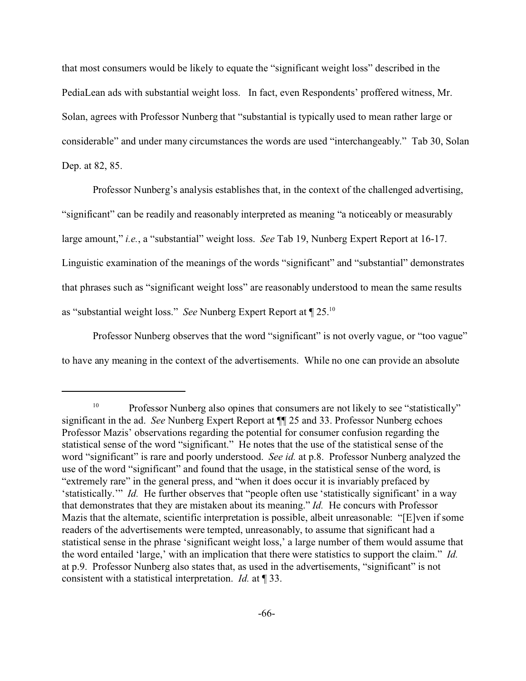that most consumers would be likely to equate the "significant weight loss" described in the PediaLean ads with substantial weight loss. In fact, even Respondents' proffered witness, Mr. Solan, agrees with Professor Nunberg that "substantial is typically used to mean rather large or considerable" and under many circumstances the words are used "interchangeably." Tab 30, Solan Dep. at 82, 85.

Professor Nunberg's analysis establishes that, in the context of the challenged advertising, "significant" can be readily and reasonably interpreted as meaning "a noticeably or measurably large amount," *i.e.*, a "substantial" weight loss. *See* Tab 19, Nunberg Expert Report at 16-17. Linguistic examination of the meanings of the words "significant" and "substantial" demonstrates that phrases such as "significant weight loss" are reasonably understood to mean the same results as "substantial weight loss." *See* Nunberg Expert Report at ¶ 25.<sup>10</sup>

Professor Nunberg observes that the word "significant" is not overly vague, or "too vague" to have any meaning in the context of the advertisements. While no one can provide an absolute

<sup>&</sup>lt;sup>10</sup> Professor Nunberg also opines that consumers are not likely to see "statistically" significant in the ad. *See* Nunberg Expert Report at ¶¶ 25 and 33. Professor Nunberg echoes Professor Mazis' observations regarding the potential for consumer confusion regarding the statistical sense of the word "significant." He notes that the use of the statistical sense of the word "significant" is rare and poorly understood. *See id.* at p.8. Professor Nunberg analyzed the use of the word "significant" and found that the usage, in the statistical sense of the word, is "extremely rare" in the general press, and "when it does occur it is invariably prefaced by 'statistically.'" *Id.* He further observes that "people often use 'statistically significant' in a way that demonstrates that they are mistaken about its meaning." *Id.* He concurs with Professor Mazis that the alternate, scientific interpretation is possible, albeit unreasonable: "[E]ven if some readers of the advertisements were tempted, unreasonably, to assume that significant had a statistical sense in the phrase 'significant weight loss,' a large number of them would assume that the word entailed 'large,' with an implication that there were statistics to support the claim." *Id.* at p.9. Professor Nunberg also states that, as used in the advertisements, "significant" is not consistent with a statistical interpretation. *Id.* at ¶ 33.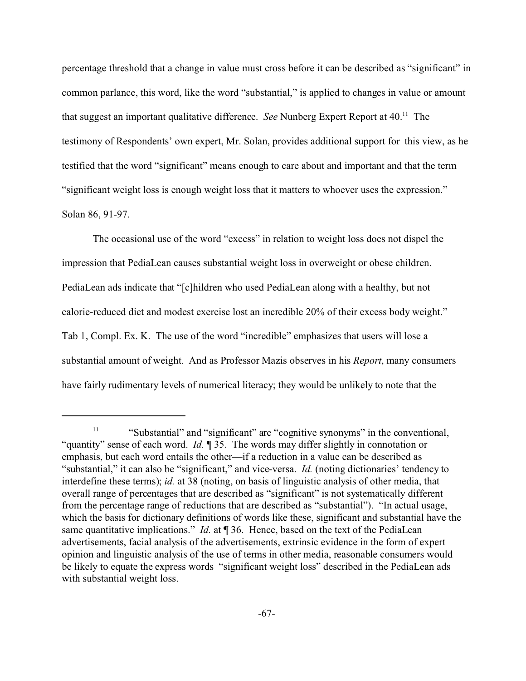percentage threshold that a change in value must cross before it can be described as "significant" in common parlance, this word, like the word "substantial," is applied to changes in value or amount that suggest an important qualitative difference. *See* Nunberg Expert Report at 40.<sup>11</sup> The testimony of Respondents' own expert, Mr. Solan, provides additional support for this view, as he testified that the word "significant" means enough to care about and important and that the term "significant weight loss is enough weight loss that it matters to whoever uses the expression." Solan 86, 91-97.

The occasional use of the word "excess" in relation to weight loss does not dispel the impression that PediaLean causes substantial weight loss in overweight or obese children. PediaLean ads indicate that "[c]hildren who used PediaLean along with a healthy, but not calorie-reduced diet and modest exercise lost an incredible 20% of their excess body weight." Tab 1, Compl. Ex. K. The use of the word "incredible" emphasizes that users will lose a substantial amount of weight. And as Professor Mazis observes in his *Report*, many consumers have fairly rudimentary levels of numerical literacy; they would be unlikely to note that the

<sup>&</sup>lt;sup>11</sup> "Substantial" and "significant" are "cognitive synonyms" in the conventional, "quantity" sense of each word. *Id.* ¶ 35. The words may differ slightly in connotation or emphasis, but each word entails the other—if a reduction in a value can be described as "substantial," it can also be "significant," and vice-versa. *Id.* (noting dictionaries' tendency to interdefine these terms); *id.* at 38 (noting, on basis of linguistic analysis of other media, that overall range of percentages that are described as "significant" is not systematically different from the percentage range of reductions that are described as "substantial"). "In actual usage, which the basis for dictionary definitions of words like these, significant and substantial have the same quantitative implications." *Id.* at 136. Hence, based on the text of the PediaLean advertisements, facial analysis of the advertisements, extrinsic evidence in the form of expert opinion and linguistic analysis of the use of terms in other media, reasonable consumers would be likely to equate the express words "significant weight loss" described in the PediaLean ads with substantial weight loss.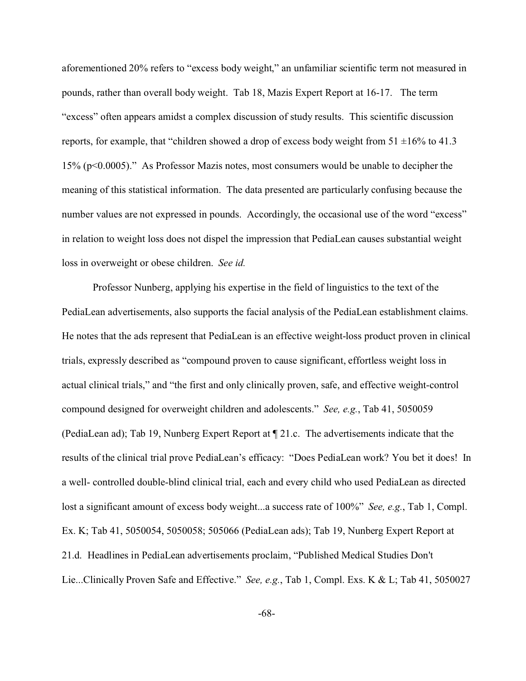aforementioned 20% refers to "excess body weight," an unfamiliar scientific term not measured in pounds, rather than overall body weight. Tab 18, Mazis Expert Report at 16-17. The term "excess" often appears amidst a complex discussion of study results. This scientific discussion reports, for example, that "children showed a drop of excess body weight from  $51 \pm 16\%$  to  $41.3$ 15% (p<0.0005)." As Professor Mazis notes, most consumers would be unable to decipher the meaning of this statistical information. The data presented are particularly confusing because the number values are not expressed in pounds. Accordingly, the occasional use of the word "excess" in relation to weight loss does not dispel the impression that PediaLean causes substantial weight loss in overweight or obese children. *See id.*

Professor Nunberg, applying his expertise in the field of linguistics to the text of the PediaLean advertisements, also supports the facial analysis of the PediaLean establishment claims. He notes that the ads represent that PediaLean is an effective weight-loss product proven in clinical trials, expressly described as "compound proven to cause significant, effortless weight loss in actual clinical trials," and "the first and only clinically proven, safe, and effective weight-control compound designed for overweight children and adolescents." *See, e.g.*, Tab 41, 5050059 (PediaLean ad); Tab 19, Nunberg Expert Report at ¶ 21.c. The advertisements indicate that the results of the clinical trial prove PediaLean's efficacy: "Does PediaLean work? You bet it does! In a well- controlled double-blind clinical trial, each and every child who used PediaLean as directed lost a significant amount of excess body weight...a success rate of 100%" *See, e.g.*, Tab 1, Compl. Ex. K; Tab 41, 5050054, 5050058; 505066 (PediaLean ads); Tab 19, Nunberg Expert Report at 21.d. Headlines in PediaLean advertisements proclaim, "Published Medical Studies Don't Lie...Clinically Proven Safe and Effective." *See, e.g.*, Tab 1, Compl. Exs. K & L; Tab 41, 5050027

-68-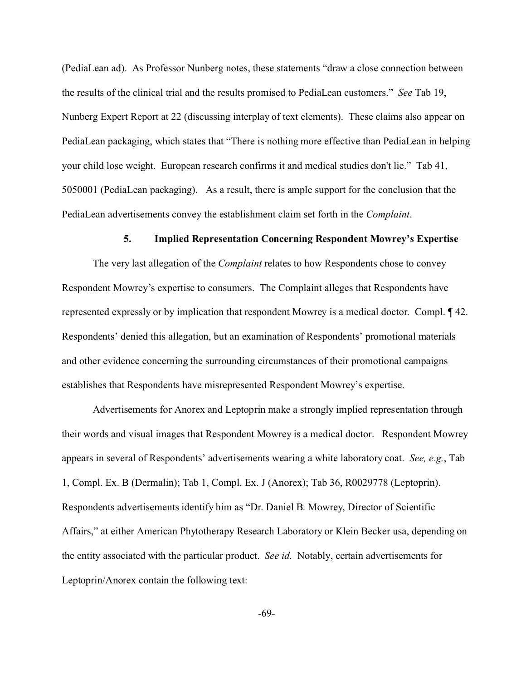(PediaLean ad). As Professor Nunberg notes, these statements "draw a close connection between the results of the clinical trial and the results promised to PediaLean customers." *See* Tab 19, Nunberg Expert Report at 22 (discussing interplay of text elements). These claims also appear on PediaLean packaging, which states that "There is nothing more effective than PediaLean in helping your child lose weight. European research confirms it and medical studies don't lie." Tab 41, 5050001 (PediaLean packaging). As a result, there is ample support for the conclusion that the PediaLean advertisements convey the establishment claim set forth in the *Complaint*.

## **5. Implied Representation Concerning Respondent Mowrey's Expertise**

The very last allegation of the *Complaint* relates to how Respondents chose to convey Respondent Mowrey's expertise to consumers. The Complaint alleges that Respondents have represented expressly or by implication that respondent Mowrey is a medical doctor. Compl. ¶ 42. Respondents' denied this allegation, but an examination of Respondents' promotional materials and other evidence concerning the surrounding circumstances of their promotional campaigns establishes that Respondents have misrepresented Respondent Mowrey's expertise.

Advertisements for Anorex and Leptoprin make a strongly implied representation through their words and visual images that Respondent Mowrey is a medical doctor. Respondent Mowrey appears in several of Respondents' advertisements wearing a white laboratory coat. *See, e.g.*, Tab 1, Compl. Ex. B (Dermalin); Tab 1, Compl. Ex. J (Anorex); Tab 36, R0029778 (Leptoprin). Respondents advertisements identify him as "Dr. Daniel B. Mowrey, Director of Scientific Affairs," at either American Phytotherapy Research Laboratory or Klein Becker usa, depending on the entity associated with the particular product. *See id.* Notably, certain advertisements for Leptoprin/Anorex contain the following text: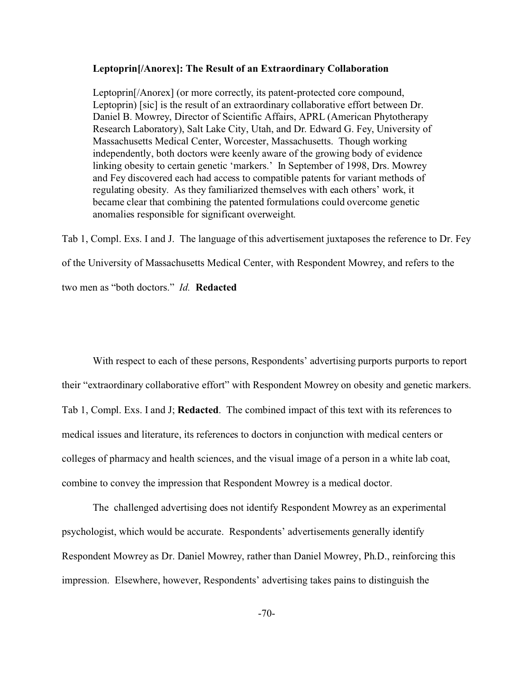## **Leptoprin[/Anorex]: The Result of an Extraordinary Collaboration**

Leptoprin[/Anorex] (or more correctly, its patent-protected core compound, Leptoprin) [sic] is the result of an extraordinary collaborative effort between Dr. Daniel B. Mowrey, Director of Scientific Affairs, APRL (American Phytotherapy Research Laboratory), Salt Lake City, Utah, and Dr. Edward G. Fey, University of Massachusetts Medical Center, Worcester, Massachusetts. Though working independently, both doctors were keenly aware of the growing body of evidence linking obesity to certain genetic 'markers.' In September of 1998, Drs. Mowrey and Fey discovered each had access to compatible patents for variant methods of regulating obesity. As they familiarized themselves with each others' work, it became clear that combining the patented formulations could overcome genetic anomalies responsible for significant overweight.

Tab 1, Compl. Exs. I and J. The language of this advertisement juxtaposes the reference to Dr. Fey of the University of Massachusetts Medical Center, with Respondent Mowrey, and refers to the two men as "both doctors." *Id.* **Redacted**

With respect to each of these persons, Respondents' advertising purports purports to report their "extraordinary collaborative effort" with Respondent Mowrey on obesity and genetic markers. Tab 1, Compl. Exs. I and J; **Redacted**. The combined impact of this text with its references to medical issues and literature, its references to doctors in conjunction with medical centers or colleges of pharmacy and health sciences, and the visual image of a person in a white lab coat, combine to convey the impression that Respondent Mowrey is a medical doctor.

 The challenged advertising does not identify Respondent Mowrey as an experimental psychologist, which would be accurate. Respondents' advertisements generally identify Respondent Mowrey as Dr. Daniel Mowrey, rather than Daniel Mowrey, Ph.D., reinforcing this impression. Elsewhere, however, Respondents' advertising takes pains to distinguish the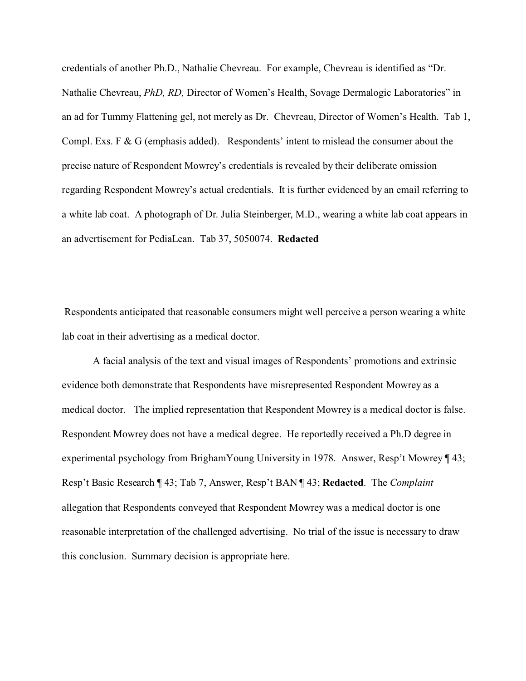credentials of another Ph.D., Nathalie Chevreau. For example, Chevreau is identified as "Dr. Nathalie Chevreau, *PhD, RD,* Director of Women's Health, Sovage Dermalogic Laboratories" in an ad for Tummy Flattening gel, not merely as Dr. Chevreau, Director of Women's Health. Tab 1, Compl. Exs. F & G (emphasis added). Respondents' intent to mislead the consumer about the precise nature of Respondent Mowrey's credentials is revealed by their deliberate omission regarding Respondent Mowrey's actual credentials. It is further evidenced by an email referring to a white lab coat. A photograph of Dr. Julia Steinberger, M.D., wearing a white lab coat appears in an advertisement for PediaLean. Tab 37, 5050074. **Redacted**

 Respondents anticipated that reasonable consumers might well perceive a person wearing a white lab coat in their advertising as a medical doctor.

A facial analysis of the text and visual images of Respondents' promotions and extrinsic evidence both demonstrate that Respondents have misrepresented Respondent Mowrey as a medical doctor. The implied representation that Respondent Mowrey is a medical doctor is false. Respondent Mowrey does not have a medical degree. He reportedly received a Ph.D degree in experimental psychology from BrighamYoung University in 1978. Answer, Resp't Mowrey ¶ 43; Resp't Basic Research ¶ 43; Tab 7, Answer, Resp't BAN ¶ 43; **Redacted**. The *Complaint* allegation that Respondents conveyed that Respondent Mowrey was a medical doctor is one reasonable interpretation of the challenged advertising. No trial of the issue is necessary to draw this conclusion. Summary decision is appropriate here.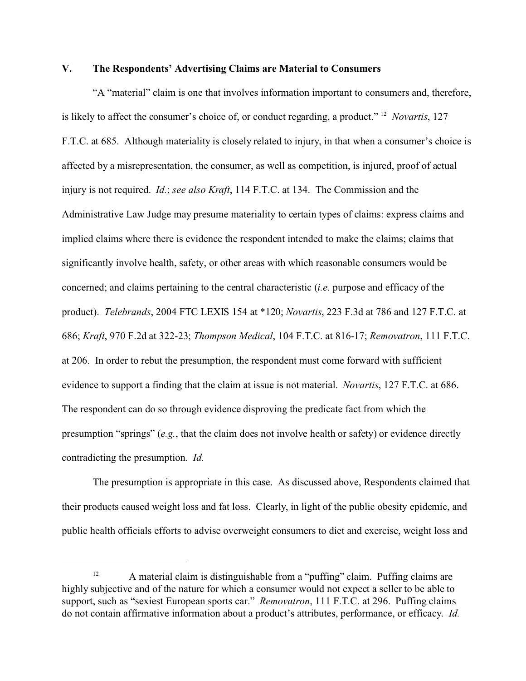## **V. The Respondents' Advertising Claims are Material to Consumers**

"A "material" claim is one that involves information important to consumers and, therefore, is likely to affect the consumer's choice of, or conduct regarding, a product." <sup>12</sup> *Novartis*, 127 F.T.C. at 685. Although materiality is closely related to injury, in that when a consumer's choice is affected by a misrepresentation, the consumer, as well as competition, is injured, proof of actual injury is not required. *Id.*; *see also Kraft*, 114 F.T.C. at 134. The Commission and the Administrative Law Judge may presume materiality to certain types of claims: express claims and implied claims where there is evidence the respondent intended to make the claims; claims that significantly involve health, safety, or other areas with which reasonable consumers would be concerned; and claims pertaining to the central characteristic (*i.e.* purpose and efficacy of the product). *Telebrands*, 2004 FTC LEXIS 154 at \*120; *Novartis*, 223 F.3d at 786 and 127 F.T.C. at 686; *Kraft*, 970 F.2d at 322-23; *Thompson Medical*, 104 F.T.C. at 816-17; *Removatron*, 111 F.T.C. at 206. In order to rebut the presumption, the respondent must come forward with sufficient evidence to support a finding that the claim at issue is not material. *Novartis*, 127 F.T.C. at 686. The respondent can do so through evidence disproving the predicate fact from which the presumption "springs" (*e.g.*, that the claim does not involve health or safety) or evidence directly contradicting the presumption. *Id.*

The presumption is appropriate in this case. As discussed above, Respondents claimed that their products caused weight loss and fat loss. Clearly, in light of the public obesity epidemic, and public health officials efforts to advise overweight consumers to diet and exercise, weight loss and

<sup>&</sup>lt;sup>12</sup> A material claim is distinguishable from a "puffing" claim. Puffing claims are highly subjective and of the nature for which a consumer would not expect a seller to be able to support, such as "sexiest European sports car." *Removatron*, 111 F.T.C. at 296. Puffing claims do not contain affirmative information about a product's attributes, performance, or efficacy. *Id.*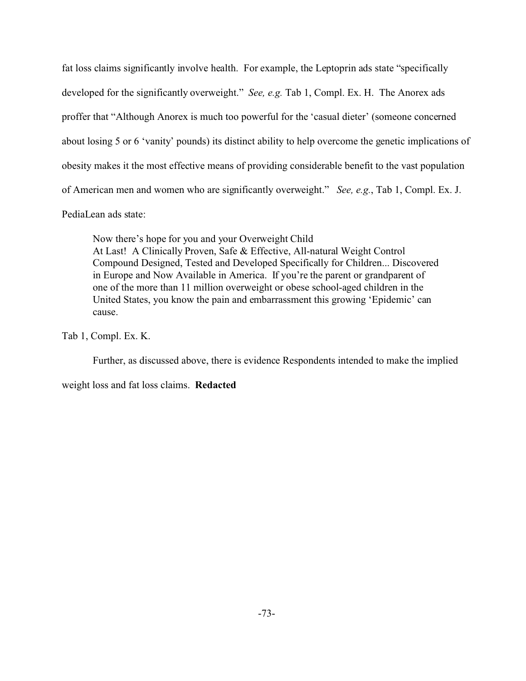fat loss claims significantly involve health. For example, the Leptoprin ads state "specifically developed for the significantly overweight." *See, e.g.* Tab 1, Compl. Ex. H. The Anorex ads proffer that "Although Anorex is much too powerful for the 'casual dieter' (someone concerned about losing 5 or 6 'vanity' pounds) its distinct ability to help overcome the genetic implications of obesity makes it the most effective means of providing considerable benefit to the vast population of American men and women who are significantly overweight." *See, e.g.*, Tab 1, Compl. Ex. J.

# PediaLean ads state:

Now there's hope for you and your Overweight Child At Last! A Clinically Proven, Safe & Effective, All-natural Weight Control Compound Designed, Tested and Developed Specifically for Children... Discovered in Europe and Now Available in America. If you're the parent or grandparent of one of the more than 11 million overweight or obese school-aged children in the United States, you know the pain and embarrassment this growing 'Epidemic' can cause.

Tab 1, Compl. Ex. K.

Further, as discussed above, there is evidence Respondents intended to make the implied

weight loss and fat loss claims. **Redacted**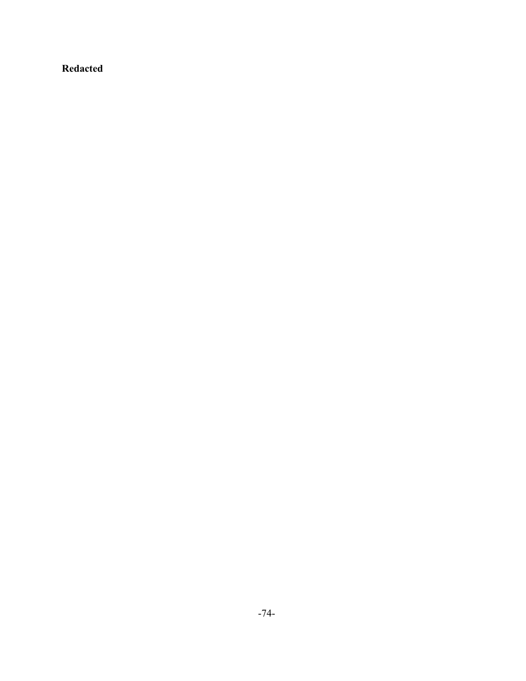# **Redacted**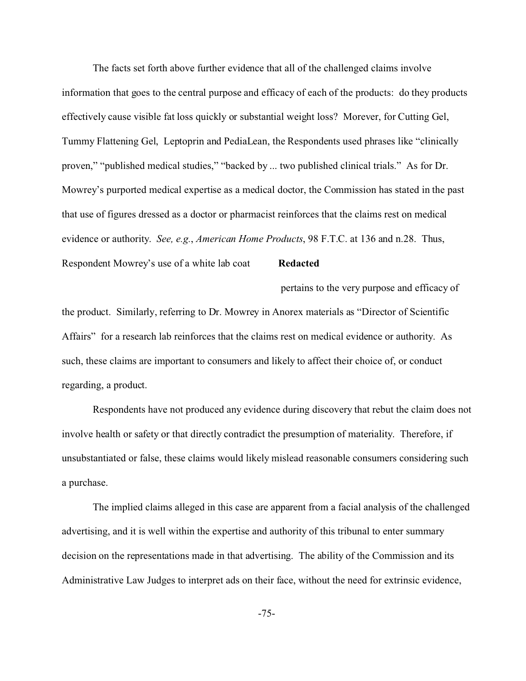The facts set forth above further evidence that all of the challenged claims involve information that goes to the central purpose and efficacy of each of the products: do they products effectively cause visible fat loss quickly or substantial weight loss? Morever, for Cutting Gel, Tummy Flattening Gel, Leptoprin and PediaLean, the Respondents used phrases like "clinically proven," "published medical studies," "backed by ... two published clinical trials." As for Dr. Mowrey's purported medical expertise as a medical doctor, the Commission has stated in the past that use of figures dressed as a doctor or pharmacist reinforces that the claims rest on medical evidence or authority. *See, e.g.*, *American Home Products*, 98 F.T.C. at 136 and n.28. Thus,

Respondent Mowrey's use of a white lab coat **Redacted**

 pertains to the very purpose and efficacy of the product. Similarly, referring to Dr. Mowrey in Anorex materials as "Director of Scientific Affairs" for a research lab reinforces that the claims rest on medical evidence or authority. As such, these claims are important to consumers and likely to affect their choice of, or conduct regarding, a product.

Respondents have not produced any evidence during discovery that rebut the claim does not involve health or safety or that directly contradict the presumption of materiality. Therefore, if unsubstantiated or false, these claims would likely mislead reasonable consumers considering such a purchase.

The implied claims alleged in this case are apparent from a facial analysis of the challenged advertising, and it is well within the expertise and authority of this tribunal to enter summary decision on the representations made in that advertising. The ability of the Commission and its Administrative Law Judges to interpret ads on their face, without the need for extrinsic evidence,

-75-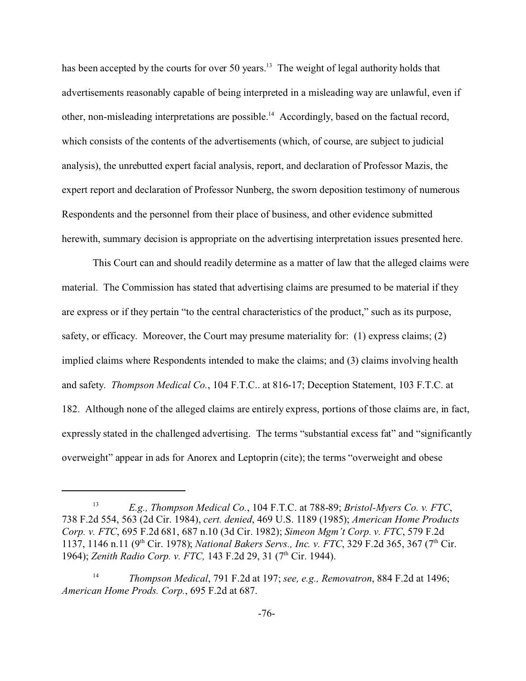has been accepted by the courts for over 50 years.<sup>13</sup> The weight of legal authority holds that advertisements reasonably capable of being interpreted in a misleading way are unlawful, even if other, non-misleading interpretations are possible.<sup>14</sup> Accordingly, based on the factual record, which consists of the contents of the advertisements (which, of course, are subject to judicial analysis), the unrebutted expert facial analysis, report, and declaration of Professor Mazis, the expert report and declaration of Professor Nunberg, the sworn deposition testimony of numerous Respondents and the personnel from their place of business, and other evidence submitted herewith, summary decision is appropriate on the advertising interpretation issues presented here.

This Court can and should readily determine as a matter of law that the alleged claims were material. The Commission has stated that advertising claims are presumed to be material if they are express or if they pertain "to the central characteristics of the product," such as its purpose, safety, or efficacy. Moreover, the Court may presume materiality for: (1) express claims; (2) implied claims where Respondents intended to make the claims; and (3) claims involving health and safety. *Thompson Medical Co.*, 104 F.T.C.. at 816-17; Deception Statement, 103 F.T.C. at 182. Although none of the alleged claims are entirely express, portions of those claims are, in fact, expressly stated in the challenged advertising. The terms "substantial excess fat" and "significantly overweight" appear in ads for Anorex and Leptoprin (cite); the terms "overweight and obese

<sup>13</sup> *E.g., Thompson Medical Co.*, 104 F.T.C. at 788-89; *Bristol-Myers Co. v. FTC*, 738 F.2d 554, 563 (2d Cir. 1984), *cert. denied*, 469 U.S. 1189 (1985); *American Home Products Corp. v. FTC*, 695 F.2d 681, 687 n.10 (3d Cir. 1982); *Simeon Mgm't Corp. v. FTC*, 579 F.2d 1137, 1146 n.11 (9th Cir. 1978); *National Bakers Servs., Inc. v. FTC*, 329 F.2d 365, 367 (7th Cir. 1964); *Zenith Radio Corp. v. FTC*, 143 F.2d 29, 31 (7<sup>th</sup> Cir. 1944).

<sup>14</sup> *Thompson Medical*, 791 F.2d at 197; *see, e.g., Removatron*, 884 F.2d at 1496; *American Home Prods. Corp.*, 695 F.2d at 687.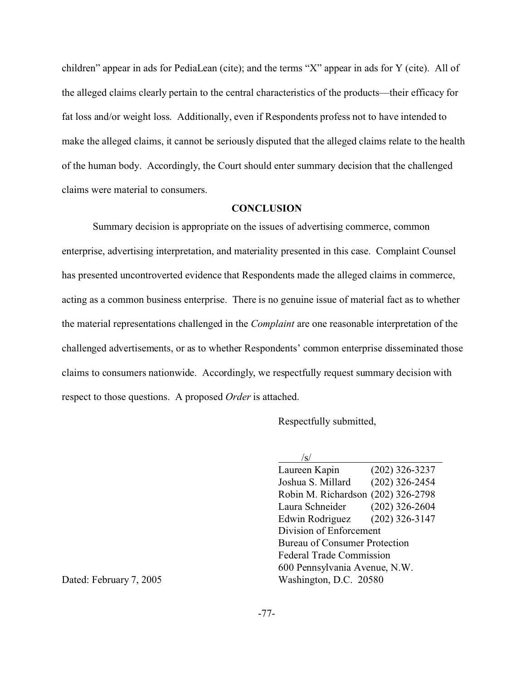children" appear in ads for PediaLean (cite); and the terms "X" appear in ads for Y (cite). All of the alleged claims clearly pertain to the central characteristics of the products—their efficacy for fat loss and/or weight loss. Additionally, even if Respondents profess not to have intended to make the alleged claims, it cannot be seriously disputed that the alleged claims relate to the health of the human body. Accordingly, the Court should enter summary decision that the challenged claims were material to consumers.

## **CONCLUSION**

Summary decision is appropriate on the issues of advertising commerce, common enterprise, advertising interpretation, and materiality presented in this case. Complaint Counsel has presented uncontroverted evidence that Respondents made the alleged claims in commerce, acting as a common business enterprise. There is no genuine issue of material fact as to whether the material representations challenged in the *Complaint* are one reasonable interpretation of the challenged advertisements, or as to whether Respondents' common enterprise disseminated those claims to consumers nationwide. Accordingly, we respectfully request summary decision with respect to those questions. A proposed *Order* is attached.

Respectfully submitted,

| $(202)$ 326-3237                        |  |  |
|-----------------------------------------|--|--|
| $(202)$ 326-2454                        |  |  |
| $(202)$ 326-2798<br>Robin M. Richardson |  |  |
| $(202)$ 326-2604                        |  |  |
| $(202)$ 326-3147                        |  |  |
| Division of Enforcement                 |  |  |
| <b>Bureau of Consumer Protection</b>    |  |  |
| <b>Federal Trade Commission</b>         |  |  |
| 600 Pennsylvania Avenue, N.W.           |  |  |
| Washington, D.C. 20580                  |  |  |
|                                         |  |  |

Dated: February 7, 2005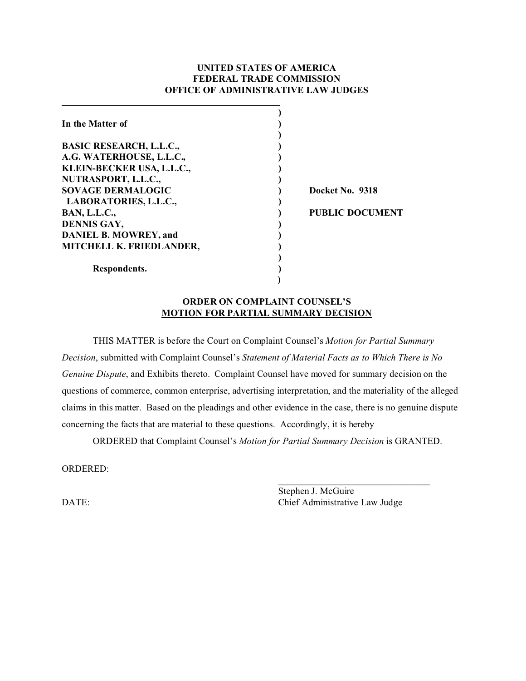## **UNITED STATES OF AMERICA FEDERAL TRADE COMMISSION OFFICE OF ADMINISTRATIVE LAW JUDGES**

| In the Matter of               |                        |
|--------------------------------|------------------------|
| <b>BASIC RESEARCH, L.L.C.,</b> |                        |
| A.G. WATERHOUSE, L.L.C.,       |                        |
| KLEIN-BECKER USA, L.L.C.,      |                        |
| NUTRASPORT, L.L.C.,            |                        |
| <b>SOVAGE DERMALOGIC</b>       | Docket No. 9318        |
| LABORATORIES, L.L.C.,          |                        |
| <b>BAN, L.L.C.,</b>            | <b>PUBLIC DOCUMENT</b> |
| DENNIS GAY,                    |                        |
| <b>DANIEL B. MOWREY, and</b>   |                        |
| MITCHELL K. FRIEDLANDER,       |                        |
| Respondents.                   |                        |

## **ORDER ON COMPLAINT COUNSEL'S MOTION FOR PARTIAL SUMMARY DECISION**

THIS MATTER is before the Court on Complaint Counsel's *Motion for Partial Summary Decision*, submitted with Complaint Counsel's *Statement of Material Facts as to Which There is No Genuine Dispute*, and Exhibits thereto. Complaint Counsel have moved for summary decision on the questions of commerce, common enterprise, advertising interpretation, and the materiality of the alleged claims in this matter. Based on the pleadings and other evidence in the case, there is no genuine dispute concerning the facts that are material to these questions. Accordingly, it is hereby

ORDERED that Complaint Counsel's *Motion for Partial Summary Decision* is GRANTED.

ORDERED:

\_\_\_\_\_\_\_\_\_\_\_\_\_\_\_\_\_\_\_\_\_\_\_\_\_\_\_\_\_\_\_\_ Stephen J. McGuire DATE: Chief Administrative Law Judge